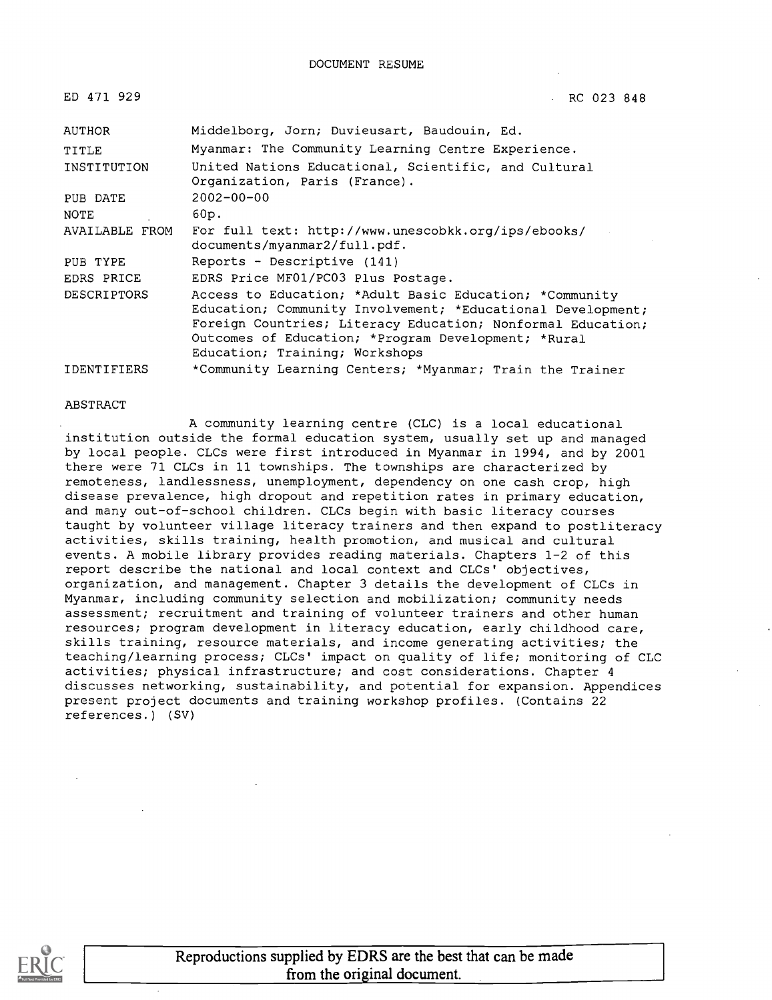| ED 471 929         | RC 023 848                                                                                                                                                                                                                                                                     |
|--------------------|--------------------------------------------------------------------------------------------------------------------------------------------------------------------------------------------------------------------------------------------------------------------------------|
| AUTHOR             | Middelborg, Jorn; Duvieusart, Baudouin, Ed.                                                                                                                                                                                                                                    |
| TITLE              | Myanmar: The Community Learning Centre Experience.                                                                                                                                                                                                                             |
| INSTITUTION        | United Nations Educational, Scientific, and Cultural<br>Organization, Paris (France).                                                                                                                                                                                          |
| PUB DATE           | $2002 - 00 - 00$                                                                                                                                                                                                                                                               |
| NOTE               | 60p.                                                                                                                                                                                                                                                                           |
| AVAILABLE FROM     | For full text: http://www.unescobkk.org/ips/ebooks/<br>documents/myanmar2/full.pdf.                                                                                                                                                                                            |
| PUB TYPE           | Reports - Descriptive (141)                                                                                                                                                                                                                                                    |
| EDRS PRICE         | EDRS Price MF01/PC03 Plus Postage.                                                                                                                                                                                                                                             |
| <b>DESCRIPTORS</b> | Access to Education; *Adult Basic Education; *Community<br>Education; Community Involvement; *Educational Development;<br>Foreign Countries; Literacy Education; Nonformal Education;<br>Outcomes of Education; *Program Development; *Rural<br>Education; Training; Workshops |
| <b>IDENTIFIERS</b> | *Community Learning Centers; *Myanmar; Train the Trainer                                                                                                                                                                                                                       |

#### ABSTRACT

A community learning centre (CLC) is a local educational institution outside the formal education system, usually set up and managed by local people. CLCs were first introduced in Myanmar in 1994, and by 2001 there were 71 CLCs in 11 townships. The townships are characterized by remoteness, landlessness, unemployment, dependency on one cash crop, high disease prevalence, high dropout and repetition rates in primary education, and many out-of-school children. CLCs begin with basic literacy courses taught by volunteer village literacy trainers and then expand to postliteracy activities, skills training, health promotion, and musical and cultural events. A mobile library provides reading materials. Chapters 1-2 of this report describe the national and local context and CLCs' objectives, organization, and management. Chapter 3 details the development of CLCs in Myanmar, including community selection and mobilization; community needs assessment; recruitment and training of volunteer trainers and other human resources; program development in literacy education, early childhood care, skills training, resource materials, and income generating activities; the teaching/learning process; CLCs' impact on quality of life; monitoring of CLC activities; physical infrastructure; and cost considerations. Chapter 4 discusses networking, sustainability, and potential for expansion. Appendices present project documents and training workshop profiles. (Contains 22 references.) (SV)

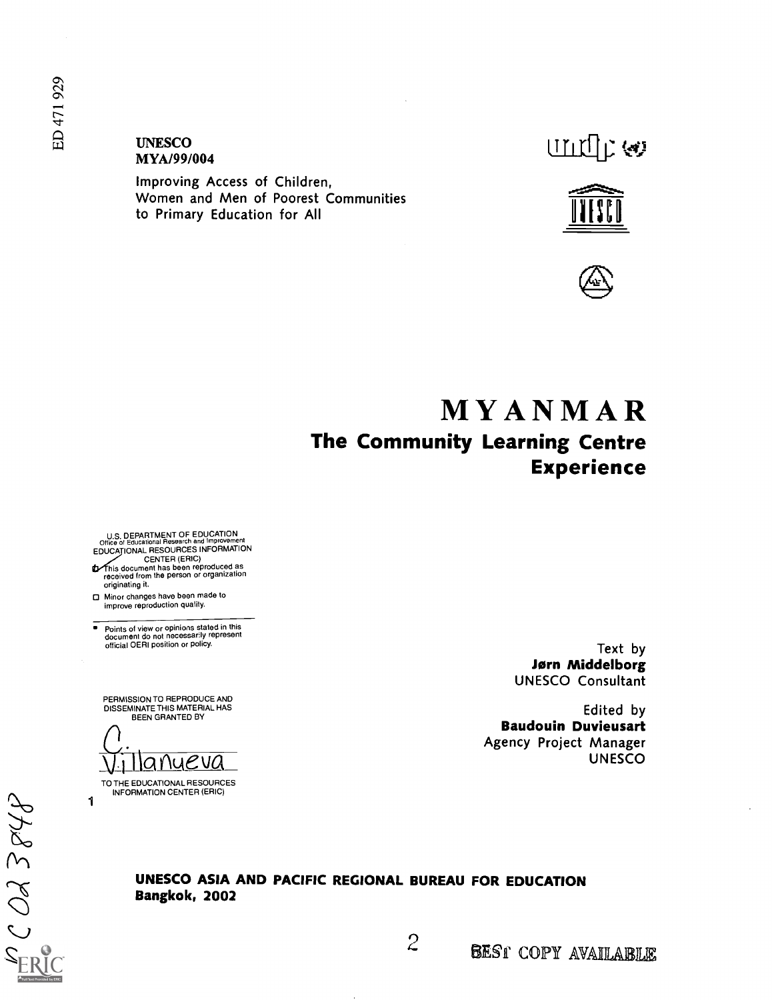#### UNESCO MYAJ99/004

Improving Access of Children, Women and Men of Poorest Communities to Primary Education for All







# MYANMAR The Community Learning Centre Experience

U.S. DEPARTMENT OF EDUCATION<br>Office of Educational Research and Improvement<br>EDUCAȚIONAL RESOURCES INFORMATION

CENTER (ERIC) his document has been reproduced as received from the person or organization originating it.

Minor changes have been made to improve reproduction quality.

Points of view or opinions stated in this document do not necessarily represent official OERI position or policy.

PERMISSION TO REPRODUCE AND DISSEMINATE THIS MATERIAL HAS BEEN GRANTED BY

<u>Ilanyeva</u>

TO THE EDUCATIONAL RESOURCES INFORMATION CENTER (ERIC)

1

Text by Jørn Middelborg UNESCO Consultant

Edited by Baudouin Duvieusart Agency Project Manager UNESCO

UNESCO ASIA AND PACIFIC REGIONAL BUREAU FOR EDUCATION Bangkok, 2002

r)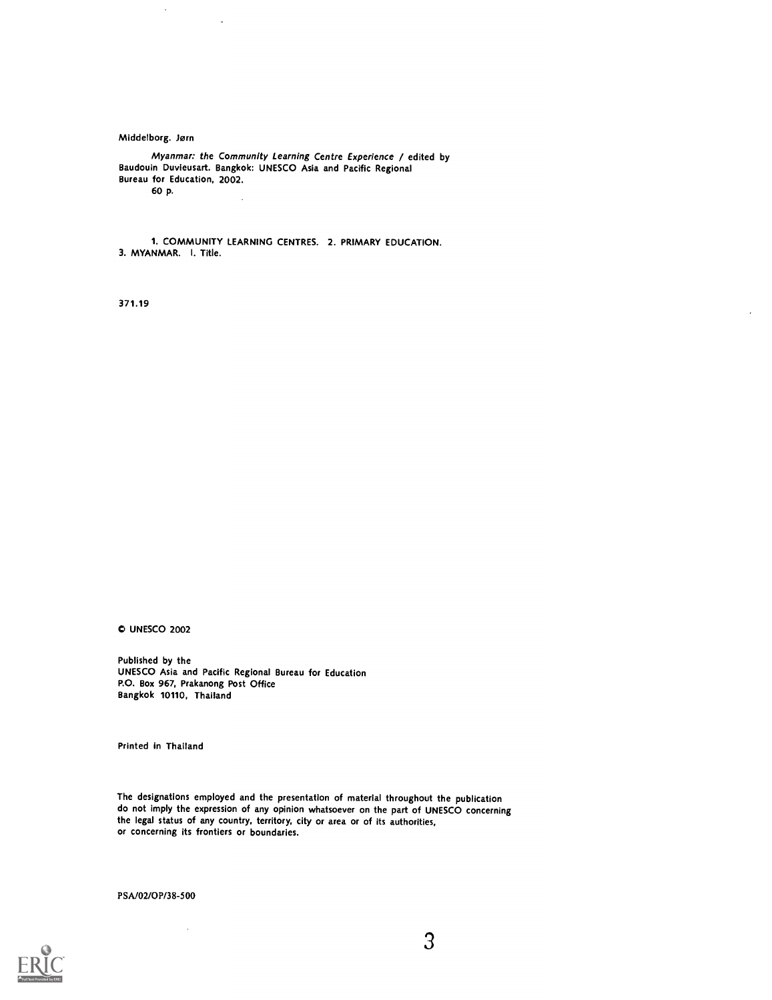Middelborg. Jørn

Myanmar: the Community Learning Centre Experience / edited by Baudouin Duvieusart. Bangkok: UNESCO Asia and Pacific Regional Bureau for Education, 2002. 60 p.

 $\sim$ 

1. COMMUNITY LEARNING CENTRES. 2. PRIMARY EDUCATION. 3. MYANMAR. I. Title.

371.19

0 UNESCO 2002

Published by the UNESCO Asia and Pacific Regional Bureau for Education P.O. Box 967, Prakanong Post Office Bangkok 10110, Thailand

Printed in Thailand

The designations employed and the presentation of material throughout the publication do not imply the expression of any opinion whatsoever on the part of UNESCO concerning the legal status of any country, territory, city or area or of its authorities, or concerning its frontiers or boundaries.

PSA/02/0P/38-500

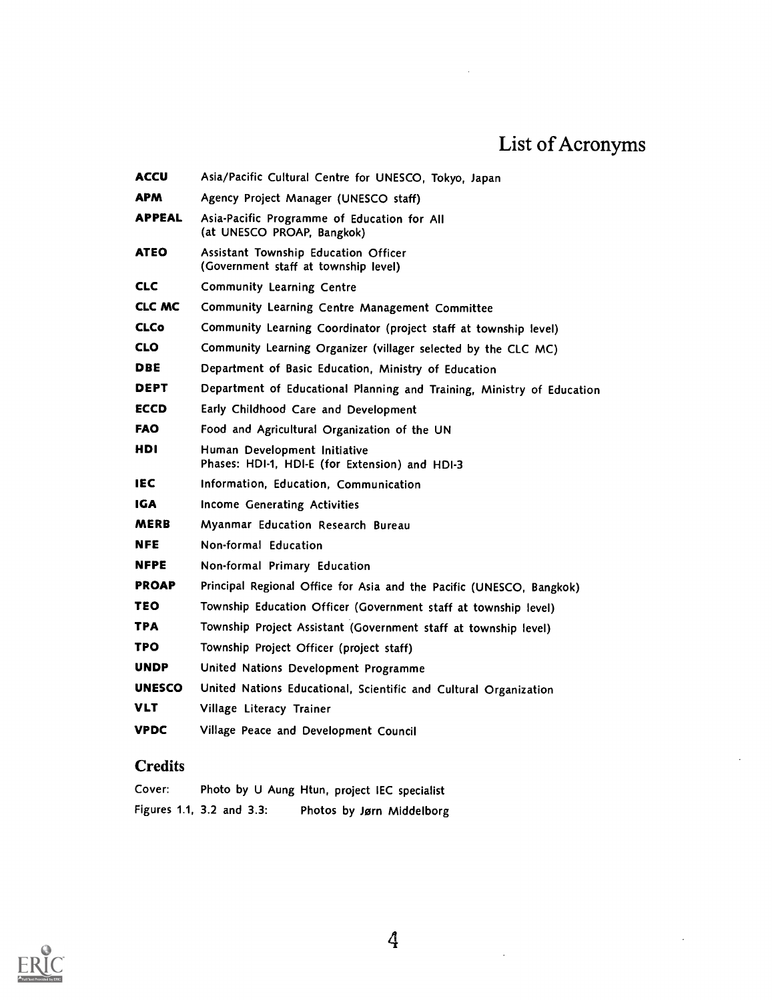# List of Acronyms

| ACCU          | Asia/Pacific Cultural Centre for UNESCO, Tokyo, Japan                          |
|---------------|--------------------------------------------------------------------------------|
| <b>APM</b>    | Agency Project Manager (UNESCO staff)                                          |
| <b>APPEAL</b> | Asia-Pacific Programme of Education for All<br>(at UNESCO PROAP, Bangkok)      |
| <b>ATEO</b>   | Assistant Township Education Officer<br>(Government staff at township level)   |
| <b>CLC</b>    | Community Learning Centre                                                      |
| CLC MC        | Community Learning Centre Management Committee                                 |
| <b>CLCo</b>   | Community Learning Coordinator (project staff at township level)               |
| <b>CLO</b>    | Community Learning Organizer (villager selected by the CLC MC)                 |
| DBE           | Department of Basic Education, Ministry of Education                           |
| <b>DEPT</b>   | Department of Educational Planning and Training, Ministry of Education         |
| ECCD          | Early Childhood Care and Development                                           |
| <b>FAO</b>    | Food and Agricultural Organization of the UN                                   |
| HDI           | Human Development Initiative<br>Phases: HDI-1, HDI-E (for Extension) and HDI-3 |
| <b>IEC</b>    | Information, Education, Communication                                          |
| IGA           | Income Generating Activities                                                   |
| <b>MERB</b>   | Myanmar Education Research Bureau                                              |
| <b>NFE</b>    | Non-formal Education                                                           |
| <b>NFPE</b>   | Non-formal Primary Education                                                   |
| <b>PROAP</b>  | Principal Regional Office for Asia and the Pacific (UNESCO, Bangkok)           |
| TEO           | Township Education Officer (Government staff at township level)                |
| TPA           | Township Project Assistant (Government staff at township level)                |
| TPO           | Township Project Officer (project staff)                                       |
| <b>UNDP</b>   | United Nations Development Programme                                           |
| <b>UNESCO</b> | United Nations Educational, Scientific and Cultural Organization               |
| VLT           | Village Literacy Trainer                                                       |
| <b>VPDC</b>   | Village Peace and Development Council                                          |

# **Credits**

| Cover: |                           | Photo by U Aung Htun, project IEC specialist |
|--------|---------------------------|----------------------------------------------|
|        | Figures 1.1, 3.2 and 3.3: | Photos by Jørn Middelborg                    |



 $\hat{\mathcal{A}}$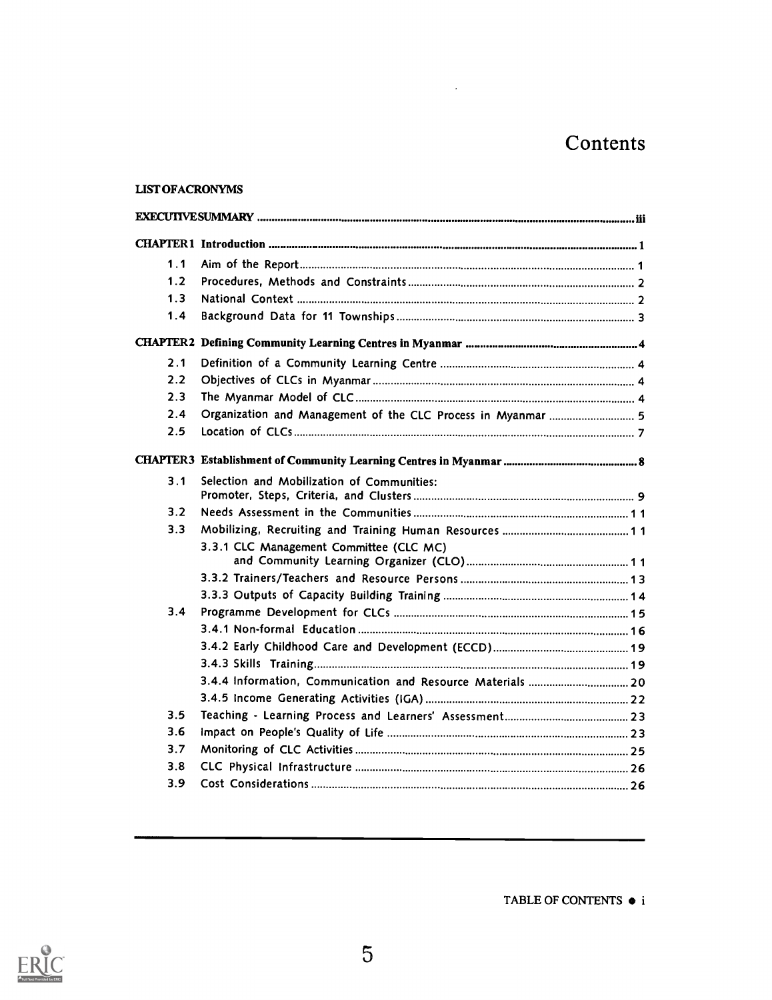# Contents

#### LIST OFACRONYMS

| 1.1<br>1.2<br>1.3<br>1.4<br>2.1<br>2.2<br>2.3<br>2.4<br>Organization and Management of the CLC Process in Myanmar  5<br>2.5<br>3.1<br>Selection and Mobilization of Communities:<br>3.2<br>3.3<br>3.3.1 CLC Management Committee (CLC MC)<br>3.4<br>3.5<br>3.6<br>3.7<br>3.8<br>3.9 |  |  |
|-------------------------------------------------------------------------------------------------------------------------------------------------------------------------------------------------------------------------------------------------------------------------------------|--|--|
|                                                                                                                                                                                                                                                                                     |  |  |
|                                                                                                                                                                                                                                                                                     |  |  |
|                                                                                                                                                                                                                                                                                     |  |  |
|                                                                                                                                                                                                                                                                                     |  |  |
|                                                                                                                                                                                                                                                                                     |  |  |
|                                                                                                                                                                                                                                                                                     |  |  |
|                                                                                                                                                                                                                                                                                     |  |  |
|                                                                                                                                                                                                                                                                                     |  |  |
|                                                                                                                                                                                                                                                                                     |  |  |
|                                                                                                                                                                                                                                                                                     |  |  |
|                                                                                                                                                                                                                                                                                     |  |  |
|                                                                                                                                                                                                                                                                                     |  |  |
|                                                                                                                                                                                                                                                                                     |  |  |
|                                                                                                                                                                                                                                                                                     |  |  |
|                                                                                                                                                                                                                                                                                     |  |  |
|                                                                                                                                                                                                                                                                                     |  |  |
|                                                                                                                                                                                                                                                                                     |  |  |
|                                                                                                                                                                                                                                                                                     |  |  |
|                                                                                                                                                                                                                                                                                     |  |  |
|                                                                                                                                                                                                                                                                                     |  |  |
|                                                                                                                                                                                                                                                                                     |  |  |
|                                                                                                                                                                                                                                                                                     |  |  |
|                                                                                                                                                                                                                                                                                     |  |  |
|                                                                                                                                                                                                                                                                                     |  |  |
|                                                                                                                                                                                                                                                                                     |  |  |
|                                                                                                                                                                                                                                                                                     |  |  |
|                                                                                                                                                                                                                                                                                     |  |  |
|                                                                                                                                                                                                                                                                                     |  |  |
|                                                                                                                                                                                                                                                                                     |  |  |



TABLE OF CONTENTS  $\bullet$  i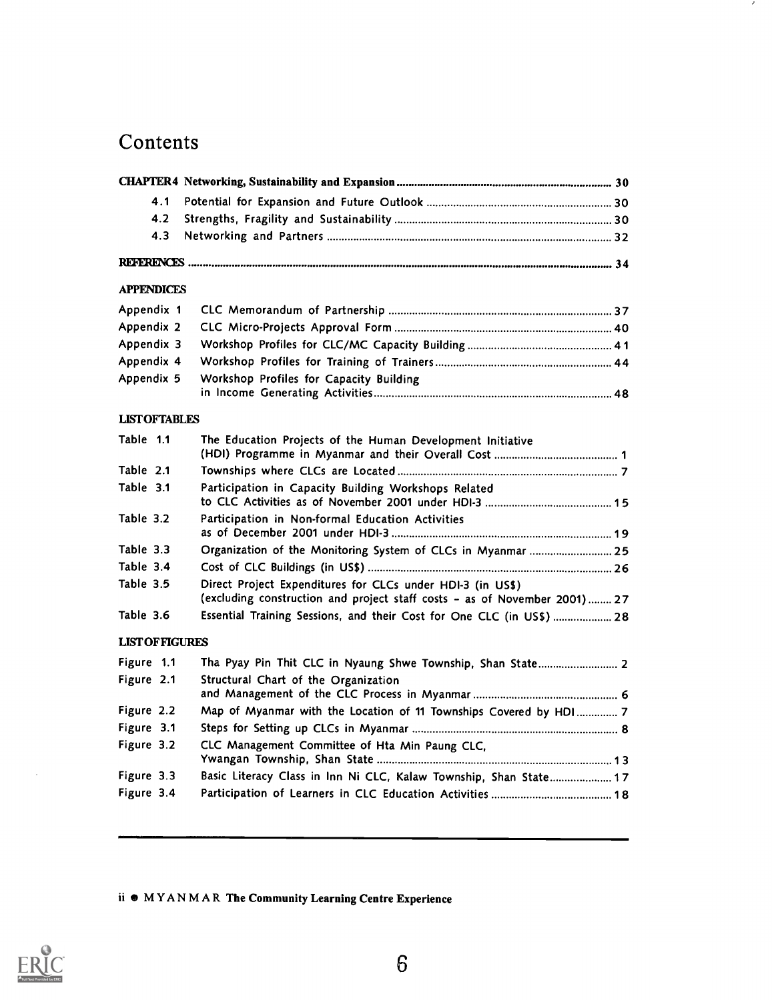# **Contents**

| 4.1                    |                                                                                                                                          |  |
|------------------------|------------------------------------------------------------------------------------------------------------------------------------------|--|
| 4.2                    |                                                                                                                                          |  |
| 4.3                    |                                                                                                                                          |  |
|                        |                                                                                                                                          |  |
| <b>APPENDICES</b>      |                                                                                                                                          |  |
| Appendix 1             |                                                                                                                                          |  |
| Appendix 2             |                                                                                                                                          |  |
| Appendix 3             |                                                                                                                                          |  |
| Appendix 4             |                                                                                                                                          |  |
| Appendix 5             | Workshop Profiles for Capacity Building                                                                                                  |  |
| <b>LISTOFTABLES</b>    |                                                                                                                                          |  |
| Table 1.1              | The Education Projects of the Human Development Initiative                                                                               |  |
| Table 2.1              |                                                                                                                                          |  |
| Table 3.1              | Participation in Capacity Building Workshops Related                                                                                     |  |
| Table 3.2              | Participation in Non-formal Education Activities                                                                                         |  |
| Table 3.3              | Organization of the Monitoring System of CLCs in Myanmar  25                                                                             |  |
| Table 3.4              |                                                                                                                                          |  |
| Table 3.5              | Direct Project Expenditures for CLCs under HDI-3 (in US\$)<br>(excluding construction and project staff costs - as of November 2001)  27 |  |
| Table 3.6              | Essential Training Sessions, and their Cost for One CLC (in US\$)  28                                                                    |  |
| <b>LIST OF FIGURES</b> |                                                                                                                                          |  |
| Figure 1.1             | Tha Pyay Pin Thit CLC in Nyaung Shwe Township, Shan State 2                                                                              |  |
| Figure 2.1             | Structural Chart of the Organization                                                                                                     |  |
| Figure 2.2             | Map of Myanmar with the Location of 11 Townships Covered by HDI  7                                                                       |  |
| Figure 3.1             |                                                                                                                                          |  |
| Figure 3.2             | CLC Management Committee of Hta Min Paung CLC,                                                                                           |  |
| Figure 3.3             | Basic Literacy Class in Inn Ni CLC, Kalaw Township, Shan State 17                                                                        |  |
|                        |                                                                                                                                          |  |

×

ii  $\bullet$  MYANMAR The Community Learning Centre Experience

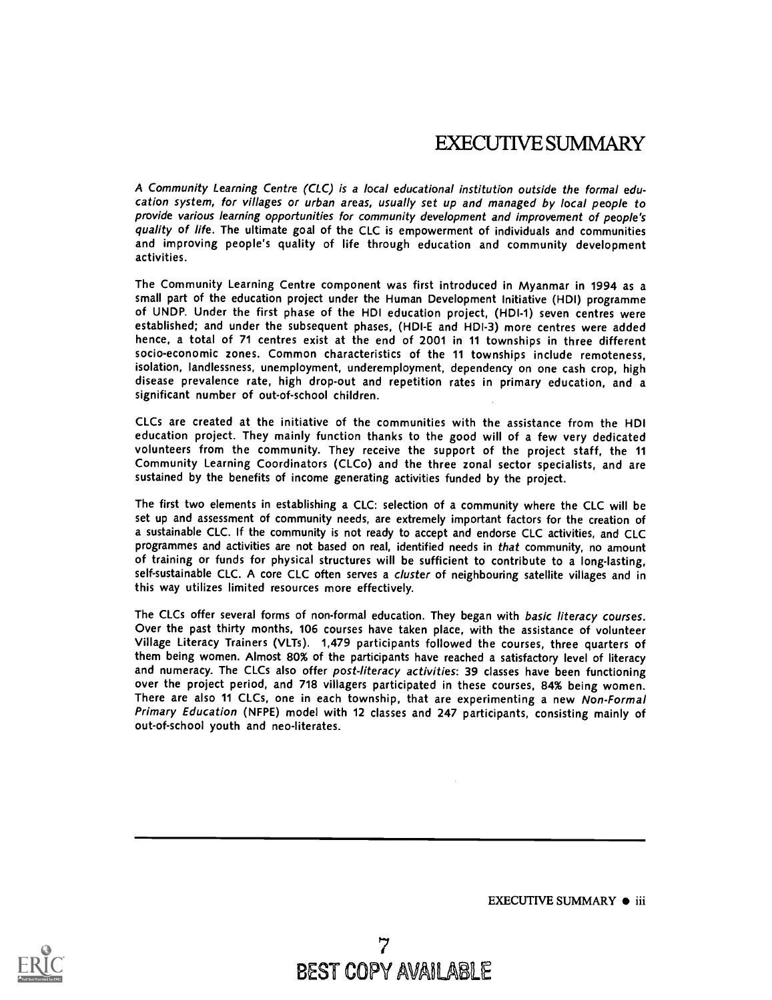# EXECUTIVE SUMMARY

A Community Learning Centre (CLC) is a local educational institution outside the formal education system, for villages or urban areas, usually set up and managed by local people to provide various learning opportunities for community development and improvement of people's quality of life. The ultimate goal of the CLC is empowerment of individuals and communities and improving people's quality of life through education and community development activities.

The Community Learning Centre component was first introduced in Myanmar in 1994 as a small part of the education project under the Human Development Initiative (HDI) programme of UNDP. Under the first phase of the HDI education project, (HDI-1) seven centres were established; and under the subsequent phases, (HDI-E and HDI-3) more centres were added hence, a total of 71 centres exist at the end of 2001 in 11 townships in three different socio-economic zones. Common characteristics of the 11 townships include remoteness, isolation, landlessness, unemployment, underemployment, dependency on one cash crop, high disease prevalence rate, high drop-out and repetition rates in primary education, and a significant number of out-of-school children.

CLCs are created at the initiative of the communities with the assistance from the HDI education project. They mainly function thanks to the good will of a few very dedicated volunteers from the community. They receive the support of the project staff, the 11 Community Learning Coordinators (CLCo) and the three zonal sector specialists, and are sustained by the benefits of income generating activities funded by the project.

The first two elements in establishing a CLC: selection of a community where the CLC will be set up and assessment of community needs, are extremely important factors for the creation of a sustainable CLC. If the community is not ready to accept and endorse CLC activities, and CLC programmes and activities are not based on real, identified needs in that community, no amount of training or funds for physical structures will be sufficient to contribute to a long-lasting, self-sustainable CLC. A core CLC often serves a cluster of neighbouring satellite villages and in this way utilizes limited resources more effectively.

The CLCs offer several forms of non-formal education. They began with basic literacy courses. Over the past thirty months, 106 courses have taken place, with the assistance of volunteer Village Literacy Trainers (VLTs). 1,479 participants followed the courses, three quarters of them being women. Almost 80% of the participants have reached a satisfactory level of literacy and numeracy. The CLCs also offer post-literacy activities: 39 classes have been functioning over the project period, and 718 villagers participated in these courses, 84% being women. There are also 11 CLCs, one in each township, that are experimenting a new Non-Formal Primary Education (NFPE) model with 12 classes and 247 participants, consisting mainly of out-of-school youth and neo-literates.

EXECUTIVE SUMMARY  $\bullet$  iii

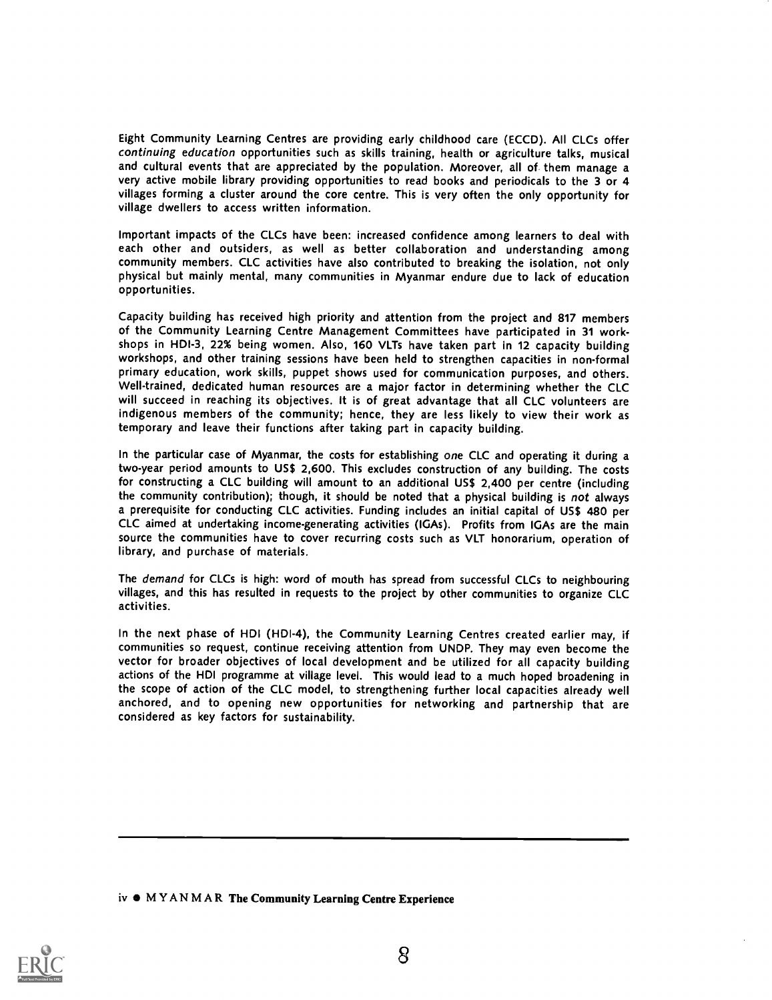Eight Community Learning Centres are providing early childhood care (ECCD). All CLCs offer continuing education opportunities such as skills training, health or agriculture talks, musical and cultural events that are appreciated by the population. Moreover, all of them manage a very active mobile library providing opportunities to read books and periodicals to the 3 or 4 villages forming a cluster around the core centre. This is very often the only opportunity for village dwellers to access written information.

Important impacts of the CLCs have been: increased confidence among learners to deal with each other and outsiders, as well as better collaboration and understanding among community members. CLC activities have also contributed to breaking the isolation, not only physical but mainly mental, many communities in Myanmar endure due to lack of education opportunities.

Capacity building has received high priority and attention from the project and 817 members of the Community Learning Centre Management Committees have participated in 31 workshops in HDI-3, 22% being women. Also, 160 VLTs have taken part in 12 capacity building workshops, and other training sessions have been held to strengthen capacities in non-formal primary education, work skills, puppet shows used for communication purposes, and others. Well-trained, dedicated human resources are a major factor in determining whether the CLC will succeed in reaching its objectives. It is of great advantage that all CLC volunteers are indigenous members of the community; hence, they are less likely to view their work as temporary and leave their functions after taking part in capacity building.

In the particular case of Myanmar, the costs for establishing one CLC and operating it during a two-year period amounts to US\$ 2,600. This excludes construction of any building. The costs for constructing a CLC building will amount to an additional US\$ 2,400 per centre (including the community contribution); though, it should be noted that a physical building is not always a prerequisite for conducting CLC activities. Funding includes an initial capital of US\$ 480 per CLC aimed at undertaking income-generating activities (IGAs). Profits from IGAs are the main source the communities have to cover recurring costs such as VLT honorarium, operation of library, and purchase of materials.

The demand for CLCs is high: word of mouth has spread from successful CLCs to neighbouring villages, and this has resulted in requests to the project by other communities to organize CLC activities.

In the next phase of HDI (HDI-4), the Community Learning Centres created earlier may, if communities so request, continue receiving attention from UNDP. They may even become the vector for broader objectives of local development and be utilized for all capacity building actions of the HDI programme at village level. This would lead to a much hoped broadening in the scope of action of the CLC model, to strengthening further local capacities already well anchored, and to opening new opportunities for networking and partnership that are considered as key factors for sustainability.

iv  $\bullet$  MYANMAR The Community Learning Centre Experience

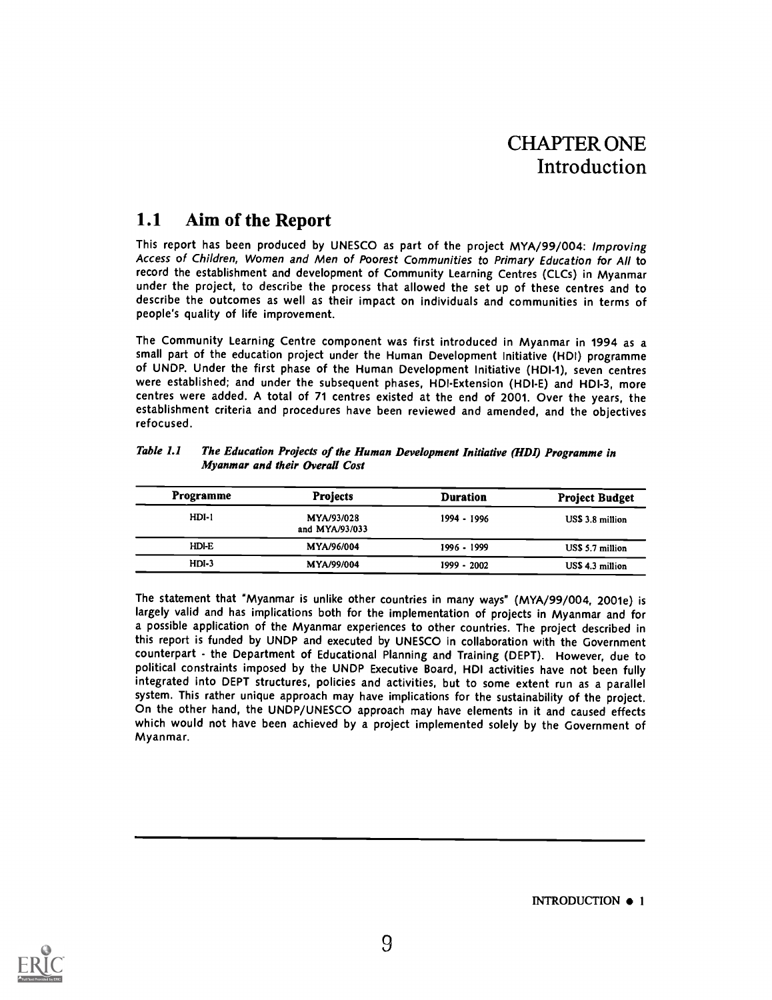# CHAPTER ONE Introduction

# 1.1 Aim of the Report

This report has been produced by UNESCO as part of the project MYA/99/004: Improving Access of Children, Women and Men of Poorest Communities to Primary Education for All to record the establishment and development of Community Learning Centres (CLCs) in Myanmar under the project, to describe the process that allowed the set up of these centres and to describe the outcomes as well as their impact on individuals and communities in terms of people's quality of life improvement.

The Community Learning Centre component was first introduced in Myanmar in 1994 as a small part of the education project under the Human Development Initiative (HDI) programme of UNDP. Under the first phase of the Human Development Initiative (HDI-1), seven centres were established; and under the subsequent phases, HDI-Extension (HDI-E) and HDI-3, more centres were added. A total of 71 centres existed at the end of 2001. Over the years, the establishment criteria and procedures have been reviewed and amended, and the objectives refocused.

| Programme | <b>Projects</b>              | <b>Duration</b> | <b>Project Budget</b> |
|-----------|------------------------------|-----------------|-----------------------|
| $HDI-1$   | MYA/93/028<br>and MYA/93/033 | 1994 - 1996     | US\$ 3.8 million      |
| HDI-E     | MYA/96/004                   | 1996 - 1999     | US\$ 5.7 million      |
| $HDI-3$   | MYA/99/004                   | $1999 - 2002$   | US\$ 4.3 million      |

Table 1.1 The Education Projects of the Human Development Initiative (HDI) Programme in Myanmar and their Overall Cost

The statement that "Myanmar is unlike other countries in many ways" (MYA/99/004, 2001e) is largely valid and has implications both for the implementation of projects in Myanmar and for a possible application of the Myanmar experiences to other countries. The project described in this report is funded by UNDP and executed by UNESCO in collaboration with the Government counterpart - the Department of Educational Planning and Training (DEPT). However, due to political constraints imposed by the UNDP Executive Board, HDI activities have not been fully integrated into DEPT structures, policies and activities, but to some extent run as a parallel system. This rather unique approach may have implications for the sustainability of the project. On the other hand, the UNDP/UNESCO approach may have elements in it and caused effects which would not have been achieved by a project implemented solely by the Government of Myanmar.



INTRODUCTION  $\bullet$  1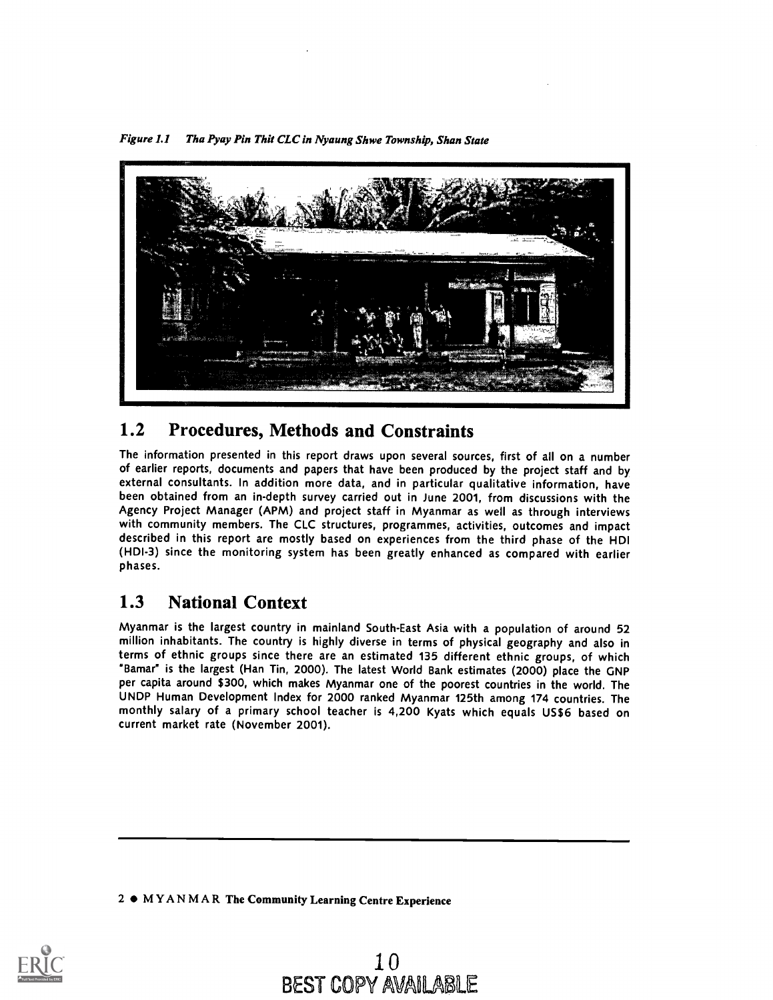Figure 1.1 Tha Pyay Pin Thit CLC in Nyaung Shwe Township, Shan State



# 1.2 Procedures, Methods and Constraints

The information presented in this report draws upon several sources, first of all on a number of earlier reports, documents and papers that have been produced by the project staff and by external consultants. In addition more data, and in particular qualitative information, have been obtained from an in-depth survey carried out in June 2001, from discussions with the Agency Project Manager (APM) and project staff in Myanmar as well as through interviews with community members. The CLC structures, programmes, activities, outcomes and impact described in this report are mostly based on experiences from the third phase of the HDI (HDI-3) since the monitoring system has been greatly enhanced as compared with earlier phases.

# 1.3 National Context

Myanmar is the largest country in mainland South-East Asia with a population of around 52 million inhabitants. The country is highly diverse in terms of physical geography and also in terms of ethnic groups since there are an estimated 135 different ethnic groups, of which "Bamar" is the largest (Han Tin, 2000). The latest World Bank estimates (2000) place the GNP per capita around \$300, which makes Myanmar one of the poorest countries in the world. The UNDP Human Development Index for 2000 ranked Myanmar 125th among 174 countries. The monthly salary of a primary school teacher is 4,200 Kyats which equals US\$6 based on current market rate (November 2001).

2  $\bullet$  MYANMAR The Community Learning Centre Experience

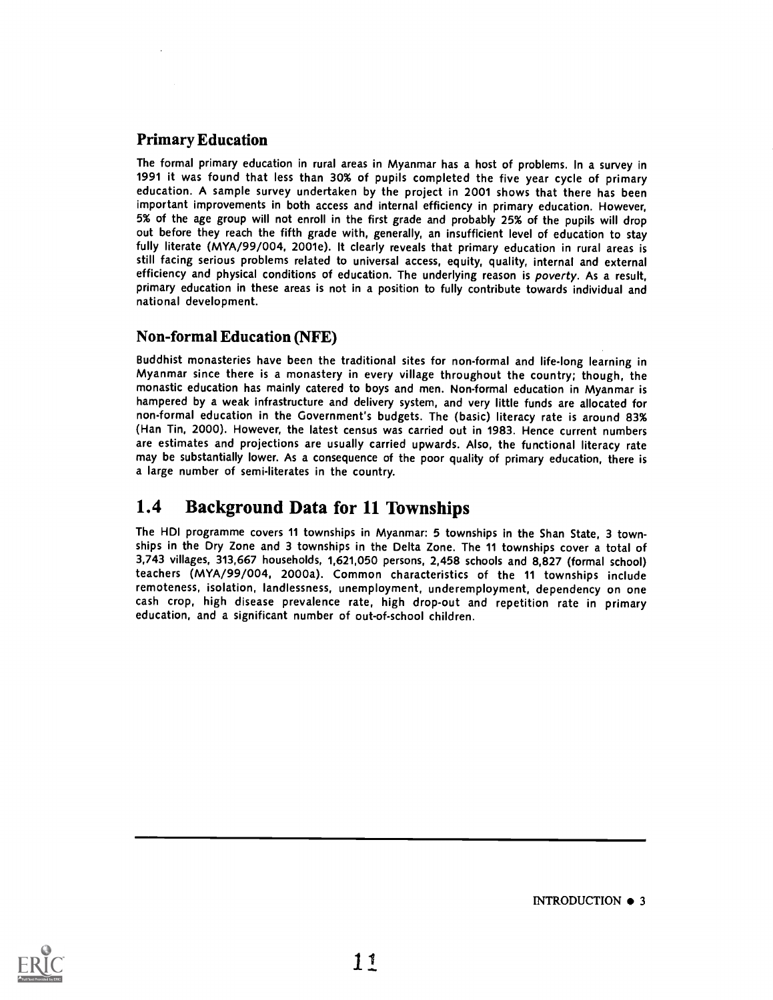## Primary Education

The formal primary education in rural areas in Myanmar has a host of problems. In a survey in 1991 it was found that less than 30% of pupils completed the five year cycle of primary education. A sample survey undertaken by the project in 2001 shows that there has been important improvements in both access and internal efficiency in primary education. However, 5% of the age group will not enroll in the first grade and probably 25% of the pupils will drop out before they reach the fifth grade with, generally, an insufficient level of education to stay fully literate (MYA/99/004, 2001e). It clearly reveals that primary education in rural areas is still facing serious problems related to universal access, equity, quality, internal and external efficiency and physical conditions of education. The underlying reason is poverty. As a result, primary education in these areas is not in a position to fully contribute towards individual and national development.

### Non-formal Education (NFE)

Buddhist monasteries have been the traditional sites for non-formal and life-long learning in Myanmar since there is a monastery in every village throughout the country; though, the monastic education has mainly catered to boys and men. Non-formal education in Myanmar is hampered by a weak infrastructure and delivery system, and very little funds are allocated for non-formal education in the Government's budgets. The (basic) literacy rate is around 83% (Han Tin, 2000). However, the latest census was carried out in 1983. Hence current numbers are estimates and projections are usually carried upwards. Also, the functional literacy rate may be substantially lower. As a consequence of the poor quality of primary education, there is a large number of semi-literates in the country.

## 1.4 Background Data for 11 Townships

The HDI programme covers 11 townships in Myanmar: 5 townships in the Shan State, 3 townships in the Dry Zone and 3 townships in the Delta Zone. The 11 townships cover a total of 3,743 villages, 313,667 households, 1,621,050 persons, 2,458 schools and 8,827 (formal school) teachers (MYA/99/004, 2000a). Common characteristics of the <sup>11</sup> townships include remoteness, isolation, landlessness, unemployment, underemployment, dependency on one cash crop, high disease prevalence rate, high drop-out and repetition rate in primary education, and a significant number of out-of-school children.



INTRODUCTION  $\bullet$  3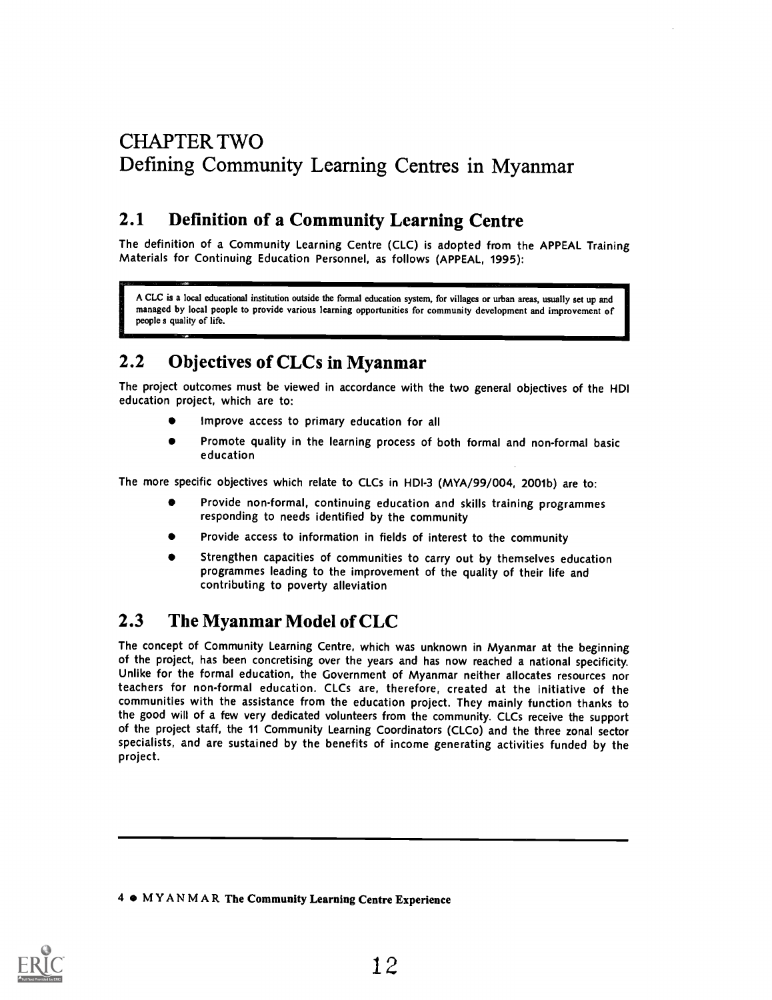# CHAPTER TWO Defining Community Learning Centres in Myanmar

# 2.1 Definition of a Community Learning Centre

The definition of a Community Learning Centre (CLC) is adopted from the APPEAL Training Materials for Continuing Education Personnel, as follows (APPEAL, 1995):

A CLC is a local educational institution outside the formal education system, for villages or urban areas, usually set up and managed by local people to provide various learning opportunities for community development and improvement of people s quality of life.

# 2.2 Objectives of CLCs in Myanmar

The project outcomes must be viewed in accordance with the two general objectives of the HDI education project, which are to:

- Improve access to primary education for all
- Promote quality in the learning process of both formal and non-formal basic education

The more specific objectives which relate to CLCs in HDI-3 (MYA/99/004, 2001b) are to:

- Provide non-formal, continuing education and skills training programmes responding to needs identified by the community
- Provide access to information in fields of interest to the community
- Strengthen capacities of communities to carry out by themselves education programmes leading to the improvement of the quality of their life and contributing to poverty alleviation

# 2.3 The Myanmar Model of CLC

The concept of Community Learning Centre, which was unknown in Myanmar at the beginning of the project, has been concretising over the years and has now reached a national specificity. Unlike for the formal education, the Government of Myanmar neither allocates resources nor teachers for non-formal education. CLCs are, therefore, created at the initiative of the communities with the assistance from the education project. They mainly function thanks to the good will of a few very dedicated volunteers from the community. CLCs receive the support of the project staff, the 11 Community Learning Coordinators (CLCo) and the three zonal sector specialists, and are sustained by the benefits of income generating activities funded by the project.

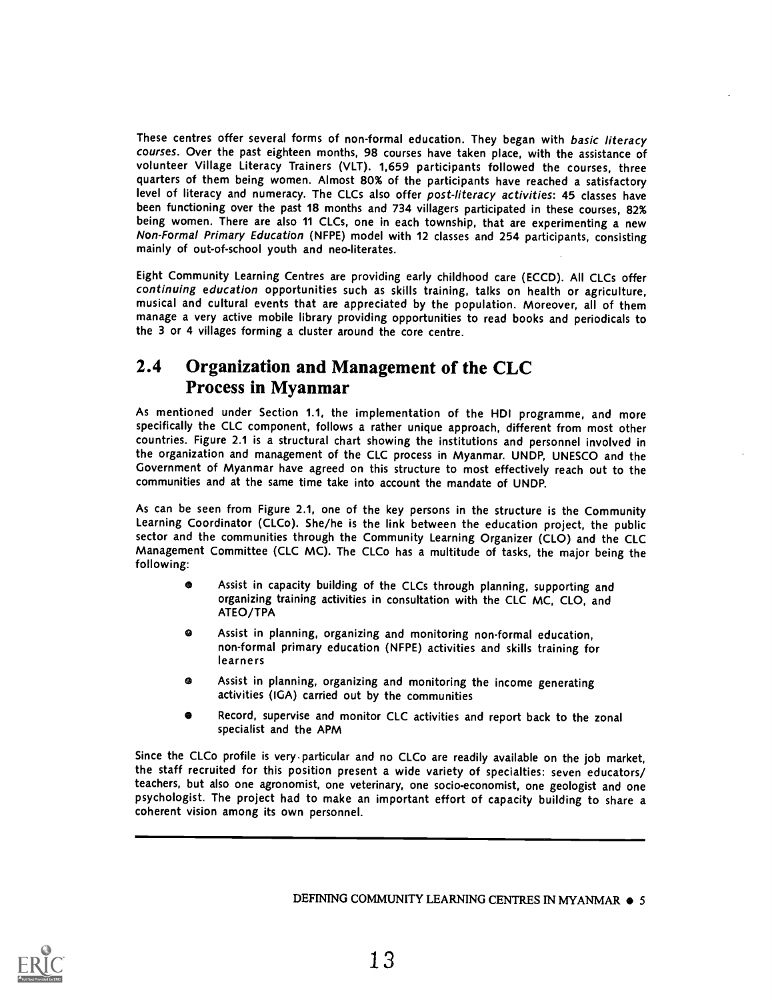These centres offer several forms of non-formal education. They began with basic literacy courses. Over the past eighteen months, 98 courses have taken place, with the assistance of volunteer Village Literacy Trainers (VLT). 1,659 participants followed the courses, three quarters of them being women. Almost 80% of the participants have reached a satisfactory level of literacy and numeracy. The CLCs also offer post-literacy activities: 45 classes have been functioning over the past 18 months and 734 villagers participated in these courses, 82% being women. There are also 11 CLCs, one in each township, that are experimenting a new Non-Formal Primary Education (NFPE) model with 12 classes and 254 participants, consisting mainly of out-of-school youth and neo-literates.

Eight Community Learning Centres are providing early childhood care (ECCD). All CLCs offer continuing education opportunities such as skills training, talks on health or agriculture, musical and cultural events that are appreciated by the population. Moreover, all of them manage a very active mobile library providing opportunities to read books and periodicals to the 3 or 4 villages forming a cluster around the core centre.

## 2.4 Organization and Management of the CLC Process in Myanmar

As mentioned under Section 1.1, the implementation of the HDI programme, and more specifically the CLC component, follows a rather unique approach, different from most other countries. Figure 2.1 is a structural chart showing the institutions and personnel involved in the organization and management of the CLC process in Myanmar. UNDP, UNESCO and the Government of Myanmar have agreed on this structure to most effectively reach out to the communities and at the same time take into account the mandate of UNDP.

As can be seen from Figure 2.1, one of the key persons in the structure is the Community Learning Coordinator (CLCo). She/he is the link between the education project, the public sector and the communities through the Community Learning Organizer (CLO) and the CLC Management Committee (CLC MC). The CLCo has a multitude of tasks, the major being the following:

- Assist in capacity building of the CLCs through planning, supporting and organizing training activities in consultation with the CLC MC, CLO, and ATEO/TPA
- Assist in planning, organizing and monitoring non-formal education, ◙ non-formal primary education (NFPE) activities and skills training for learners
- Assist in planning, organizing and monitoring the income generating activities (IGA) carried out by the communities
- Record, supervise and monitor CLC activities and report back to the zonal specialist and the APM

Since the CLCo profile is very-particular and no CLCo are readily available on the job market, the staff recruited for this position present a wide variety of specialties: seven educators/ teachers, but also one agronomist, one veterinary, one socio-economist, one geologist and one psychologist. The project had to make an important effort of capacity building to share <sup>a</sup> coherent vision among its own personnel.

DEFINING COMMUNITY LEARNING CENTRES IN MYANMAR  $\bullet$  5

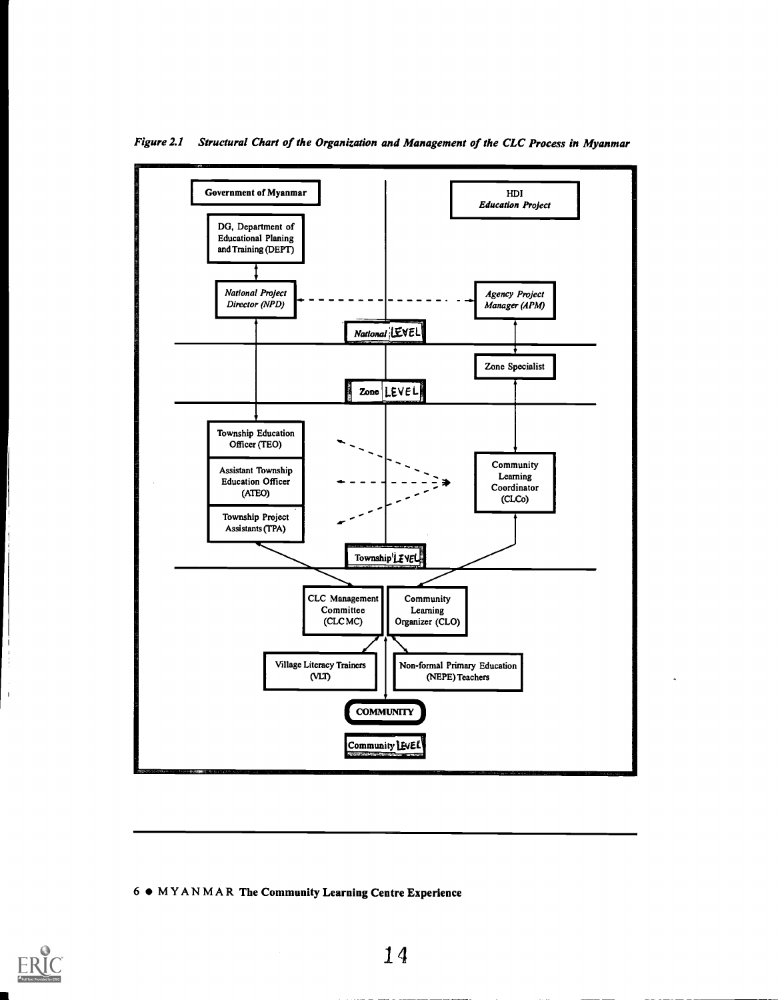

Figure 2.1 Structural Chart of the Organization and Management of the CLC Process in Myanmar

#### 6 MYANMAR The Community Learning Centre Experience

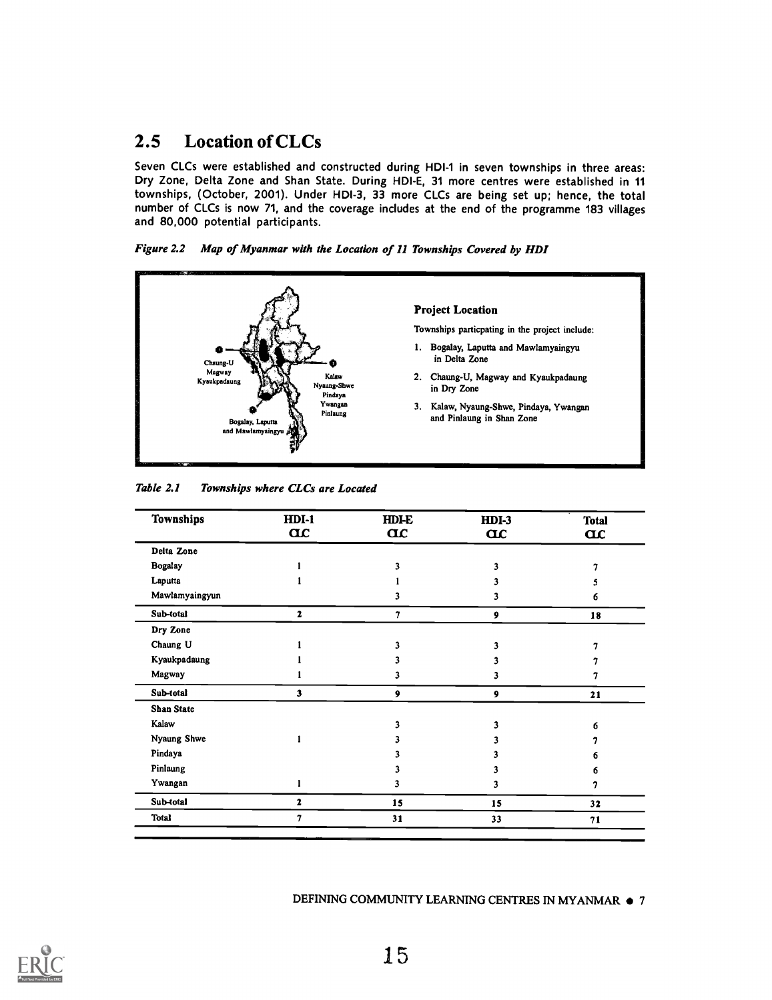# 2.5 Location of CLCs

Seven CLCs were established and constructed during HDI-1 in seven townships in three areas: Dry Zone, Delta Zone and Shan State. During HDI-E, 31 more centres were established in 11 townships, (October, 2001). Under HDI-3, 33 more CLCs are being set up; hence, the total number of CLCs is now 71, and the coverage includes at the end of the programme 183 villages and 80,000 potential participants.

Figure 2.2 Map of Myanmar with the Location of 11 Townships Covered by HDI



| Table 2.1 | Townships where CLCs are Located |  |
|-----------|----------------------------------|--|
|-----------|----------------------------------|--|

| Townships         | $HDI-1$<br>$\alpha$     | <b>HDI-E</b><br>$\alpha$ | $HDI-3$<br>$\alpha$ | <b>Total</b><br>$\alpha$ |
|-------------------|-------------------------|--------------------------|---------------------|--------------------------|
| Delta Zone        |                         |                          |                     |                          |
| <b>Bogalay</b>    |                         | 1                        |                     |                          |
| Laputta           |                         |                          |                     |                          |
| Mawlamyaingyun    |                         |                          |                     | 6                        |
| Sub-total         | 2                       | 7                        | 9                   | 18                       |
| Dry Zone          |                         |                          |                     |                          |
| Chaung U          |                         |                          |                     |                          |
| Kyaukpadaung      |                         |                          |                     |                          |
| Magway            |                         | 3                        |                     |                          |
| Sub-total         | $\overline{\mathbf{3}}$ | 9                        | 9                   | 21                       |
| <b>Shan State</b> |                         |                          |                     |                          |
| Kalaw             |                         |                          |                     |                          |
| Nyaung Shwe       |                         |                          |                     |                          |
| Pindaya           |                         |                          |                     | n                        |
| Pinlaung          |                         |                          |                     |                          |
| Ywangan           |                         |                          |                     |                          |
| Sub-total         | $\mathbf{z}$            | 15                       | 15                  | 32                       |
| <b>Total</b>      | 7                       | 31                       | 33                  | 71                       |

#### DEFINING COMMUNITY LEARNING CENTRES IN MYANMAR  $\bullet$  7

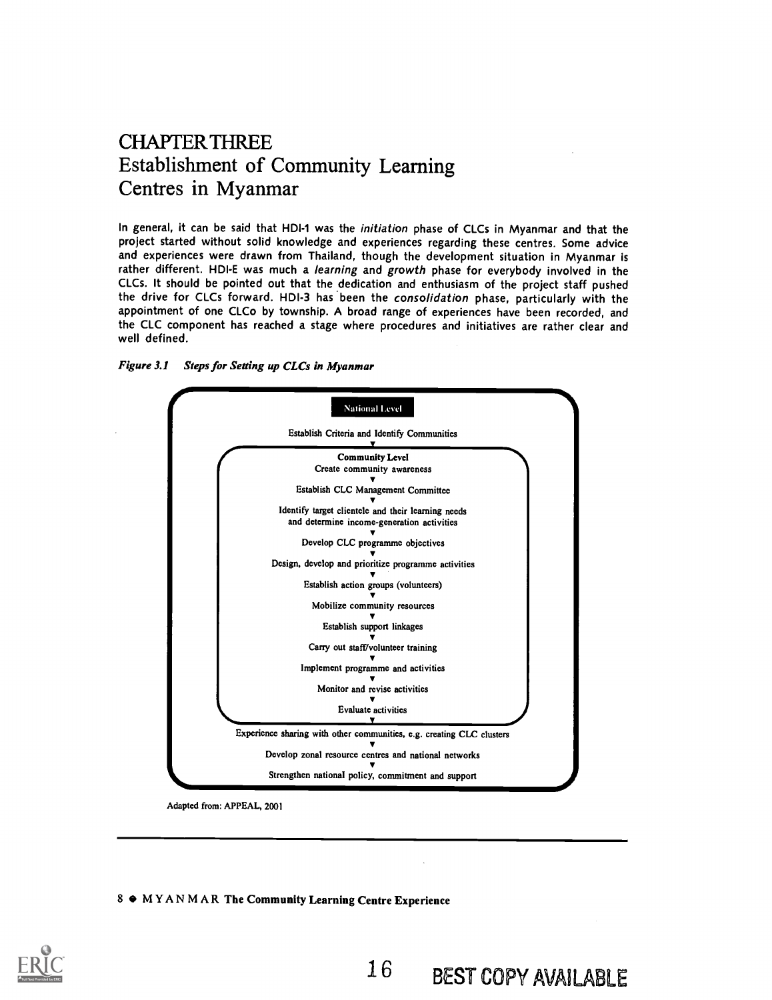# CHAPTER THREE Establishment of Community Learning Centres in Myanmar

In general, it can be said that HDI-1 was the initiation phase of CLCs in Myanmar and that the project started without solid knowledge and experiences regarding these centres. Some advice and experiences were drawn from Thailand, though the development situation in Myanmar is rather different. HDI-E was much a learning and growth phase for everybody involved in the CLCs. It should be pointed out that the dedication and enthusiasm of the project staff pushed the drive for CLCs forward. HDI-3 has been the consolidation phase, particularly with the appointment of one CLCo by township. A broad range of experiences have been recorded, and the CLC component has reached a stage where procedures and initiatives are rather clear and well defined.





Adapted from: APPEAL, 2001

#### 8  $\bullet$  MYANMAR The Community Learning Centre Experience

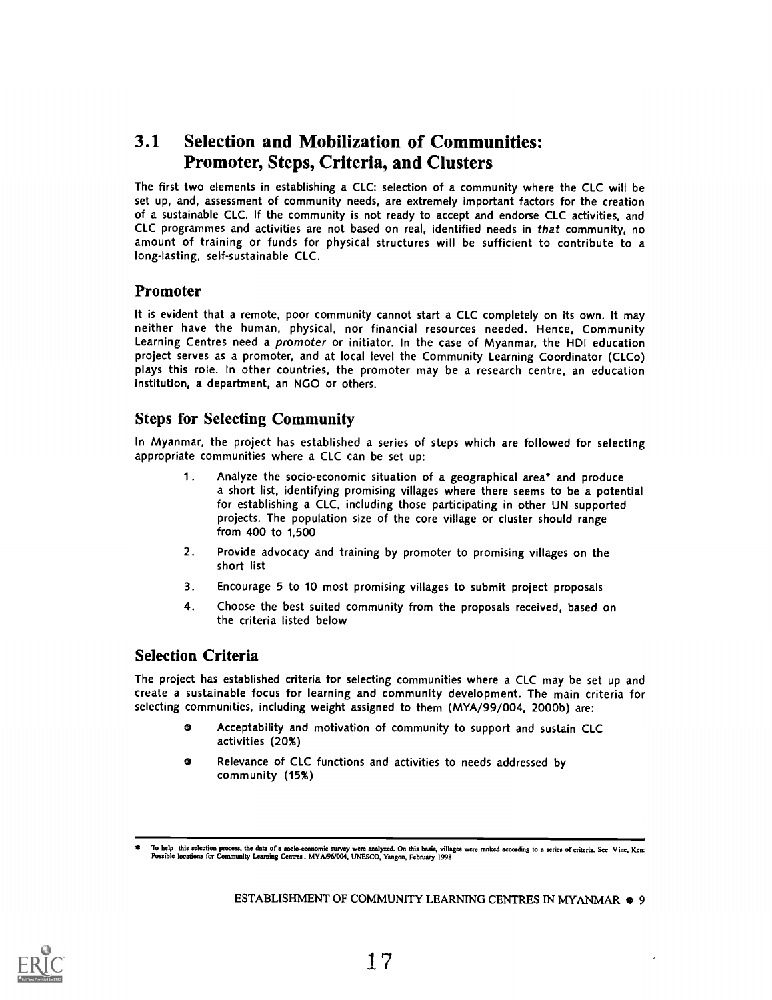# 3.1 Selection and Mobilization of Communities: Promoter, Steps, Criteria, and Clusters

The first two elements in establishing a CLC: selection of a community where the CLC will be set up, and, assessment of community needs, are extremely important factors for the creation of a sustainable CLC. If the community is not ready to accept and endorse CLC activities, and CLC programmes and activities are not based on real, identified needs in that community, no amount of training or funds for physical structures will be sufficient to contribute to a long-lasting, self-sustainable CLC.

### Promoter

It is evident that a remote, poor community cannot start a CLC completely on its own. It may neither have the human, physical, nor financial resources needed. Hence, Community Learning Centres need a promoter or initiator. In the case of Myanmar, the HDI education project serves as a promoter, and at local level the Community Learning Coordinator (CLCo) plays this role. In other countries, the promoter may be a research centre, an education institution, a department, an NGO or others.

## Steps for Selecting Community

In Myanmar, the project has established a series of steps which are followed for selecting appropriate communities where a CLC can be set up:

- 1. Analyze the socio-economic situation of a geographical area<sup>\*</sup> and produce a short list, identifying promising villages where there seems to be a potential for establishing a CLC, including those participating in other UN supported projects. The population size of the core village or cluster should range from 400 to 1,500
- 2. Provide advocacy and training by promoter to promising villages on the short list
- 3. Encourage 5 to 10 most promising villages to submit project proposals
- 4. Choose the best suited community from the proposals received, based on the criteria listed below

## Selection Criteria

The project has established criteria for selecting communities where a CLC may be set up and create a sustainable focus for learning and community development. The main criteria for selecting communities, including weight assigned to them (MYA/99/004, 2000b) are:

- $\bullet$ Acceptability and motivation of community to support and sustain CLC activities (20%)
- Relevance of CLC functions and activities to needs addressed by  $\bullet$ community (15%)



To help this selection process, the data of a socio-economic survey were analyzed. On this basis, villages were ranked according to a series of criteria. See Vine, Ken:<br>Possible locations for Community Leaming Centres. MYA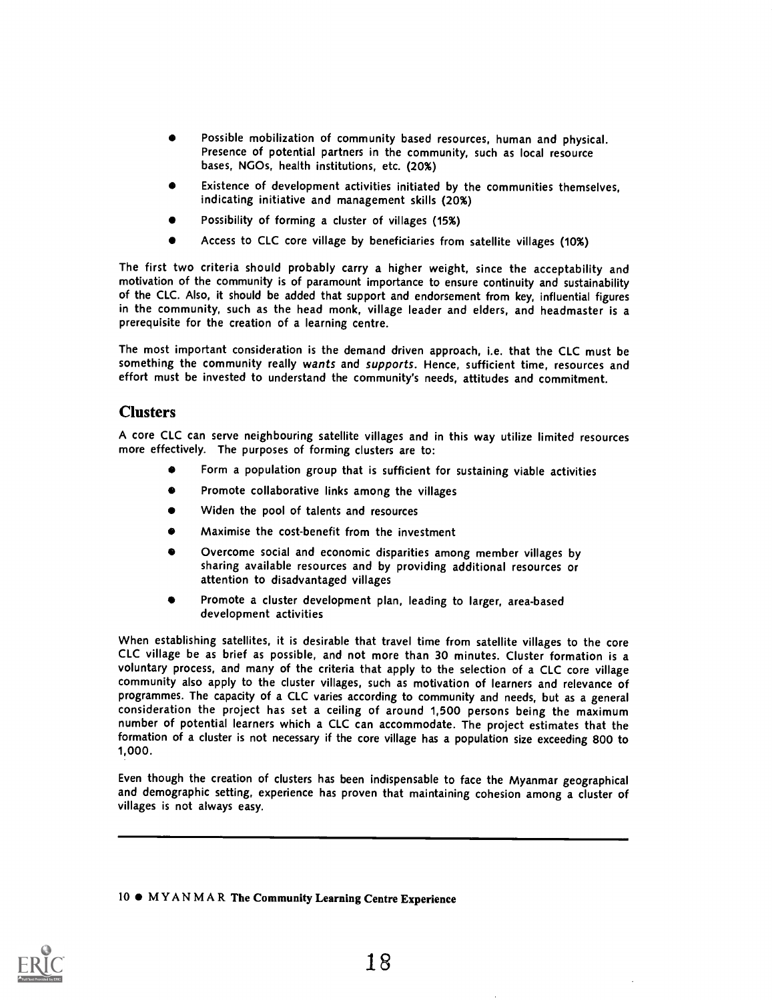- Possible mobilization of community based resources, human and physical. Presence of potential partners in the community, such as local resource bases, NGOs, health institutions, etc. (20%)
- Existence of development activities initiated by the communities themselves, indicating initiative and management skills (20%)
- Possibility of forming a cluster of villages (15%)
- Access to CLC core village by beneficiaries from satellite villages (10%)

The first two criteria should probably carry a higher weight, since the acceptability and motivation of the community is of paramount importance to ensure continuity and sustainability of the CLC. Also, it should be added that support and endorsement from key, influential figures in the community, such as the head monk, village leader and elders, and headmaster is a prerequisite for the creation of a learning centre.

The most important consideration is the demand driven approach, i.e. that the CLC must be something the community really wants and supports. Hence, sufficient time, resources and effort must be invested to understand the community's needs, attitudes and commitment.

### **Clusters**

A core CLC can serve neighbouring satellite villages and in this way utilize limited resources more effectively. The purposes of forming clusters are to:

- Form a population group that is sufficient for sustaining viable activities
- $\bullet$ Promote collaborative links among the villages
- Widen the pool of talents and resources
- Maximise the cost-benefit from the investment
- Overcome social and economic disparities among member villages by sharing available resources and by providing additional resources or attention to disadvantaged villages
- Promote a cluster development plan, leading to larger, area-based development activities

When establishing satellites, it is desirable that travel time from satellite villages to the core CLC village be as brief as possible, and not more than 30 minutes. Cluster formation is a voluntary process, and many of the criteria that apply to the selection of a CLC core village community also apply to the cluster villages, such as motivation of learners and relevance of programmes. The capacity of a CLC varies according to community and needs, but as a general consideration the project has set a ceiling of around 1,500 persons being the maximum number of potential learners which a CLC can accommodate. The project estimates that the formation of a cluster is not necessary if the core village has a population size exceeding 800 to 1,000.

Even though the creation of clusters has been indispensable to face the Myanmar geographical and demographic setting, experience has proven that maintaining cohesion among a cluster of villages is not always easy.

#### 10  $\bullet$  MYANMAR The Community Learning Centre Experience

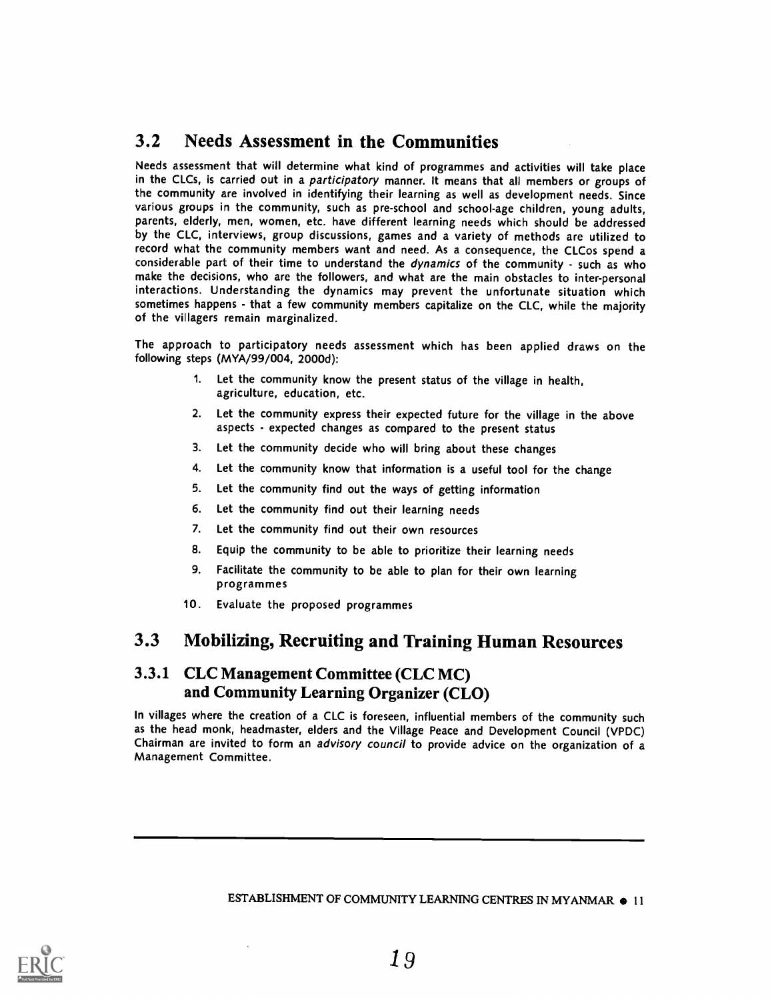## 3.2 Needs Assessment in the Communities

Needs assessment that will determine what kind of programmes and activities will take place in the CLCs, is carried out in a participatory manner. It means that all members or groups of the community are involved in identifying their learning as well as development needs. Since various groups in the community, such as pre-school and school-age children, young adults, parents, elderly, men, women, etc. have different learning needs which should be addressed by the CLC, interviews, group discussions, games and a variety of methods are utilized to record what the community members want and need. As a consequence, the CLCos spend a considerable part of their time to understand the dynamics of the community - such as who make the decisions, who are the followers, and what are the main obstacles to inter-personal interactions. Understanding the dynamics may prevent the unfortunate situation which sometimes happens - that a few community members capitalize on the CLC, while the majority of the villagers remain marginalized.

The approach to participatory needs assessment which has been applied draws on the following steps (MYA/99/004, 2000d):

- 1. Let the community know the present status of the village in health, agriculture, education, etc.
- 2. Let the community express their expected future for the village in the above aspects - expected changes as compared to the present status
- 3. Let the community decide who will bring about these changes
- 4. Let the community know that information is a useful tool for the change
- 5. Let the community find out the ways of getting information
- 6. Let the community find out their learning needs
- 7. Let the community find out their own resources
- 8. Equip the community to be able to prioritize their learning needs
- 9. Facilitate the community to be able to plan for their own learning programmes
- 10. Evaluate the proposed programmes

## 3.3 Mobilizing, Recruiting and Training Human Resources

## 3.3.1 CLC Management Committee (CLC MC) and Community Learning Organizer (CLO)

In villages where the creation of a CLC is foreseen, influential members of the community such as the head monk, headmaster, elders and the Village Peace and Development Council (VPDC) Chairman are invited to form an advisory council to provide advice on the organization of a Management Committee.

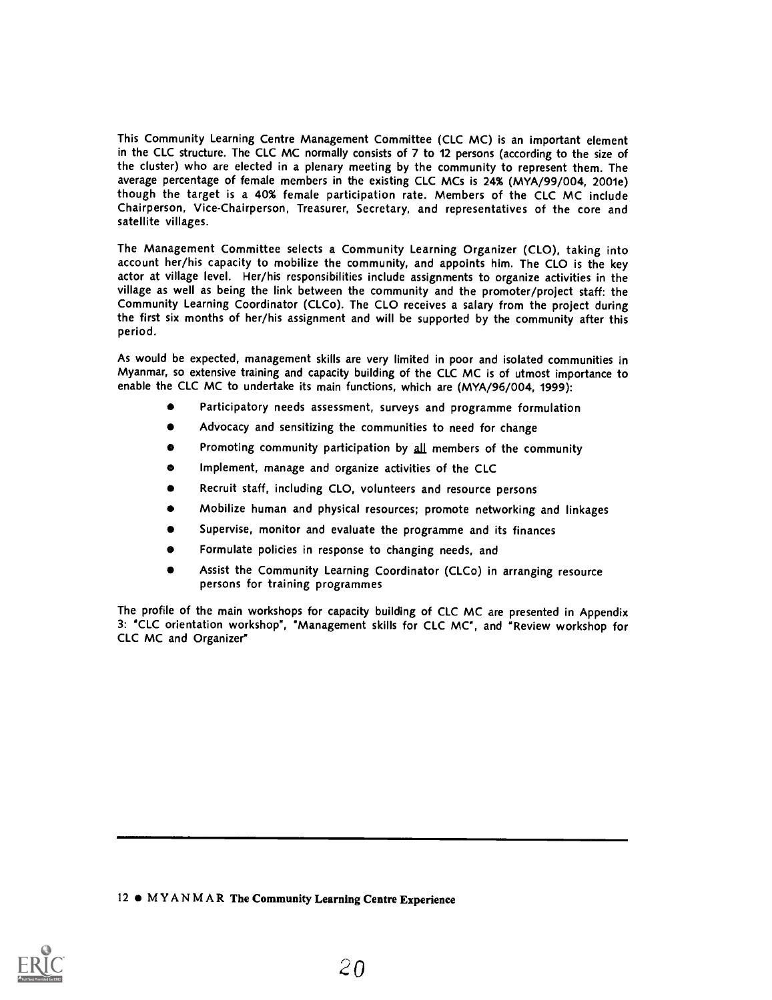This Community Learning Centre Management Committee (CLC MC) is an important element in the CLC structure. The CLC MC normally consists of 7 to 12 persons (according to the size of the cluster) who are elected in a plenary meeting by the community to represent them. The average percentage of female members in the existing CLC MCs is 24% (MYA/99/004, 2001e) though the target is a 40% female participation rate. Members of the CLC MC include Chairperson, Vice-Chairperson, Treasurer, Secretary, and representatives of the core and satellite villages.

The Management Committee selects a Community Learning Organizer (CLO), taking into account her/his capacity to mobilize the community, and appoints him. The CLO is the key actor at village level. Her/his responsibilities include assignments to organize activities in the village as well as being the link between the community and the promoter/project staff: the Community Learning Coordinator (CLCo). The CLO receives a salary from the project during the first six months of her/his assignment and will be supported by the community after this period.

As would be expected, management skills are very limited in poor and isolated communities in Myanmar, so extensive training and capacity building of the CLC MC is of utmost importance to enable the CLC MC to undertake its main functions, which are (MYA/96/004, 1999):

- Participatory needs assessment, surveys and programme formulation
- Advocacy and sensitizing the communities to need for change
- Promoting community participation by all members of the community
- Implement, manage and organize activities of the CLC
- Recruit staff, including CLO, volunteers and resource persons
- Mobilize human and physical resources; promote networking and linkages
- Supervise, monitor and evaluate the programme and its finances
- Formulate policies in response to changing needs, and
- Assist the Community Learning Coordinator (CLCo) in arranging resource persons for training programmes

The profile of the main workshops for capacity building of CLC MC are presented in Appendix 3: "CLC orientation workshop", "Management skills for CLC MC", and "Review workshop for CLC MC and Organizer"

12  $\bullet$  MYANMAR The Community Learning Centre Experience

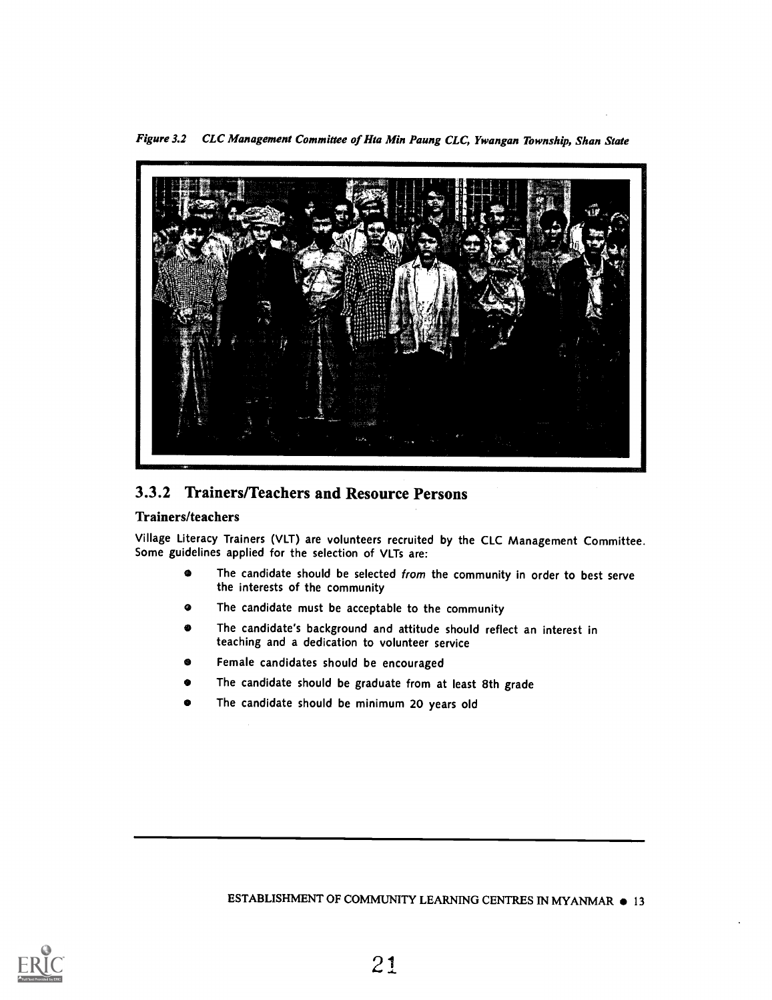Figure 3.2 CLC Management Committee of Hta Min Paung CLC, Ywangan Township, Shan State



## 3.3.2 Trainers/Teachers and Resource Persons

#### Trainers/teachers

Village Literacy Trainers (VLT) are volunteers recruited by the CLC Management Committee. Some guidelines applied for the selection of VLTs are:

- $\bullet$ The candidate should be selected from the community in order to best serve the interests of the community
- The candidate must be acceptable to the community
- Ø The candidate's background and attitude should reflect an interest in teaching and a dedication to volunteer service
- Female candidates should be encouraged
- The candidate should be graduate from at least 8th grade
- The candidate should be minimum 20 years old

ESTABLISHMENT OF COMMUNITY LEARNING CENTRES IN MYANMAR  $\bullet$  13

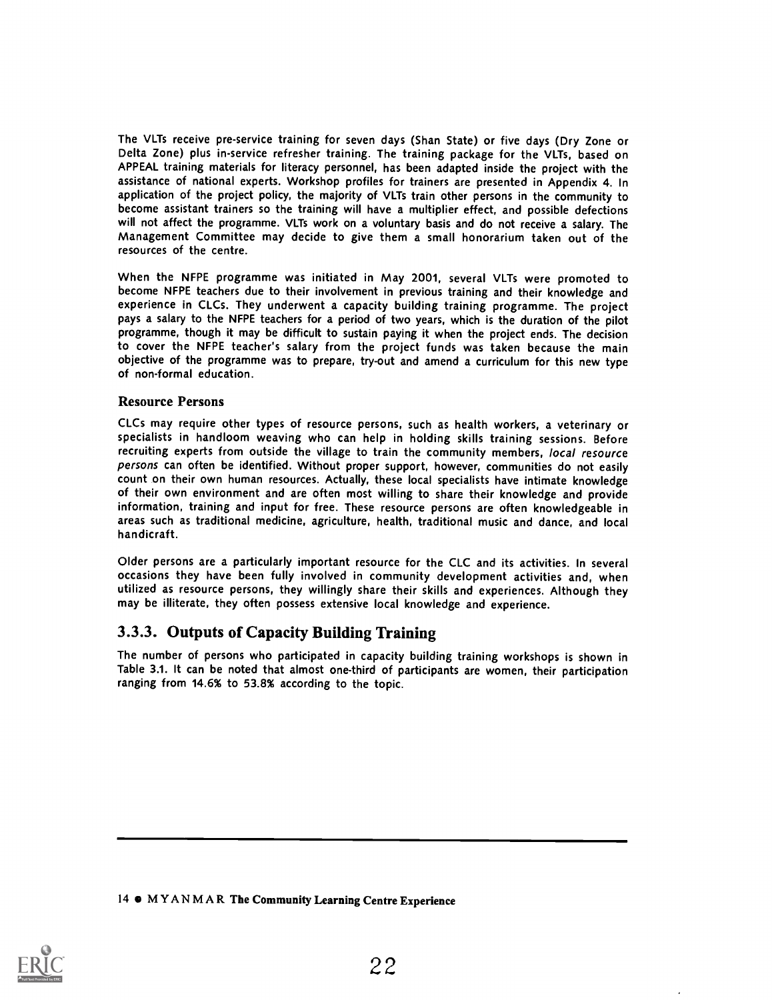The VLTs receive pre-service training for seven days (Shan State) or five days (Dry Zone or Delta Zone) plus in-service refresher training. The training package for the VLTs, based on APPEAL training materials for literacy personnel, has been adapted inside the project with the assistance of national experts. Workshop profiles for trainers are presented in Appendix 4. In application of the project policy, the majority of VLTs train other persons in the community to become assistant trainers so the training will have a multiplier effect, and possible defections will not affect the programme. VLTs work on a voluntary basis and do not receive a salary. The Management Committee may decide to give them a small honorarium taken out of the resources of the centre.

When the NFPE programme was initiated in May 2001, several VLTs were promoted to become NFPE teachers due to their involvement in previous training and their knowledge and experience in CLCs. They underwent a capacity building training programme. The project pays a salary to the NFPE teachers for a period of two years, which is the duration of the pilot programme, though it may be difficult to sustain paying it when the project ends. The decision to cover the NFPE teacher's salary from the project funds was taken because the main objective of the programme was to prepare, try-out and amend a curriculum for this new type of non-formal education.

#### Resource Persons

CLCs may require other types of resource persons, such as health workers, a veterinary or specialists in handloom weaving who can help in holding skills training sessions. Before recruiting experts from outside the village to train the community members, local resource persons can often be identified. Without proper support, however, communities do not easily count on their own human resources. Actually, these local specialists have intimate knowledge of their own environment and are often most willing to share their knowledge and provide information, training and input for free. These resource persons are often knowledgeable in areas such as traditional medicine, agriculture, health, traditional music and dance, and local handicraft.

Older persons are a particularly important resource for the CLC and its activities. In several occasions they have been fully involved in community development activities and, when utilized as resource persons, they willingly share their skills and experiences. Although they may be illiterate, they often possess extensive local knowledge and experience.

### 3.3.3. Outputs of Capacity Building Training

The number of persons who participated in capacity building training workshops is shown in Table 3.1. It can be noted that almost one-third of participants are women, their participation ranging from 14.6% to 53.8% according to the topic.

14 MYANMAR The Community Learning Centre Experience

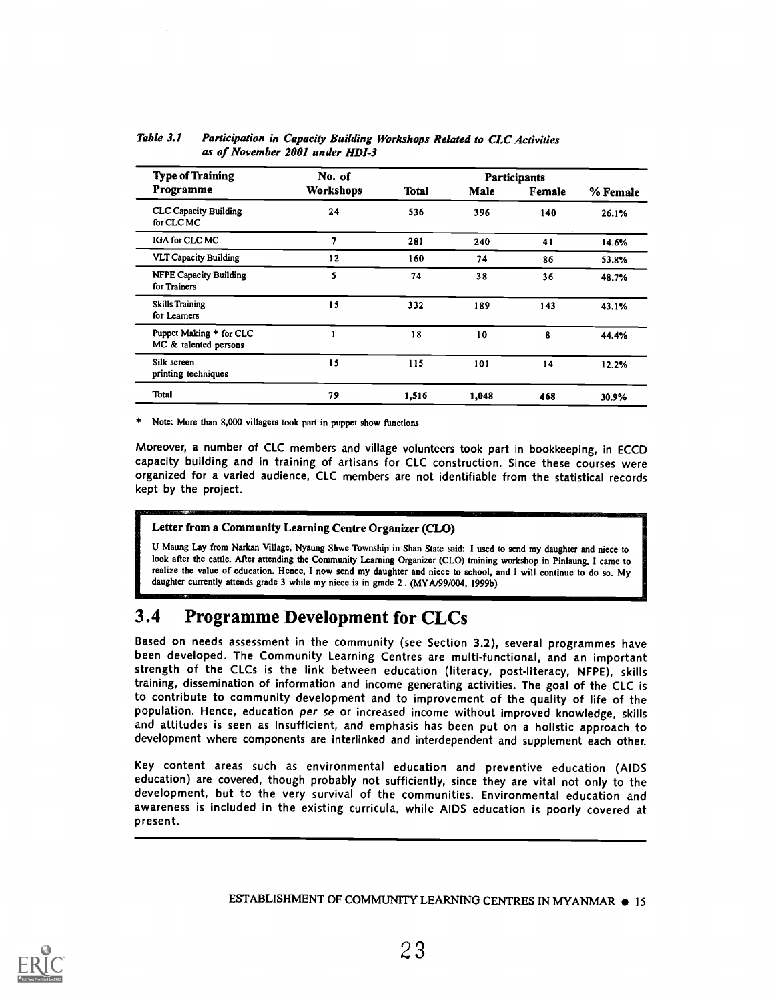| <b>Type of Training</b>                          | No. of    |              |       | <b>Participants</b> |          |
|--------------------------------------------------|-----------|--------------|-------|---------------------|----------|
| Programme                                        | Workshops | <b>Total</b> | Male  | Female              | % Female |
| <b>CLC Capacity Building</b><br>for CLC MC       | 24        | 536          | 396   | 140                 | 26.1%    |
| IGA for CLC MC                                   | 7         | 281          | 240   | 41                  | 14.6%    |
| <b>VLT Capacity Building</b>                     | 12        | 160          | 74    | 86                  | 53.8%    |
| <b>NFPE Capacity Building</b><br>for Trainers    | 5         | 74           | 38    | 36                  | 48.7%    |
| <b>Skills Training</b><br>for Learners           | 15        | 332          | 189   | 143                 | 43.1%    |
| Puppet Making * for CLC<br>MC & talented persons |           | 18           | 10    | 8                   | 44.4%    |
| Silk screen<br>printing techniques               | 15        | 115          | 101   | 14                  | 12.2%    |
| <b>Total</b>                                     | 79        | 1,516        | 1,048 | 468                 | 30.9%    |

Table 3.1 Participation in Capacity Building Workshops Related to CLC Activities as of November 2001 under HDI-3

\* Note: More than 8,000 villagers took part in puppet show functions

Moreover, a number of CLC members and village volunteers took part in bookkeeping, in ECCD capacity building and in training of artisans for CLC construction. Since these courses were organized for a varied audience, CLC members are not identifiable from the statistical records kept by the project.

#### Letter from a Community Learning Centre Organizer (CLO)

U Maung Lay from Narkan Village, Nyaung Shwe Township in Shan State said: I used to send my daughter and niece to look after the cattle. After attending the Community Learning Organizer (CLO) training workshop in Pinlaung, I came to realize the value of education. Hence, I now send my daughter and niece to school, and I will continue to do so. My daughter currently attends grade 3 while my niece is in grade 2. (MY A/99/004, 1999b)

## 3.4 Programme Development for CLCs

Based on needs assessment in the community (see Section 3.2), several programmes have<br>been developed. The Community Learning Centres are multi-functional, and an important strength of the CLCs is the link between education (literacy, post-literacy, NFPE), skills training, dissemination of information and income generating activities. The goal of the CLC is to contribute to community development and to improvement of the quality of life of the population. Hence, education per se or increased income without improved knowledge, skills and attitudes is seen as insufficient, and emphasis has been put on a holistic approach to development where components are interlinked and interdependent and supplement each other.

Key content areas such as environmental education and preventive education (AIDS education) are covered, though probably not sufficiently, since they are vital not only to the development, but to the very survival of the communities. Environmental education and awareness is included in the existing curricula, while AIDS education is poorly covered at present.

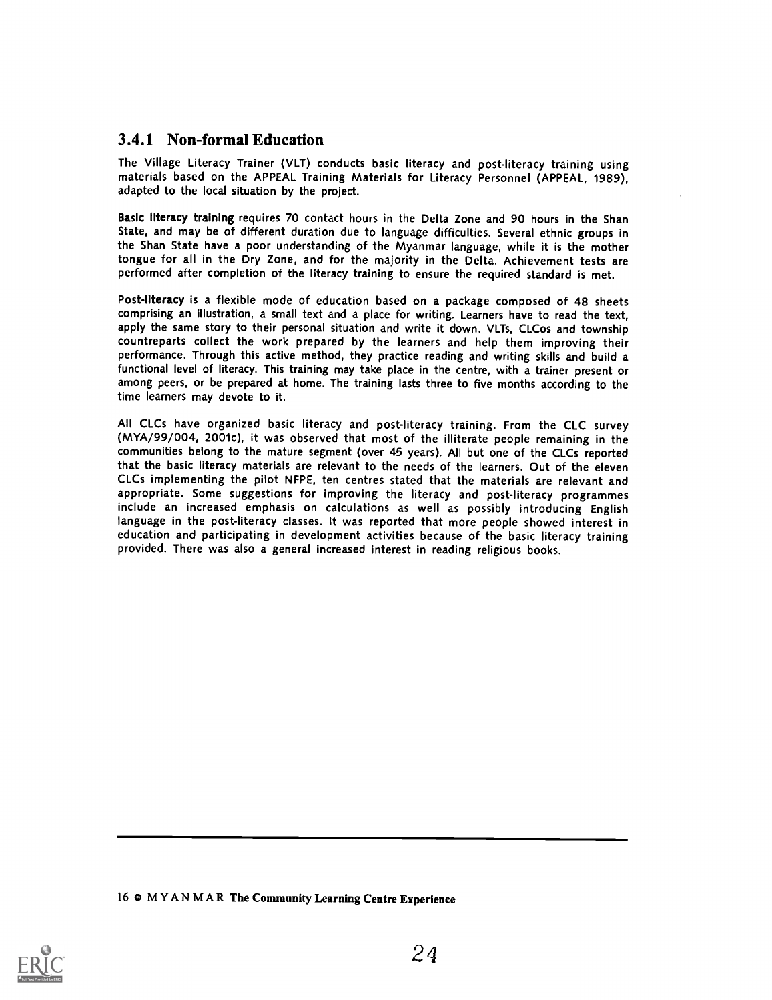## 3.4.1 Non-formal Education

The Village Literacy Trainer (VLT) conducts basic literacy and post-literacy training using materials based on the APPEAL Training Materials for Literacy Personnel (APPEAL, 1989), adapted to the local situation by the project.

Basic literacy training requires 70 contact hours in the Delta Zone and 90 hours in the Shan State, and may be of different duration due to language difficulties. Several ethnic groups in the Shan State have a poor understanding of the Myanmar language, while it is the mother tongue for all in the Dry Zone, and for the majority in the Delta. Achievement tests are performed after completion of the literacy training to ensure the required standard is met.

Post-literacy is a flexible mode of education based on a package composed of 48 sheets comprising an illustration, a small text and a place for writing. Learners have to read the text, apply the same story to their personal situation and write it down. VLTs, CLCos and township countreparts collect the work prepared by the learners and help them improving their performance. Through this active method, they practice reading and writing skills and build a functional level of literacy. This training may take place in the centre, with a trainer present or among peers, or be prepared at home. The training lasts three to five months according to the time learners may devote to it.

All CLCs have organized basic literacy and post-literacy training. From the CLC survey (MYA/99/004, 2001c), it was observed that most of the illiterate people remaining in the communities belong to the mature segment (over 45 years). All but one of the CLCs reported that the basic literacy materials are relevant to the needs of the learners. Out of the eleven CLCs implementing the pilot NFPE, ten centres stated that the materials are relevant and appropriate. Some suggestions for improving the literacy and post-literacy programmes include an increased emphasis on calculations as well as possibly introducing English language in the post-literacy classes. It was reported that more people showed interest in education and participating in development activities because of the basic literacy training provided. There was also a general increased interest in reading religious books.

16 e MYANMAR The Community Learning Centre Experience

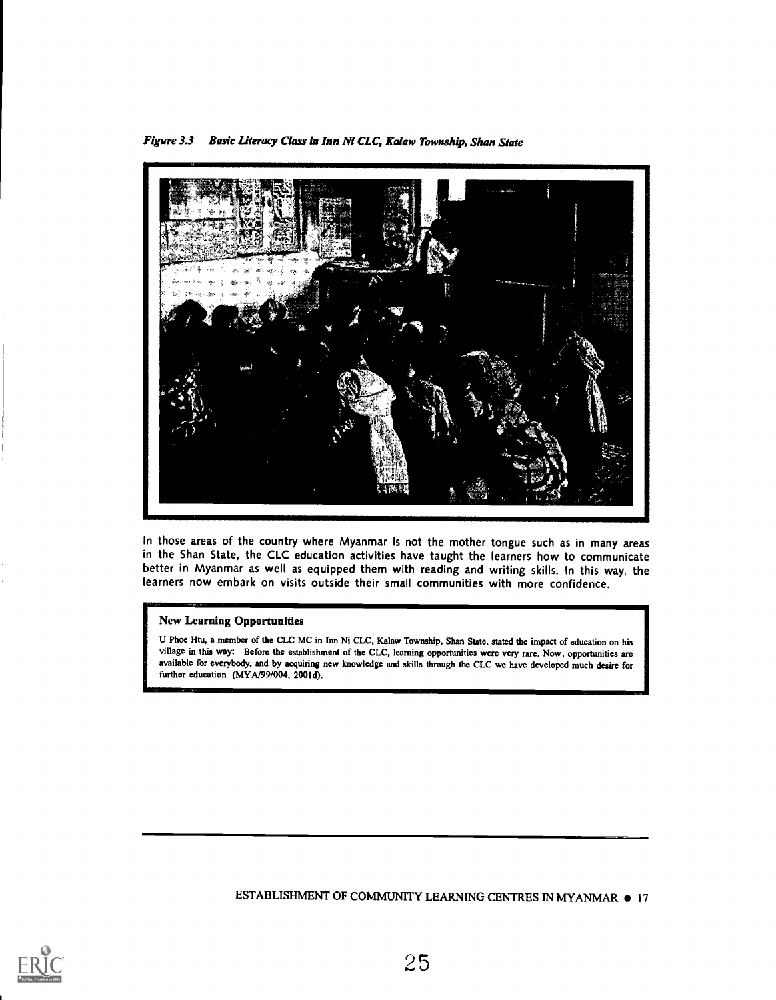Figure 3.3 Basic Literacy Class in Inn Ni CLC, Kalaw Township, Shan State



In those areas of the country where Myanmar is not the mother tongue such as in many areas in the Shan State, the CLC education activities have taught the learners how to communicate better in Myanmar as well as equipped them with reading and writing skills. In this way, the learners now embark on visits outside their small communities with more confidence.

#### New Learning Opportunities

U Phoe Htu, a member of the CLC MC in Inn Ni CLC, Kalaw Township, Shan State, stated the impact of education on his village in this way: Before the establishment of the CLC, learning opportunities were very rare. Now, opportunities are available for everybody, and by acquiring new knowledge and skills through the CLC we have developed much desire for further education (MYA/99/004, 2001d).

ESTABLISHMENT OF COMMUNITY LEARNING CENTRES IN MYANMAR  $\bullet$  17

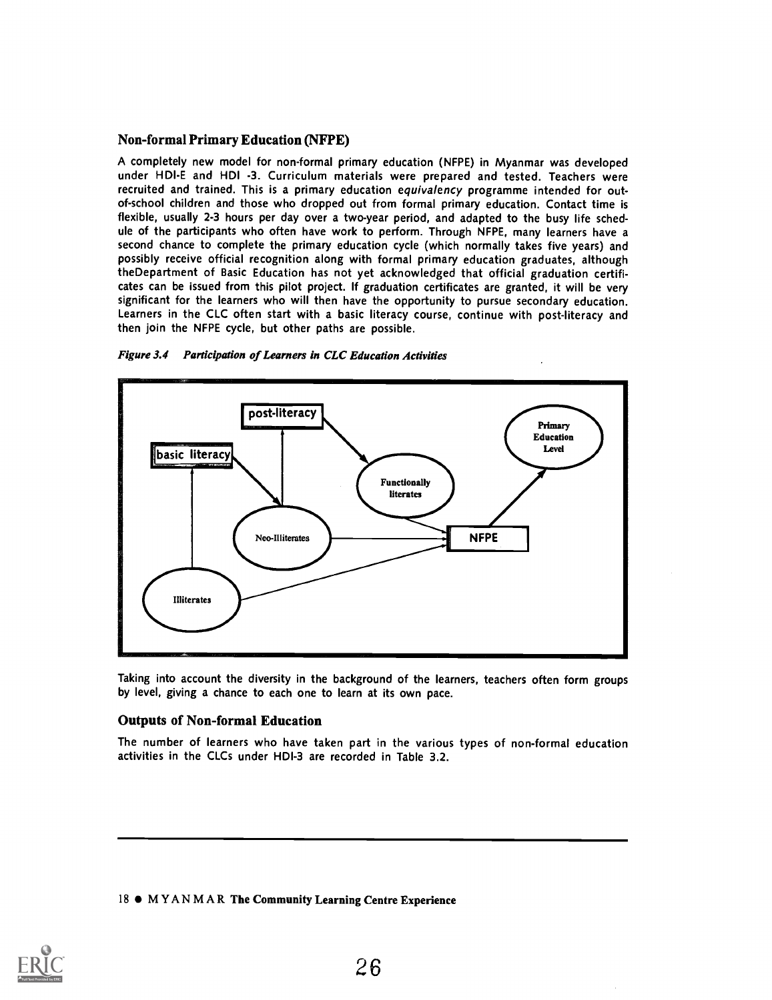#### Non-formal Primary Education (NFPE)

A completely new model for non-formal primary education (NFPE) in Myanmar was developed under HDI-E and HDI -3. Curriculum materials were prepared and tested. Teachers were recruited and trained. This is a primary education equivalency programme intended for outof-school children and those who dropped out from formal primary education. Contact time is flexible, usually 2-3 hours per day over a two-year period, and adapted to the busy life schedule of the participants who often have work to perform. Through NFPE, many learners have a second chance to complete the primary education cycle (which normally takes five years) and possibly receive official recognition along with formal primary education graduates, although theDepartment of Basic Education has not yet acknowledged that official graduation certificates can be issued from this pilot project. If graduation certificates are granted, it will be very significant for the learners who will then have the opportunity to pursue secondary education. Learners in the CLC often start with a basic literacy course, continue with post-literacy and then join the NFPE cycle, but other paths are possible.





Taking into account the diversity in the background of the learners, teachers often form groups by level, giving a chance to each one to learn at its own pace.

#### Outputs of Non-formal Education

The number of learners who have taken part in the various types of non-formal education activities in the CLCs under HDI-3 are recorded in Table 3.2.

#### 18  $\bullet$  MYANMAR The Community Learning Centre Experience

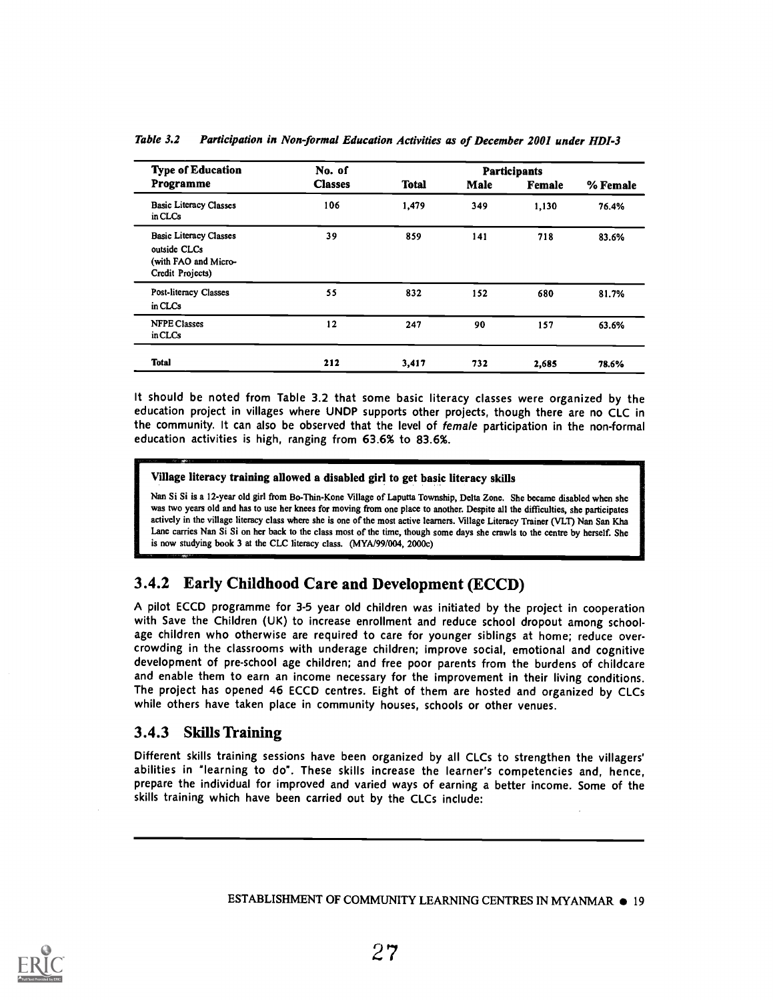| <b>Type of Education</b>                                                                  | No. of         |              |      | <b>Participants</b> |          |
|-------------------------------------------------------------------------------------------|----------------|--------------|------|---------------------|----------|
| Programme                                                                                 | <b>Classes</b> | <b>Total</b> | Male | Female              | % Female |
| <b>Basic Literacy Classes</b><br>in CLCs                                                  | 106            | 1,479        | 349  | 1,130               | 76.4%    |
| <b>Basic Literacy Classes</b><br>outside CLCs<br>(with FAO and Micro-<br>Credit Projects) | 39             | 859          | 141  | 718                 | 83.6%    |
| <b>Post-literacy Classes</b><br>in CLCs                                                   | 55             | 832          | 152  | 680                 | 81.7%    |
| <b>NFPE Classes</b><br>in CLCs                                                            | 12             | 247          | 90   | 157                 | 63.6%    |
| <b>Total</b>                                                                              | 212            | 3,417        | 732  | 2.685               | 78.6%    |

Table 3.2 Participation in Non-formal Education Activities as of December 2001 under HDI-3

It should be noted from Table 3.2 that some basic literacy classes were organized by the education project in villages where UNDP supports other projects, though there are no CLC in the community. It can also be observed that the level of female participation in the non-formal education activities is high, ranging from 63.6% to 83.6%.

Village literacy training allowed a disabled girl to get basic literacy skills

Nan Si Si is a 12-year old girl from Bo-Thin-Kone Village of Laputta Township, Delta Zone. She became disabled when she was two years old and has to use her knees for moving from one place to another. Despite all the difficulties, she participates actively in the village literacy class where she is one of the most active learners. Village Literacy Trainer (VLT) Nan San Kha Lane carries Nan Si Si on her back to the class most of the time, though some days she crawls to the centre by herself. She is now studying book 3 at the CLC literacy class. (MYA/99/004, 2000c)

## 3.4.2 Early Childhood Care and Development (ECCD)

A pilot ECCD programme for 3-5 year old children was initiated by the project in cooperation with Save the Children (UK) to increase enrollment and reduce school dropout among schoolage children who otherwise are required to care for younger siblings at home; reduce overcrowding in the classrooms with underage children; improve social, emotional and cognitive development of pre-school age children; and free poor parents from the burdens of childcare and enable them to earn an income necessary for the improvement in their living conditions. The project has opened 46 ECCD centres. Eight of them are hosted and organized by CLCs while others have taken place in community houses, schools or other venues.

## 3.4.3 Skills Training

<u>olimpia yhteensit</u>

Different skills training sessions have been organized by all CLCs to strengthen the villagers' abilities in "learning to do". These skills increase the learner's competencies and, hence, prepare the individual for improved and varied ways of earning a better income. Some of the skills training which have been carried out by the CLCs include:

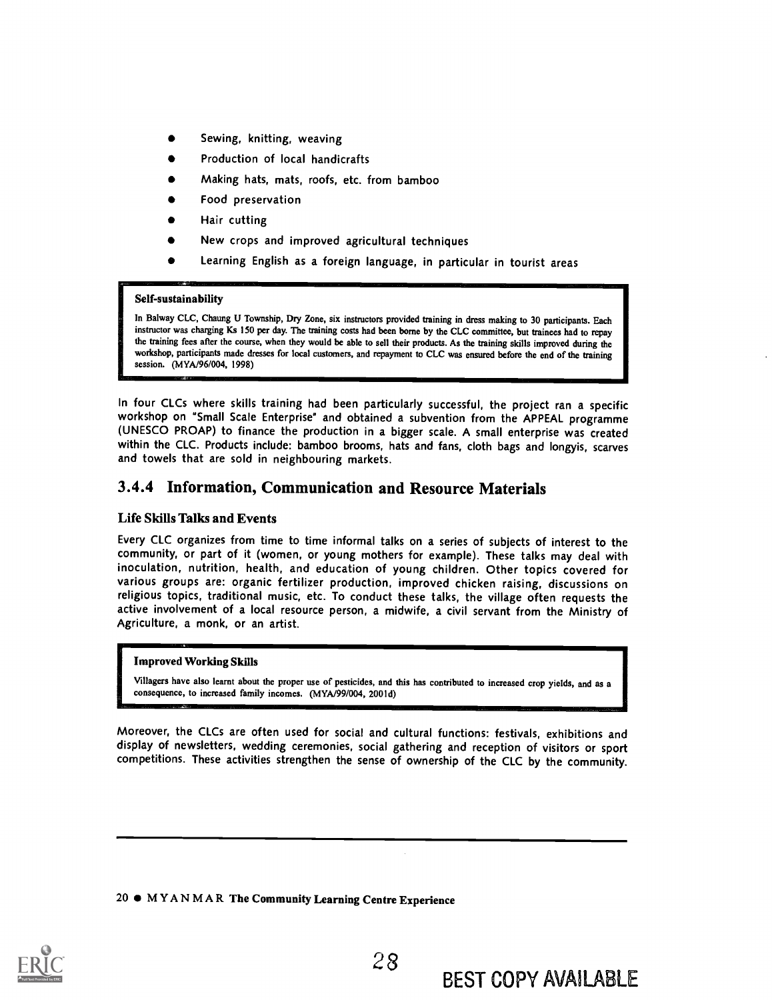- Sewing, knitting, weaving
- Production of local handicrafts
- Making hats, mats, roofs, etc. from bamboo
- Food preservation
- Hair cutting
- New crops and improved agricultural techniques
- Learning English as a foreign language, in particular in tourist areas

#### Self-sustainability

In Balway CLC, Chaung U Township, Dry Zone, six instructors provided training in dress making to 30 participants. Each instructor was charging Ks 150 per day. The training costs had been borne by the CLC committee, but trainees had to repay the training fees after the course, when they would be able to sell their products. As the training skills improved during the workshop, participants made dresses for local customers, and repayment to CLC was ensured before the end of the training session. (MYA/96/004, 1998)

In four CLCs where skills training had been particularly successful, the project ran a specific workshop on "Small Scale Enterprise" and obtained a subvention from the APPEAL programme (UNESCO PROAP) to finance the production in a bigger scale. A small enterprise was created within the CLC. Products include: bamboo brooms, hats and fans, cloth bags and longyis, scarves and towels that are sold in neighbouring markets.

### 3.4.4 Information, Communication and Resource Materials

#### Life Skills Talks and Events

Every CLC organizes from time to time informal talks on a series of subjects of interest to the community, or part of it (women, or young mothers for example). These talks may deal with inoculation, nutrition, health, and education of young children. Other topics covered for various groups are: organic fertilizer production, improved chicken raising, discussions on religious topics, traditional music, etc. To conduct these talks, the village often requests the active involvement of a local resource person, a midwife, a civil servant from the Ministry of Agriculture, a monk, or an artist.

#### Improved Working Skills

Villagers have also learnt about the proper use of pesticides, and this has contributed to increased crop yields, and as a consequence, to increased family incomes. (MYA/99/004, 2001d)

Moreover, the CLCs are often used for social and cultural functions: festivals, exhibitions and display of newsletters, wedding ceremonies, social gathering and reception of visitors or sport competitions. These activities strengthen the sense of ownership of the CLC by the community.

#### 20 MYANMAR The Community Learning Centre Experience

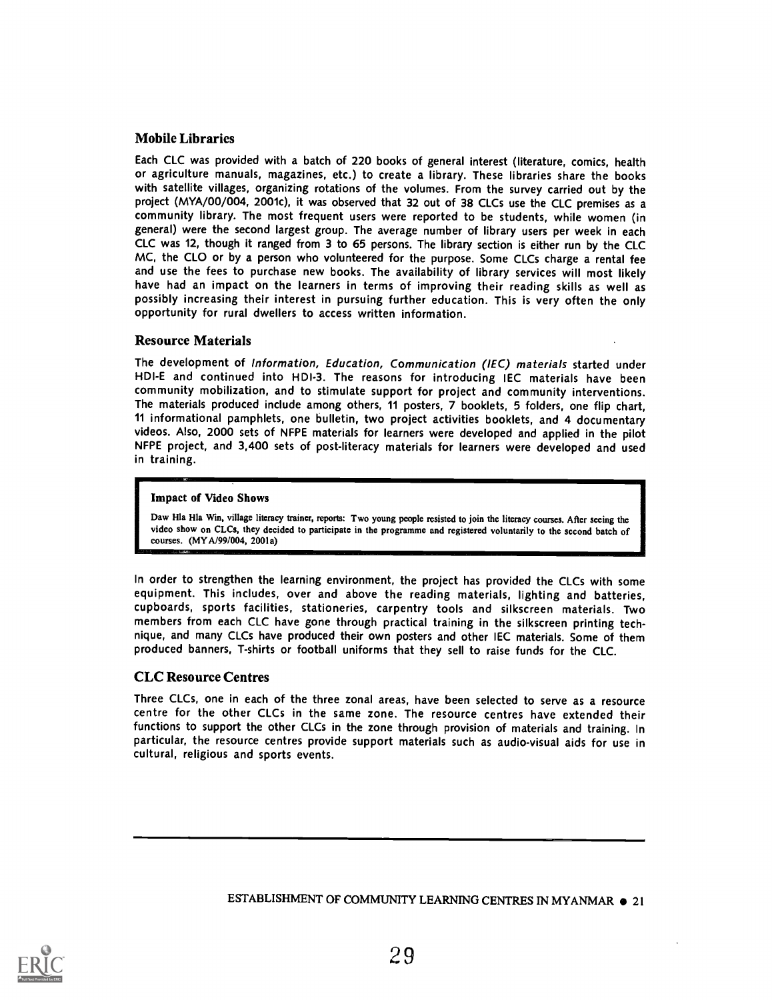#### Mobile Libraries

Each CLC was provided with a batch of 220 books of general interest (literature, comics, health or agriculture manuals, magazines, etc.) to create a library. These libraries share the books with satellite villages, organizing rotations of the volumes. From the survey carried out by the project (MYA/00/004, 2001c), it was observed that 32 out of 38 CLCs use the CLC premises as a community library. The most frequent users were reported to be students, while women (in general) were the second largest group. The average number of library users per week in each CLC was 12, though it ranged from 3 to 65 persons. The library section is either run by the CLC MC, the CLO or by a person who volunteered for the purpose. Some CLCs charge a rental fee and use the fees to purchase new books. The availability of library services will most likely have had an impact on the learners in terms of improving their reading skills as well as possibly increasing their interest in pursuing further education. This is very often the only opportunity for rural dwellers to access written information.

#### Resource Materials

The development of Information, Education, Communication (IEC) materials started under HDI-E and continued into HDI-3. The reasons for introducing IEC materials have been community mobilization, and to stimulate support for project and community interventions. The materials produced include among others, 11 posters, 7 booklets, 5 folders, one flip chart, 11 informational pamphlets, one bulletin, two project activities booklets, and 4 documentary videos. Also, 2000 sets of NFPE materials for learners were developed and applied in the pilot NFPE project, and 3,400 sets of post-literacy materials for learners were developed and used in training.

#### Impact of Video Shows

Daw Hla Hla Win, village literacy trainer, reports: Two young people resisted to join the literacy courses. After seeing the video show on CLCs, they decided to participate in the programme and registered voluntarily to the second batch of courses. (MY A/99/004, 2001a)

In order to strengthen the learning environment, the project has provided the CLCs with some equipment. This includes, over and above the reading materials, lighting and batteries, cupboards, sports facilities, stationeries, carpentry tools and silkscreen materials. Two members from each CLC have gone through practical training in the silkscreen printing technique, and many CLCs have produced their own posters and other IEC materials. Some of them produced banners, T-shirts or football uniforms that they sell to raise funds for the CLC.

#### CLC Resource Centres

Three CLCs, one in each of the three zonal areas, have been selected to serve as a resource centre for the other CLCs in the same zone. The resource centres have extended their functions to support the other CLCs in the zone through provision of materials and training. In particular, the resource centres provide support materials such as audio-visual aids for use in cultural, religious and sports events.

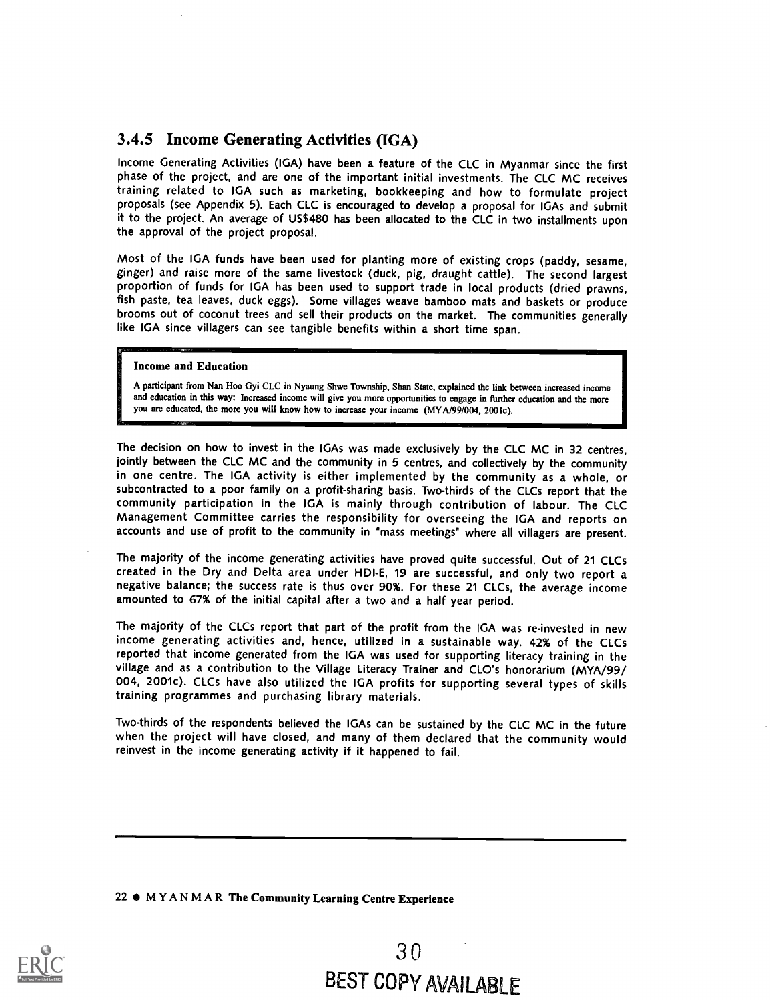## 3.4.5 Income Generating Activities (IGA)

Income Generating Activities (IGA) have been a feature of the CLC in Myanmar since the first phase of the project, and are one of the important initial investments. The CLC MC receives training related to IGA such as marketing, bookkeeping and how to formulate project proposals (see Appendix 5). Each CLC is encouraged to develop a proposal for IGAs and submit it to the project. An average of US\$480 has been allocated to the CLC in two installments upon the approval of the project proposal.

Most of the IGA funds have been used for planting more of existing crops (paddy, sesame, ginger) and raise more of the same livestock (duck, pig, draught cattle). The second largest proportion of funds for IGA has been used to support trade in local products (dried prawns, fish paste, tea leaves, duck eggs). Some villages weave bamboo mats and baskets or produce brooms out of coconut trees and sell their products on the market. The communities generally like IGA since villagers can see tangible benefits within a short time span.

#### Income and Education

A participant from Nan Hoo Gyi CLC in Nyaung Shwe Township, Shan State, explained the link between increased income and education in this way: Increased income will give you more opportunities to engage in further education and the more you are educated, the more you will know how to increase your income (MY A/99/004, 2001c).

The decision on how to invest in the IGAs was made exclusively by the CLC MC in 32 centres, jointly between the CLC MC and the community in 5 centres, and collectively by the community in one centre. The IGA activity is either implemented by the community as a whole, or subcontracted to a poor family on a profit-sharing basis. Two-thirds of the CLCs report that the community participation in the IGA is mainly through contribution of labour. The CLC Management Committee carries the responsibility for overseeing the IGA and reports on accounts and use of profit to the community in "mass meetings" where all villagers are present.

The majority of the income generating activities have proved quite successful. Out of 21 CLCs created in the Dry and Delta area under HDI-E, 19 are successful, and only two report a negative balance; the success rate is thus over 90%. For these 21 CLCs, the average income amounted to 67% of the initial capital after a two and a half year period.

The majority of the CLCs report that part of the profit from the IGA was re-invested in new income generating activities and, hence, utilized in a sustainable way. 42% of the CLCs reported that income generated from the IGA was used for supporting literacy training in the village and as a contribution to the Village Literacy Trainer and CLO's honorarium (MYA/99/ 004, 2001c). CLCs have also utilized the IGA profits for supporting several types of skills training programmes and purchasing library materials.

Two-thirds of the respondents believed the IGAs can be sustained by the CLC MC in the future when the project will have closed, and many of them declared that the community would reinvest in the income generating activity if it happened to fail.

#### 22  $\bullet$  MYANMAR The Community Learning Centre Experience

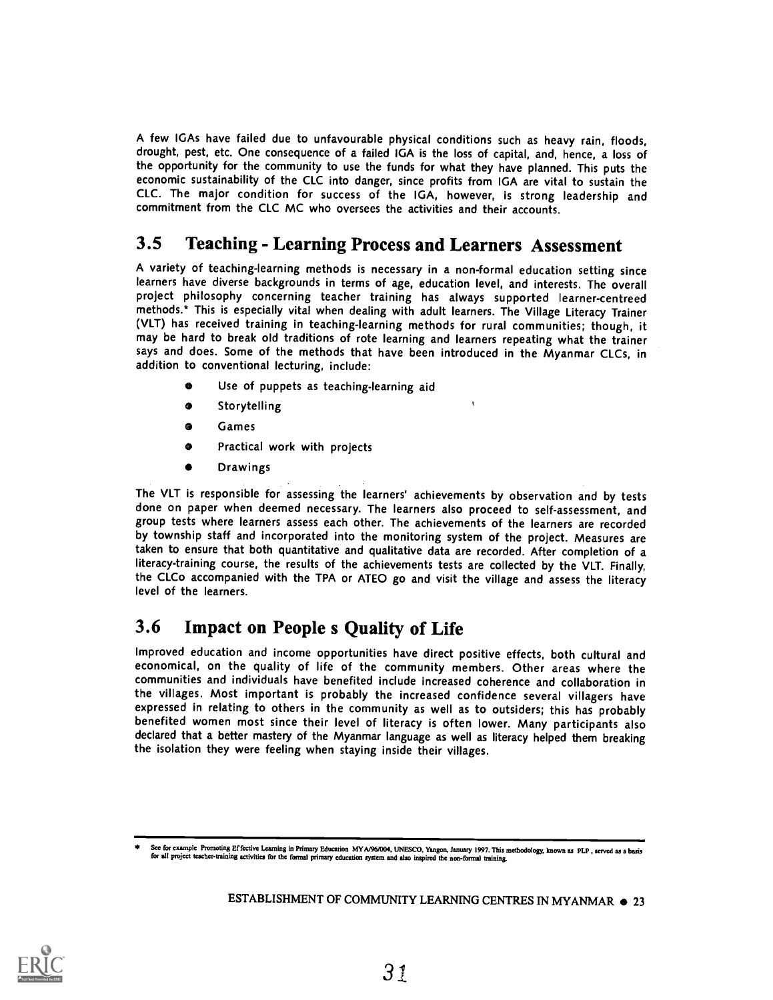A few IGAs have failed due to unfavourable physical conditions such as heavy rain, floods, drought, pest, etc. One consequence of a failed IGA is the loss of capital, and, hence, a loss of the opportunity for the community to use the funds for what they have planned. This puts the economic sustainability of the CLC into danger, since profits from IGA are vital to sustain the CLC. The major condition for success of the IGA, however, is strong leadership and commitment from the CLC MC who oversees the activities and their accounts.

# 3.5 Teaching - Learning Process and Learners Assessment

A variety of teaching-learning methods is necessary in a non-formal education setting since learners have diverse backgrounds in terms of age, education level, and interests. The overall project philosophy concerning teacher training has always supported learner-centreed methods.\* This is especially vital when dealing with adult learners. The Village Literacy Trainer (VLT) has received training in teaching-learning methods for rural communities; though, it may be hard to break old traditions of rote learning and learners repeating what the trainer says and does. Some of the methods that have been introduced in the Myanmar CLCs, in addition to conventional lecturing, include:

- Use of puppets as teaching-learning aid
- $\bullet$ Storytelling
- Games  $\bullet$
- $\bullet$ Practical work with projects
- $\bullet$ Drawings

The VLT is responsible for assessing the learners' achievements by observation and by tests done on paper when deemed necessary. The learners also proceed to self-assessment, and group tests where learners assess each other. The achievements of the learners are recorded by township staff and incorporated into the monitoring system of the project. Measures are taken to ensure that both quantitative and qualitative data are recorded. After completion of <sup>a</sup> literacy-training course, the results of the achievements tests are collected by the VLT. Finally, the CLCo accompanied with the TPA or ATEO go and visit the village and assess the literacy level of the learners.

# 3.6 Impact on People s Quality of Life

Improved education and income opportunities have direct positive effects, both cultural and economical, on the quality of life of the community members. Other areas where the communities and individuals have benefited include increased coherence and collaboration in the villages. Most important is probably the increased confidence several villagers have expressed in relating to others in the community as well as to outsiders; this has probably benefited women most since their level of literacy is often lower. Many participants also declared that a better mastery of the Myanmar language as well as literacy helped them breaking the isolation they were feeling when staying inside their villages.



See for example Fromoting Effective Learning in Primary Education MYA/96/004, UNESCO, Yangon, January 1997. This methodology, known as PLP, served as a basis<br>for all project teacher-training activities for the formal prima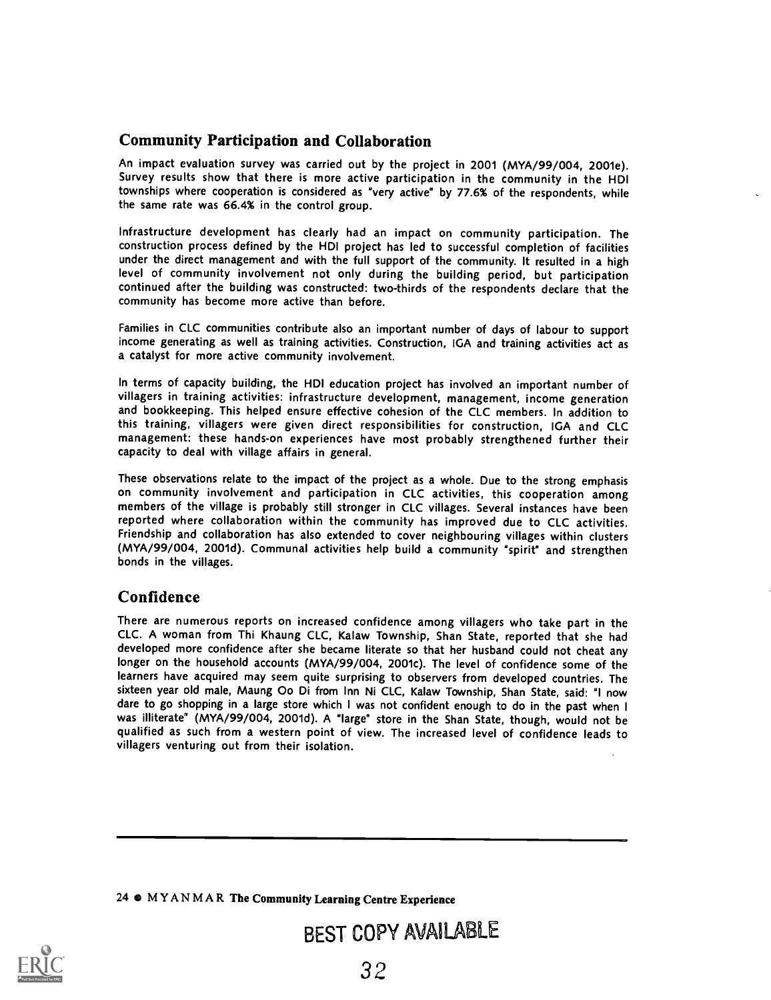## Community Participation and Collaboration

An impact evaluation survey was carried out by the project in 2001 (MYA/99/004, 2001e). Survey results show that there is more active participation in the community in the HDI townships where cooperation is considered as "very active" by 77.6% of the respondents, while the same rate was 66.4% in the control group.

Infrastructure development has clearly had an impact on community participation. The construction process defined by the HDI project has led to successful completion of facilities under the direct management and with the full support of the community. It resulted in a high level of community involvement not only during the building period, but participation continued after the building was constructed: two-thirds of the respondents declare that the community has become more active than before.

Families in CLC communities contribute also an important number of days of labour to support income generating as well as training activities. Construction, IGA and training activities act as a catalyst for more active community involvement.

In terms of capacity building, the HDI education project has involved an important number of villagers in training activities: infrastructure development, management, income generation and bookkeeping. This helped ensure effective cohesion of the CLC members. In addition to this training, villagers were given direct responsibilities for construction, IGA and CLC management: these hands-on experiences have most probably strengthened further their capacity to deal with village affairs in general.

These observations relate to the impact of the project as a whole. Due to the strong emphasis on community involvement and participation in CLC activities, this cooperation among members of the village is probably still stronger in CLC villages. Several instances have been reported where collaboration within the community has improved due to CLC activities. Friendship and collaboration has also extended to cover neighbouring villages within clusters (MYA/99/004, 2001d). Communal activities help build a community 'spirit" and strengthen bonds in the villages.

### Confidence

There are numerous reports on increased confidence among villagers who take part in the CLC. A woman from Thi Khaung CLC, Kalaw Township, Shan State, reported that she had developed more confidence after she became literate so that her husband could not cheat any longer on the household accounts (MYA/99/004, 2001c). The level of confidence some of the learners have acquired may seem quite surprising to observers from developed countries. The sixteen year old male, Maung Oo Di from Inn Ni CLC, Kalaw Township, Shan State, said: "I now dare to go shopping in a large store which I was not confident enough to do in the past when I was illiterate" (MYA/99/004, 2001d). A "large" store in the Shan State, though, would not be qualified as such from a western point of view. The increased level of confidence leads to villagers venturing out from their isolation.

24 0 MYANMAR The Community Learning Centre Experience

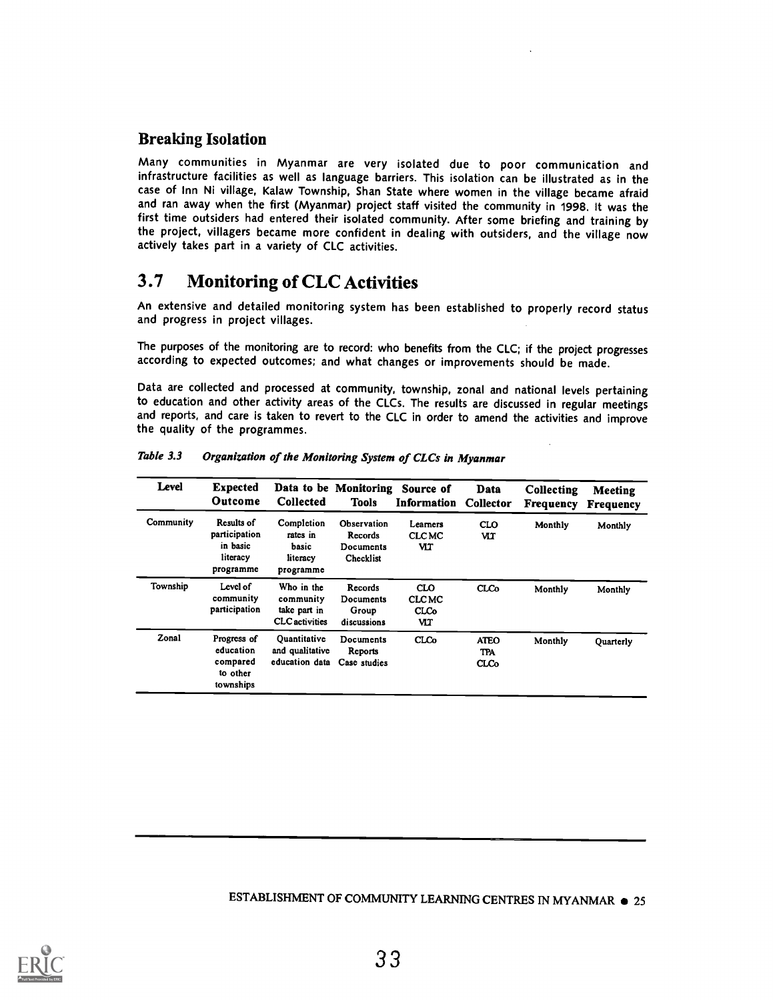## Breaking Isolation

Many communities in Myanmar are very isolated due to poor communication and infrastructure facilities as well as language barriers. This isolation can be illustrated as in the case of Inn Ni village, Kalaw Township, Shan State where women in the village became afraid and ran away when the first (Myanmar) project staff visited the community in 1998. It was the first time outsiders had entered their isolated community. After some briefing and training by the project, villagers became more confident in dealing with outsiders, and the village now actively takes part in a variety of CLC activities.

# 3.7 Monitoring of CLC Activities

An extensive and detailed monitoring system has been established to properly record status and progress in project villages.

The purposes of the monitoring are to record: who benefits from the CLC; if the project progresses according to expected outcomes; and what changes or improvements should be made.

Data are collected and processed at community, township, zonal and national levels pertaining to education and other activity areas of the CLCs. The results are discussed in regular meetings and reports, and care is taken to revert to the CLC in order to amend the activities and improve the quality of the programmes.

| Level     | <b>Expected</b><br>Outcome                                       | <b>Collected</b>                                                 | Data to be Monitoring<br><b>Tools</b>            | Source of<br>Information                        | Data<br>Collector                        | Collecting<br>Frequency | <b>Meeting</b><br><b>Frequency</b> |
|-----------|------------------------------------------------------------------|------------------------------------------------------------------|--------------------------------------------------|-------------------------------------------------|------------------------------------------|-------------------------|------------------------------------|
| Community | Results of<br>participation<br>in basic<br>literacy<br>programme | Completion<br>rates in<br>basic<br>literacy<br>programme         | Observation<br>Records<br>Documents<br>Checklist | Learners<br><b>CLCMC</b><br>VIT                 | <b>CLO</b><br>wr                         | Monthly                 | Monthly                            |
| Township  | Level of<br>community<br>participation                           | Who in the<br>community<br>take part in<br><b>CLC</b> activities | Records<br>Documents<br>Group<br>discussions     | <b>CLO</b><br><b>CLCMC</b><br><b>CLCo</b><br>VЦ | <b>CLCo</b>                              | Monthly                 | Monthly                            |
| Zonal     | Progress of<br>education<br>compared<br>to other<br>townships    | Ouantitative<br>and qualitative<br>education data                | Documents<br>Reports<br>Case studies             | CLCo                                            | <b>ATEO</b><br><b>TPA</b><br><b>CLCo</b> | Monthly                 | <b>Ouarterly</b>                   |

Table 3.3 Organization of the Monitoring System of CLCs in Myanmar

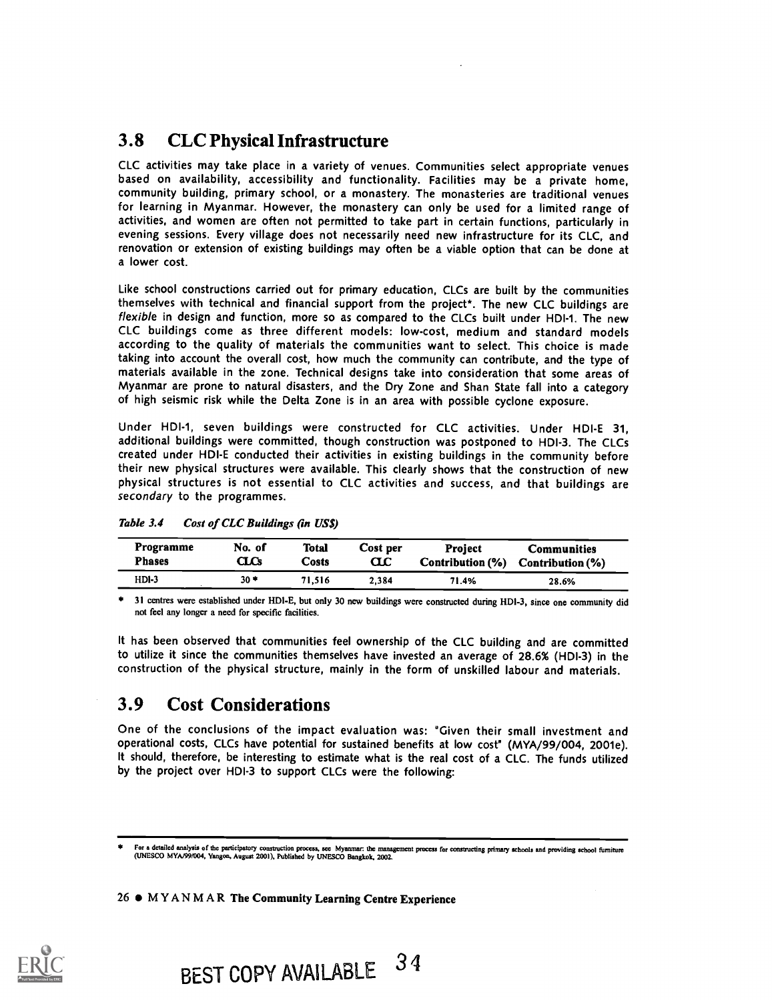# 3.8 CLC Physical Infrastructure

CLC activities may take place in a variety of venues. Communities select appropriate venues based on availability, accessibility and functionality. Facilities may be a private home, community building, primary school, or a monastery. The monasteries are traditional venues for learning in Myanmar. However, the monastery can only be used for a limited range of activities, and women are often not permitted to take part in certain functions, particularly in evening sessions. Every village does not necessarily need new infrastructure for its CLC, and renovation or extension of existing buildings may often be a viable option that can be done at a lower cost.

Like school constructions carried out for primary education, CLCs are built by the communities themselves with technical and financial support from the project\*. The new CLC buildings are flexible in design and function, more so as compared to the CLCs built under HDI-1. The new CLC buildings come as three different models: low-cost, medium and standard models according to the quality of materials the communities want to select. This choice is made taking into account the overall cost, how much the community can contribute, and the type of materials available in the zone. Technical designs take into consideration that some areas of Myanmar are prone to natural disasters, and the Dry Zone and Shan State fall into a category of high seismic risk while the Delta Zone is in an area with possible cyclone exposure.

Under HDI-1, seven buildings were constructed for CLC activities. Under HDI-E 31, additional buildings were committed, though construction was postponed to HDI-3. The CLCs created under HDI-E conducted their activities in existing buildings in the community before their new physical structures were available. This clearly shows that the construction of new physical structures is not essential to CLC activities and success, and that buildings are secondary to the programmes.

| Programme     | No. of | Total  | Cost per | <b>Project</b>   | <b>Communities</b> |
|---------------|--------|--------|----------|------------------|--------------------|
| <b>Phases</b> | CLCs   | Costs  | ŒΣ       | Contribution (%) | Contribution (%)   |
| $HDI-3$       | 30 *   | 71.516 | 2.384    | 71.4%            | 28.6%              |

Table 3.4 Cost of CLC Buildings (in US\$)

\* 31 centres were established under HDI-E, but only 30 new buildings were constructed during HDI-3, since one community did not feel any longer a need for specific facilities.

It has been observed that communities feel ownership of the CLC building and are committed to utilize it since the communities themselves have invested an average of 28.6% (HDI-3) in the construction of the physical structure, mainly in the form of unskilled labour and materials.

## 3.9 Cost Considerations

One of the conclusions of the impact evaluation was: "Given their small investment and operational costs, CLCs have potential for sustained benefits at low cost" (MYA/99/004, 2001e). It should, therefore, be interesting to estimate what is the real cost of a CLC. The funds utilized by the project over HDI-3 to support CLCs were the following:

26  $\bullet$  MYANMAR The Community Learning Centre Experience



For a detailed analysis of the participatory construction process, see Myanmar: the management process for constructing primary schools and providing school furniture (UNESCO MYA/99/004, Yangon, August 2001), Published by UNESCO Bangkok, 2002.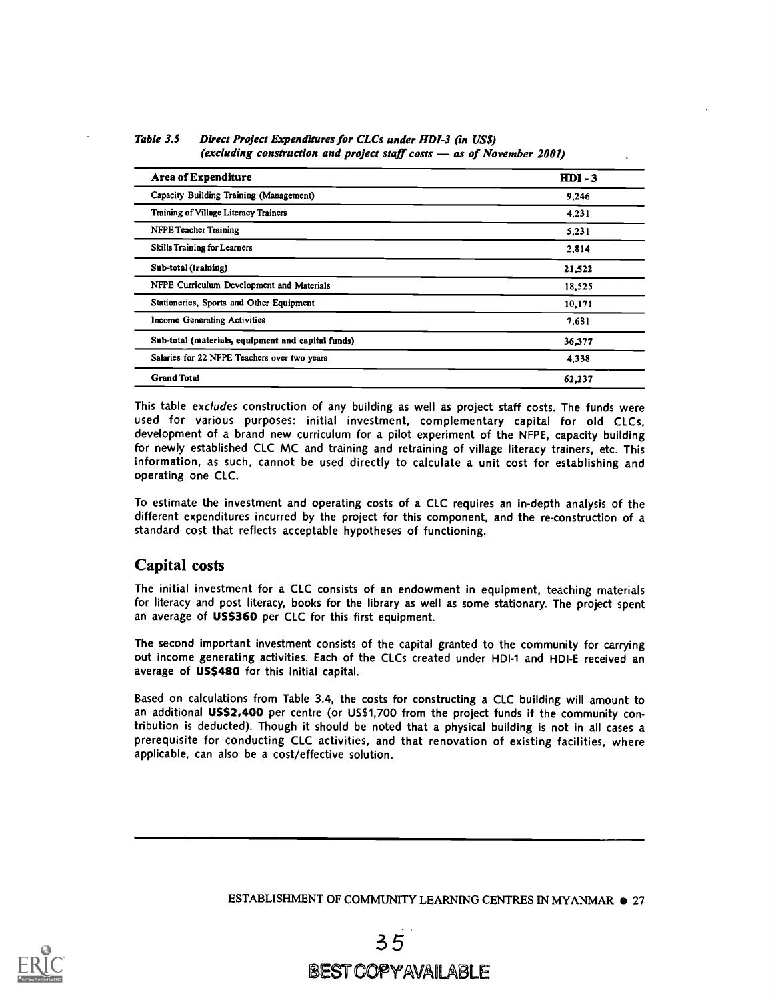| <b>Area of Expenditure</b>                         | $HDI - 3$ |
|----------------------------------------------------|-----------|
| Capacity Building Training (Management)            | 9,246     |
| Training of Village Literacy Trainers              | 4.231     |
| <b>NFPE Teacher Training</b>                       | 5,231     |
| <b>Skills Training for Learners</b>                | 2,814     |
| Sub-total (training)                               | 21,522    |
| NFPE Curriculum Development and Materials          | 18,525    |
| Stationeries, Sports and Other Equipment           | 10,171    |
| <b>Income Generating Activities</b>                | 7,681     |
| Sub-total (materials, equipment and capital funds) | 36,377    |
| Salaries for 22 NFPE Teachers over two years       | 4,338     |
| <b>Grand Total</b>                                 | 62,237    |

Table 3.5 Direct Project Expenditures for CLCs under HDI-3 (in US\$) (excluding construction and project staff costs  $-$  as of November 2001)

This table excludes construction of any building as well as project staff costs. The funds were used for various purposes: initial investment, complementary capital for old CLCs, development of a brand new curriculum for a pilot experiment of the NFPE, capacity building for newly established CLC MC and training and retraining of village literacy trainers, etc. This information, as such, cannot be used directly to calculate a unit cost for establishing and operating one CLC.

To estimate the investment and operating costs of a CLC requires an in-depth analysis of the different expenditures incurred by the project for this component, and the re-construction of a standard cost that reflects acceptable hypotheses of functioning.

### Capital costs

The initial investment for a CLC consists of an endowment in equipment, teaching materials for literacy and post literacy, books for the library as well as some stationary. The project spent an average of US\$360 per CLC for this first equipment.

The second important investment consists of the capital granted to the community for carrying out income generating activities. Each of the CLCs created under HDI-1 and HDI-E received an average of US\$480 for this initial capital.

Based on calculations from Table 3.4, the costs for constructing a CLC building will amount to an additional US\$2,400 per centre (or US\$1,700 from the project funds if the community contribution is deducted). Though it should be noted that a physical building is not in all cases a prerequisite for conducting CLC activities, and that renovation of existing facilities, where applicable, can also be a cost/effective solution.

ESTABLISHMENT OF COMMUNITY LEARNING CENTRES IN MYANMAR  $\bullet$  27

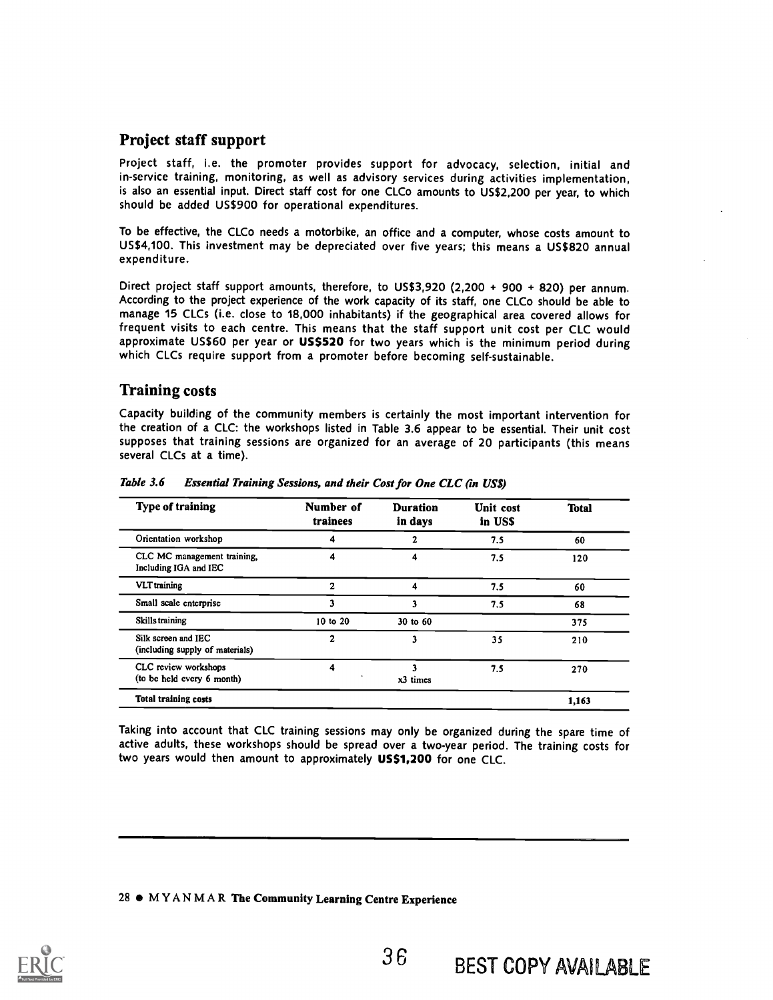## Project staff support

Project staff, i.e. the promoter provides support for advocacy, selection, initial and in-service training, monitoring, as well as advisory services during activities implementation, is also an essential input. Direct staff cost for one CLCo amounts to US\$2,200 per year, to which should be added US\$900 for operational expenditures.

To be effective, the CLCo needs a motorbike, an office and a computer, whose costs amount to US\$4,100. This investment may be depreciated over five years; this means a US\$820 annual expenditure.

Direct project staff support amounts, therefore, to US\$3,920 (2,200 + 900 + 820) per annum. According to the project experience of the work capacity of its staff, one CLCo should be able to manage 15 CLCs (i.e. close to 18,000 inhabitants) if the geographical area covered allows for frequent visits to each centre. This means that the staff support unit cost per CLC would approximate US\$60 per year or US\$520 for two years which is the minimum period during which CLCs require support from a promoter before becoming self-sustainable.

## Training costs

Capacity building of the community members is certainly the most important intervention for the creation of a CLC: the workshops listed in Table 3.6 appear to be essential. Their unit cost supposes that training sessions are organized for an average of 20 participants (this means several CLCs at a time).

| <b>Type of training</b>                                | Number of<br>trainees | <b>Duration</b><br>in days | Unit cost<br>in USS | <b>Total</b> |
|--------------------------------------------------------|-----------------------|----------------------------|---------------------|--------------|
| Orientation workshop                                   |                       |                            | 7.5                 | 60           |
| CLC MC management training.<br>Including IGA and IEC   |                       | 4                          | 7.5                 | 120          |
| <b>VLT</b> training                                    | 2                     |                            | 7.5                 | 60           |
| Small scale enterprise                                 |                       | 3                          | 7.5                 | 68           |
| Skills training                                        | 10 to 20              | 30 to 60                   |                     | 375          |
| Silk screen and IEC<br>(including supply of materials) | $\mathbf{2}$          | 3                          | 35                  | 210          |
| CLC review workshops<br>(to be held every 6 month)     | 4                     | x3 times                   | 7.5                 | 270          |
| <b>Total training costs</b>                            |                       |                            |                     | 1,163        |

Table 3.6 Essential Training Sessions, and their Cost for One CLC (in US\$)

Taking into account that CLC training sessions may only be organized during the spare time of active adults, these workshops should be spread over a two-year period. The training costs for two years would then amount to approximately US\$1,200 for one CLC.

#### 28 MYANMAR The Community Learning Centre Experience

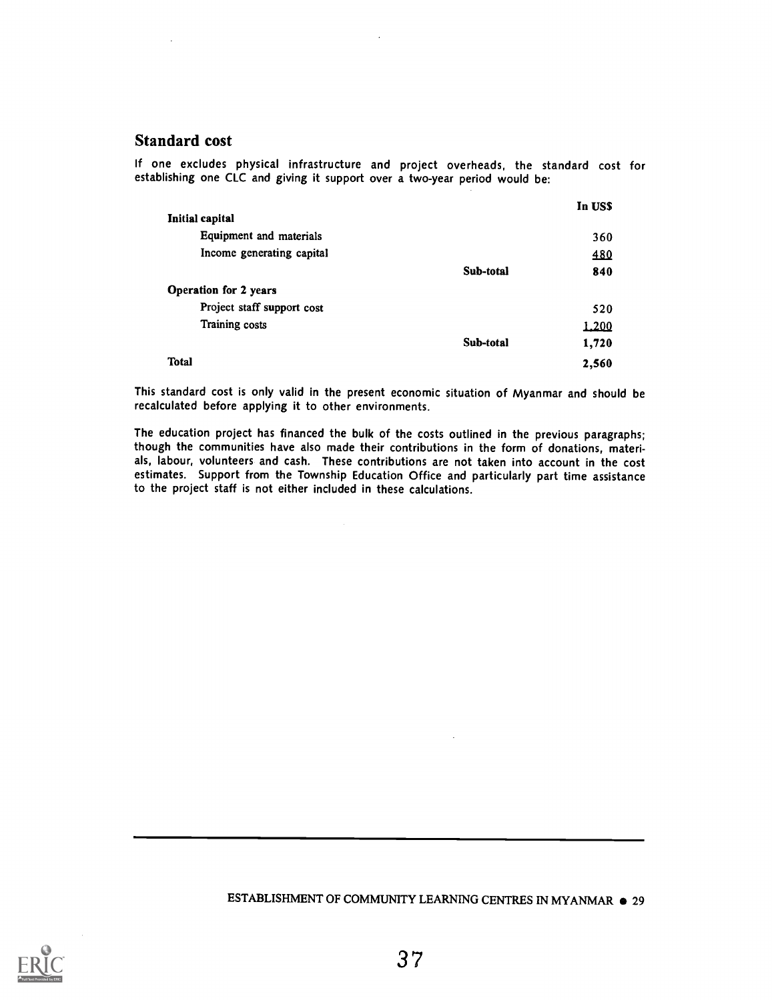#### Standard cost

If one excludes physical infrastructure and project overheads, the standard cost for establishing one CLC and giving it support over a two-year period would be:

|                              |           | In USS |
|------------------------------|-----------|--------|
| Initial capital              |           |        |
| Equipment and materials      |           | 360    |
| Income generating capital    |           | 480    |
|                              | Sub-total | 840    |
| <b>Operation for 2 years</b> |           |        |
| Project staff support cost   |           | 520    |
| Training costs               |           | 1.200  |
|                              | Sub-total | 1,720  |
| <b>Total</b>                 |           | 2,560  |

This standard cost is only valid in the present economic situation of Myanmar and should be recalculated before applying it to other environments.

The education project has financed the bulk of the costs outlined in the previous paragraphs; though the communities have also made their contributions in the form of donations, materials, labour, volunteers and cash. These contributions are not taken into account in the cost estimates. Support from the Township Education Office and particularly part time assistance to the project staff is not either included in these calculations.

#### ESTABLISHMENT OF COMMUNITY LEARNING CENTRES IN MYANMAR  $\bullet$  29

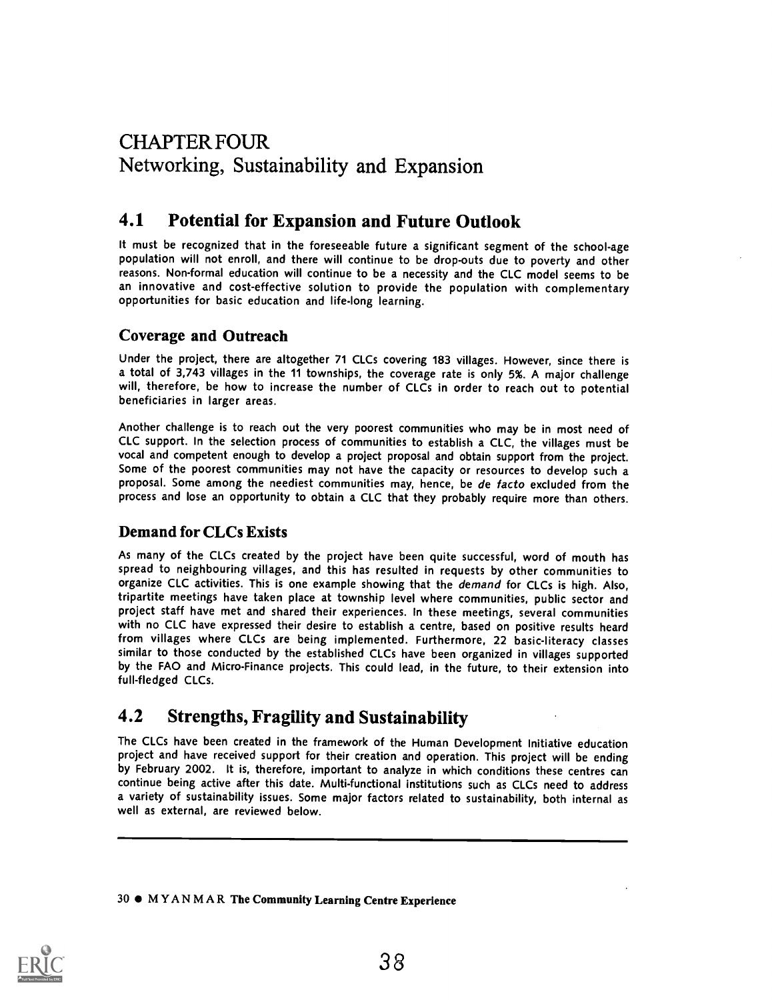# CHAPTER FOUR Networking, Sustainability and Expansion

# 4.1 Potential for Expansion and Future Outlook

It must be recognized that in the foreseeable future a significant segment of the school-age population will not enroll, and there will continue to be drop-outs due to poverty and other reasons. Non-formal education will continue to be a necessity and the CLC model seems to be an innovative and cost-effective solution to provide the population with complementary opportunities for basic education and life-long learning.

## Coverage and Outreach

Under the project, there are altogether 71 CLCs covering 183 villages. However, since there is a total of 3,743 villages in the 11 townships, the coverage rate is only 5%. A major challenge will, therefore, be how to increase the number of CLCs in order to reach out to potential beneficiaries in larger areas.

Another challenge is to reach out the very poorest communities who may be in most need of CLC support. In the selection process of communities to establish a CLC, the villages must be vocal and competent enough to develop a project proposal and obtain support from the project. Some of the poorest communities may not have the capacity or resources to develop such a proposal. Some among the neediest communities may, hence, be de facto excluded from the process and lose an opportunity to obtain a CLC that they probably require more than others.

## Demand for CLCs Exists

As many of the CLCs created by the project have been quite successful, word of mouth has spread to neighbouring villages, and this has resulted in requests by other communities to organize CLC activities. This is one example showing that the demand for CLCs is high. Also, tripartite meetings have taken place at township level where communities, public sector and project staff have met and shared their experiences. In these meetings, several communities with no CLC have expressed their desire to establish a centre, based on positive results heard from villages where CLCs are being implemented. Furthermore, 22 basic-literacy classes similar to those conducted by the established CLCs have been organized in villages supported by the FAO and Micro-Finance projects. This could lead, in the future, to their extension into full-fledged CLCs.

# 4.2 Strengths, Fragility and Sustainability

The CLCs have been created in the framework of the Human Development Initiative education project and have received support for their creation and operation. This project will be ending by February 2002. It is, therefore, important to analyze in which conditions these centres can continue being active after this date. Multi-functional institutions such as CLCs need to address a variety of sustainability issues. Some major factors related to sustainability, both internal as well as external, are reviewed below.

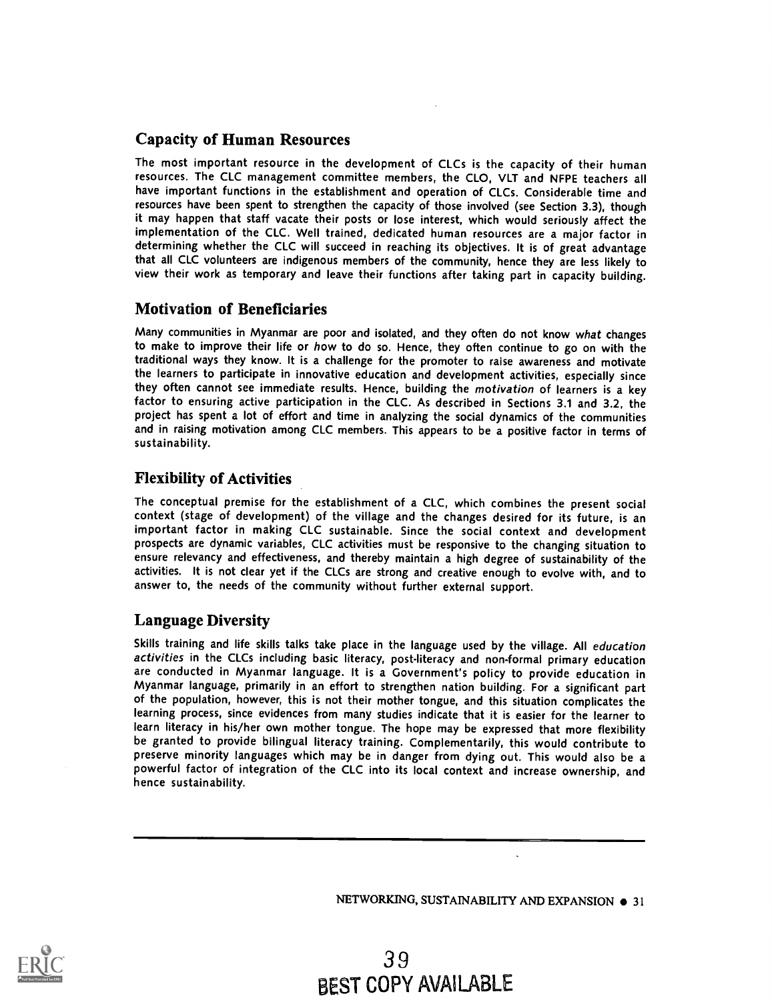## Capacity of Human Resources

The most important resource in the development of CLCs is the capacity of their human resources. The CLC management committee members, the CLO, VLT and NFPE teachers all have important functions in the establishment and operation of CLCs. Considerable time and resources have been spent to strengthen the capacity of those involved (see Section 3.3), though it may happen that staff vacate their posts or lose interest, which would seriously affect the implementation of the CLC. Well trained, dedicated human resources are a major factor in determining whether the CLC will succeed in reaching its objectives. It is of great advantage that all CLC volunteers are indigenous members of the community, hence they are less likely to view their work as temporary and leave their functions after taking part in capacity building.

### Motivation of Beneficiaries

Many communities in Myanmar are poor and isolated, and they often do not know what changes to make to improve their life or how to do so. Hence, they often continue to go on with the traditional ways they know. It is a challenge for the promoter to raise awareness and motivate the learners to participate in innovative education and development activities, especially since they often cannot see immediate results. Hence, building the motivation of learners is a key factor to ensuring active participation in the CLC. As described in Sections 3.1 and 3.2, the project has spent a lot of effort and time in analyzing the social dynamics of the communities and in raising motivation among CLC members. This appears to be a positive factor in terms of sustainability.

### Flexibility of Activities

The conceptual premise for the establishment of a CLC, which combines the present social context (stage of development) of the village and the changes desired for its future, is an important factor in making CLC sustainable. Since the social context and development prospects are dynamic variables, CLC activities must be responsive to the changing situation to ensure relevancy and effectiveness, and thereby maintain a high degree of sustainability of the activities. It is not clear yet if the CLCs are strong and creative enough to evolve with, and to answer to, the needs of the community without further external support.

### Language Diversity

Skills training and life skills talks take place in the language used by the village. All education activities in the CLCs including basic literacy, post-literacy and non-formal primary education are conducted in Myanmar language. It is a Government's policy to provide education in Myanmar language, primarily in an effort to strengthen nation building. For a significant part of the population, however, this is not their mother tongue, and this situation complicates the learning process, since evidences from many studies indicate that it is easier for the learner to learn literacy in his/her own mother tongue. The hope may be expressed that more flexibility be granted to provide bilingual literacy training. Complementarily, this would contribute to preserve minority languages which may be in danger from dying out. This would also be a powerful factor of integration of the CLC into its local context and increase ownership, and hence sustainability.

NETWORKING, SUSTAINABILITY AND EXPANSION  $\bullet$  31

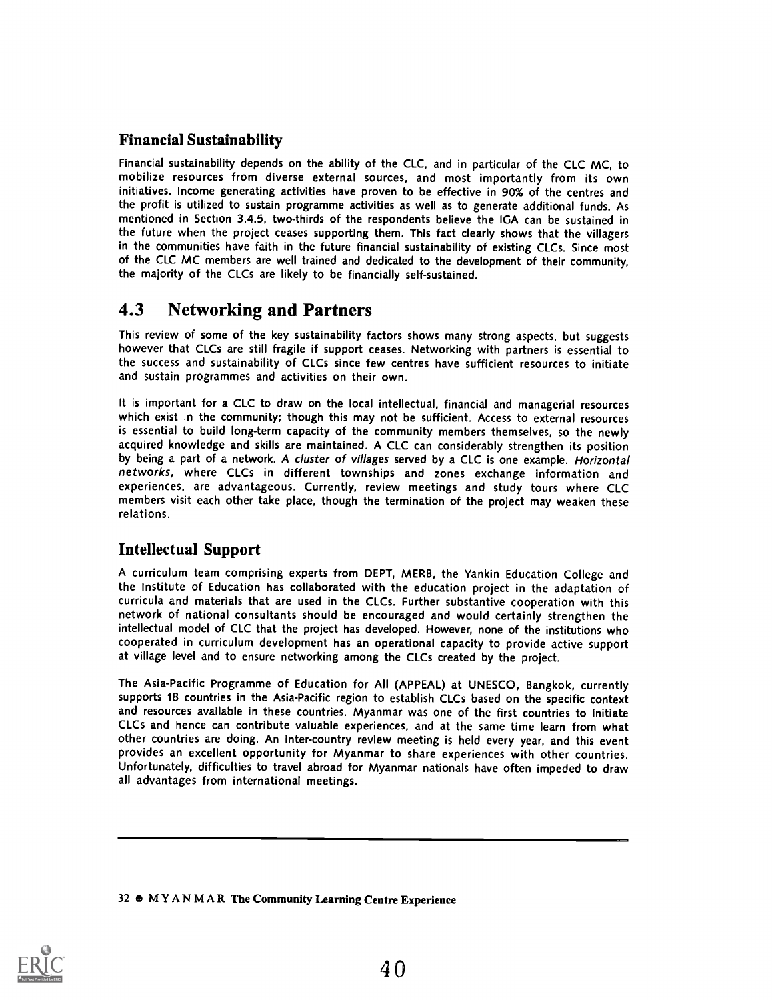## Financial Sustainability

Financial sustainability depends on the ability of the CLC, and in particular of the CLC MC, to mobilize resources from diverse external sources, and most importantly from its own initiatives. Income generating activities have proven to be effective in 90% of the centres and the profit is utilized to sustain programme activities as well as to generate additional funds. As mentioned in Section 3.4.5, two-thirds of the respondents believe the IGA can be sustained in the future when the project ceases supporting them. This fact clearly shows that the villagers in the communities have faith in the future financial sustainability of existing CLCs. Since most of the CLC MC members are well trained and dedicated to the development of their community, the majority of the CLCs are likely to be financially self-sustained.

## 4.3 Networking and Partners

This review of some of the key sustainability factors shows many strong aspects, but suggests however that CLCs are still fragile if support ceases. Networking with partners is essential to the success and sustainability of CLCs since few centres have sufficient resources to initiate and sustain programmes and activities on their own.

It is important for a CLC to draw on the local intellectual, financial and managerial resources which exist in the community; though this may not be sufficient. Access to external resources is essential to build long-term capacity of the community members themselves, so the newly acquired knowledge and skills are maintained. A CLC can considerably strengthen its position by being a part of a network. A cluster of villages served by a CLC is one example. Horizontal networks, where CLCs in different townships and zones exchange information and experiences, are advantageous. Currently, review meetings and study tours where CLC members visit each other take place, though the termination of the project may weaken these relations.

## Intellectual Support

A curriculum team comprising experts from DEPT, MERB, the Yankin Education College and the Institute of Education has collaborated with the education project in the adaptation of curricula and materials that are used in the CLCs. Further substantive cooperation with this network of national consultants should be encouraged and would certainly strengthen the intellectual model of CLC that the project has developed. However, none of the institutions who cooperated in curriculum development has an operational capacity to provide active support at village level and to ensure networking among the CLCs created by the project.

The Asia-Pacific Programme of Education for All (APPEAL) at UNESCO, Bangkok, currently supports 18 countries in the Asia-Pacific region to establish CLCs based on the specific context and resources available in these countries. Myanmar was one of the first countries to initiate CLCs and hence can contribute valuable experiences, and at the same time learn from what other countries are doing. An inter-country review meeting is held every year, and this event provides an excellent opportunity for Myanmar to share experiences with other countries. Unfortunately, difficulties to travel abroad for Myanmar nationals have often impeded to draw all advantages from international meetings.

#### 32 e MYANMAR The Community Learning Centre Experience

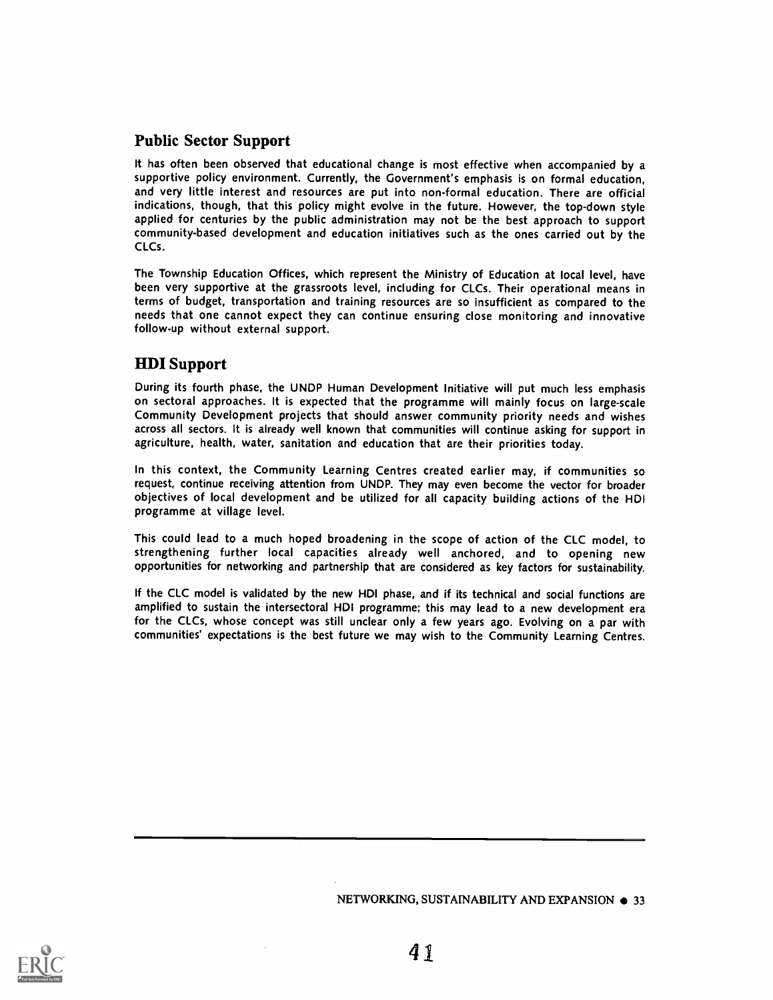## Public Sector Support

It has often been observed that educational change is most effective when accompanied by a supportive policy environment. Currently, the Government's emphasis is on formal education, and very little interest and resources are put into non-formal education. There are official indications, though, that this policy might evolve in the future. However, the top-down style applied for centuries by the public administration may not be the best approach to support community-based development and education initiatives such as the ones carried out by the CLCs.

The Township Education Offices, which represent the Ministry of Education at local level, have been very supportive at the grassroots level, including for CLCs. Their operational means in terms of budget, transportation and training resources are so insufficient as compared to the needs that one cannot expect they can continue ensuring close monitoring and innovative follow-up without external support.

## HDI Support

During its fourth phase, the UNDP Human Development Initiative will put much less emphasis on sectoral approaches. It is expected that the programme will mainly focus on large-scale Community Development projects that should answer community priority needs and wishes across all sectors. It is already well known that communities will continue asking for support in agriculture, health, water, sanitation and education that are their priorities today.

In this context, the Community Learning Centres created earlier may, if communities so request, continue receiving attention from UNDP. They may even become the vector for broader objectives of local development and be utilized for all capacity building actions of the HDI programme at village level.

This could lead to a much hoped broadening in the scope of action of the CLC model, to strengthening further local capacities already well anchored, and to opening new opportunities for networking and partnership that are considered as key factors for sustainability.

If the CLC model is validated by the new HDI phase, and if its technical and social functions are amplified to sustain the intersectoral HDI programme; this may lead to a new development era for the CLCs, whose concept was still unclear only a few years ago. Evolving on a par with communities' expectations is the best future we may wish to the Community Learning Centres.

NETWORKING, SUSTAINABILITY AND EXPANSION  $\bullet$  33

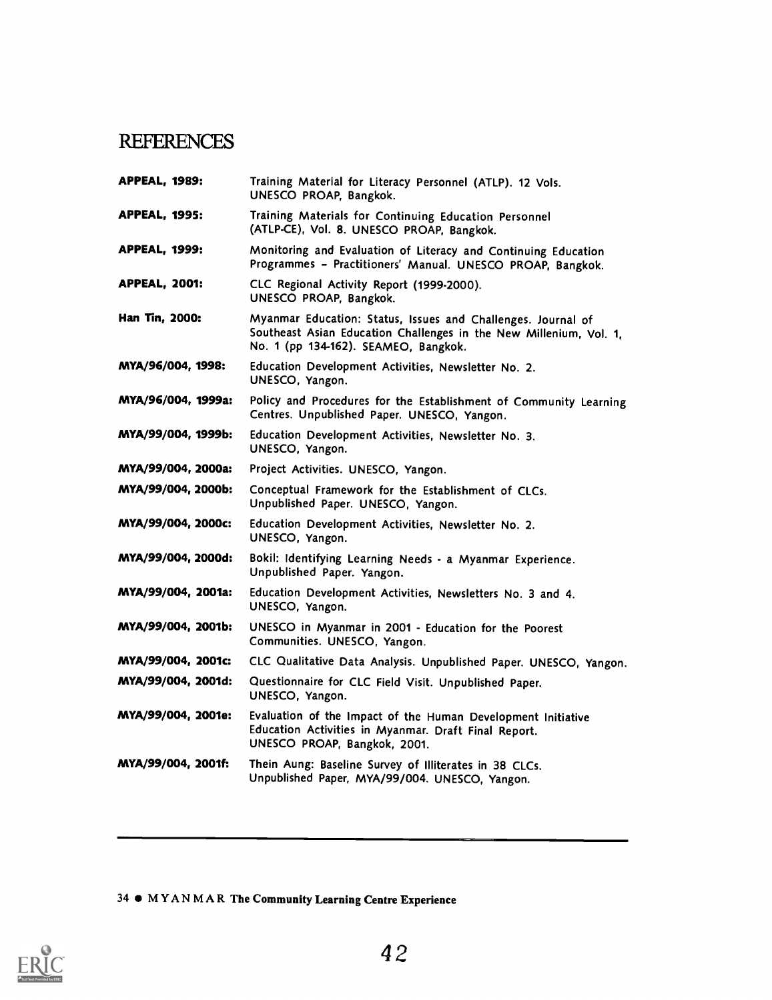# **REFERENCES**

| <b>APPEAL, 1995:</b><br>Training Materials for Continuing Education Personnel<br>(ATLP-CE), Vol. 8. UNESCO PROAP, Bangkok.<br><b>APPEAL, 1999:</b><br>Monitoring and Evaluation of Literacy and Continuing Education<br>Programmes - Practitioners' Manual. UNESCO PROAP, Bangkok.<br><b>APPEAL, 2001:</b><br>CLC Regional Activity Report (1999-2000).<br>UNESCO PROAP, Bangkok.<br>Han Tin, 2000:<br>Myanmar Education: Status, Issues and Challenges. Journal of<br>Southeast Asian Education Challenges in the New Millenium, Vol. 1,<br>No. 1 (pp 134-162). SEAMEO, Bangkok.<br>MYA/96/004, 1998:<br>Education Development Activities, Newsletter No. 2.<br>UNESCO, Yangon.<br>MYA/96/004, 1999a:<br>Policy and Procedures for the Establishment of Community Learning<br>Centres. Unpublished Paper. UNESCO, Yangon.<br>MYA/99/004, 1999b:<br>Education Development Activities, Newsletter No. 3.<br>UNESCO, Yangon.<br>MYA/99/004, 2000a:<br>Project Activities. UNESCO, Yangon.<br>MYA/99/004, 2000b:<br>Conceptual Framework for the Establishment of CLCs.<br>Unpublished Paper. UNESCO, Yangon.<br>MYA/99/004, 2000c:<br>Education Development Activities, Newsletter No. 2.<br>UNESCO, Yangon.<br>MYA/99/004, 2000d: |                                                                                                          |
|----------------------------------------------------------------------------------------------------------------------------------------------------------------------------------------------------------------------------------------------------------------------------------------------------------------------------------------------------------------------------------------------------------------------------------------------------------------------------------------------------------------------------------------------------------------------------------------------------------------------------------------------------------------------------------------------------------------------------------------------------------------------------------------------------------------------------------------------------------------------------------------------------------------------------------------------------------------------------------------------------------------------------------------------------------------------------------------------------------------------------------------------------------------------------------------------------------------------------------|----------------------------------------------------------------------------------------------------------|
|                                                                                                                                                                                                                                                                                                                                                                                                                                                                                                                                                                                                                                                                                                                                                                                                                                                                                                                                                                                                                                                                                                                                                                                                                                  |                                                                                                          |
|                                                                                                                                                                                                                                                                                                                                                                                                                                                                                                                                                                                                                                                                                                                                                                                                                                                                                                                                                                                                                                                                                                                                                                                                                                  |                                                                                                          |
|                                                                                                                                                                                                                                                                                                                                                                                                                                                                                                                                                                                                                                                                                                                                                                                                                                                                                                                                                                                                                                                                                                                                                                                                                                  |                                                                                                          |
|                                                                                                                                                                                                                                                                                                                                                                                                                                                                                                                                                                                                                                                                                                                                                                                                                                                                                                                                                                                                                                                                                                                                                                                                                                  |                                                                                                          |
|                                                                                                                                                                                                                                                                                                                                                                                                                                                                                                                                                                                                                                                                                                                                                                                                                                                                                                                                                                                                                                                                                                                                                                                                                                  |                                                                                                          |
|                                                                                                                                                                                                                                                                                                                                                                                                                                                                                                                                                                                                                                                                                                                                                                                                                                                                                                                                                                                                                                                                                                                                                                                                                                  |                                                                                                          |
|                                                                                                                                                                                                                                                                                                                                                                                                                                                                                                                                                                                                                                                                                                                                                                                                                                                                                                                                                                                                                                                                                                                                                                                                                                  |                                                                                                          |
|                                                                                                                                                                                                                                                                                                                                                                                                                                                                                                                                                                                                                                                                                                                                                                                                                                                                                                                                                                                                                                                                                                                                                                                                                                  |                                                                                                          |
|                                                                                                                                                                                                                                                                                                                                                                                                                                                                                                                                                                                                                                                                                                                                                                                                                                                                                                                                                                                                                                                                                                                                                                                                                                  |                                                                                                          |
|                                                                                                                                                                                                                                                                                                                                                                                                                                                                                                                                                                                                                                                                                                                                                                                                                                                                                                                                                                                                                                                                                                                                                                                                                                  |                                                                                                          |
| Bokil: Identifying Learning Needs - a Myanmar Experience.<br>Unpublished Paper. Yangon.                                                                                                                                                                                                                                                                                                                                                                                                                                                                                                                                                                                                                                                                                                                                                                                                                                                                                                                                                                                                                                                                                                                                          |                                                                                                          |
| MYA/99/004, 2001a:<br>Education Development Activities, Newsletters No. 3 and 4.<br>UNESCO, Yangon.                                                                                                                                                                                                                                                                                                                                                                                                                                                                                                                                                                                                                                                                                                                                                                                                                                                                                                                                                                                                                                                                                                                              |                                                                                                          |
| MYA/99/004, 2001b:<br>UNESCO in Myanmar in 2001 - Education for the Poorest<br>Communities. UNESCO, Yangon.                                                                                                                                                                                                                                                                                                                                                                                                                                                                                                                                                                                                                                                                                                                                                                                                                                                                                                                                                                                                                                                                                                                      |                                                                                                          |
| MYA/99/004, 2001c:<br>CLC Qualitative Data Analysis. Unpublished Paper. UNESCO, Yangon.                                                                                                                                                                                                                                                                                                                                                                                                                                                                                                                                                                                                                                                                                                                                                                                                                                                                                                                                                                                                                                                                                                                                          |                                                                                                          |
| MYA/99/004, 2001d:<br>Questionnaire for CLC Field Visit. Unpublished Paper.<br>UNESCO, Yangon.                                                                                                                                                                                                                                                                                                                                                                                                                                                                                                                                                                                                                                                                                                                                                                                                                                                                                                                                                                                                                                                                                                                                   |                                                                                                          |
| MYA/99/004, 2001e:<br>Evaluation of the Impact of the Human Development Initiative                                                                                                                                                                                                                                                                                                                                                                                                                                                                                                                                                                                                                                                                                                                                                                                                                                                                                                                                                                                                                                                                                                                                               |                                                                                                          |
| Education Activities in Myanmar. Draft Final Report.<br>UNESCO PROAP, Bangkok, 2001.                                                                                                                                                                                                                                                                                                                                                                                                                                                                                                                                                                                                                                                                                                                                                                                                                                                                                                                                                                                                                                                                                                                                             | Thein Aung: Baseline Survey of Illiterates in 38 CLCs.<br>Unpublished Paper, MYA/99/004. UNESCO, Yangon. |

34  $\bullet$  MYANMAR The Community Learning Centre Experience

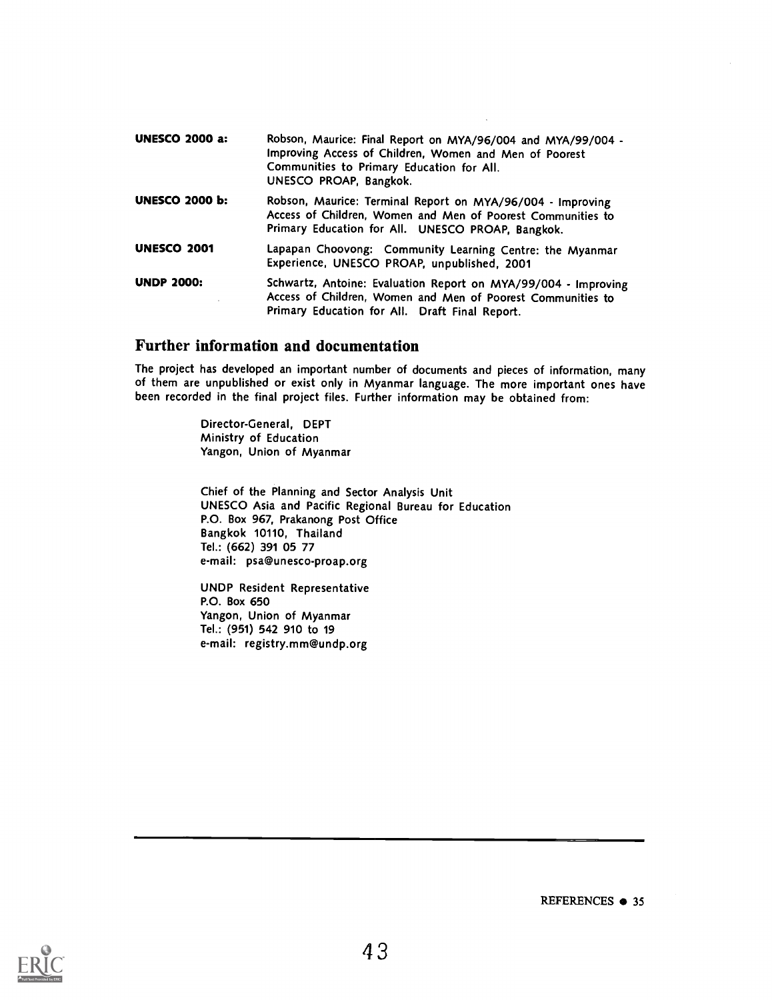| <b>UNESCO 2000 a:</b> | Robson, Maurice: Final Report on MYA/96/004 and MYA/99/004 -<br>Improving Access of Children, Women and Men of Poorest<br>Communities to Primary Education for All.<br>UNESCO PROAP, Bangkok. |
|-----------------------|-----------------------------------------------------------------------------------------------------------------------------------------------------------------------------------------------|
| <b>UNESCO 2000 b:</b> | Robson, Maurice: Terminal Report on MYA/96/004 - Improving<br>Access of Children, Women and Men of Poorest Communities to<br>Primary Education for All. UNESCO PROAP, Bangkok.                |
| <b>UNESCO 2001</b>    | Lapapan Choovong: Community Learning Centre: the Myanmar<br>Experience, UNESCO PROAP, unpublished, 2001                                                                                       |
| <b>UNDP 2000:</b>     | Schwartz, Antoine: Evaluation Report on MYA/99/004 - Improving<br>Access of Children, Women and Men of Poorest Communities to<br>Primary Education for All. Draft Final Report.               |

### Further information and documentation

The project has developed an important number of documents and pieces of information, many of them are unpublished or exist only in Myanmar language. The more important ones have been recorded in the final project files. Further information may be obtained from:

> Director-General, DEPT Ministry of Education Yangon, Union of Myanmar

Chief of the Planning and Sector Analysis Unit UNESCO Asia and Pacific Regional Bureau for Education P.O. Box 967, Prakanong Post Office Bangkok 10110, Thailand Tel.: (662) 391 05 77 e-mail: psa@unesco-proap.org

UNDP Resident Representative P.O. Box 650 Yangon, Union of Myanmar Tel.: (951) 542 910 to 19 e-mail: registry.mm@undp.org



REFERENCES  $\bullet$  35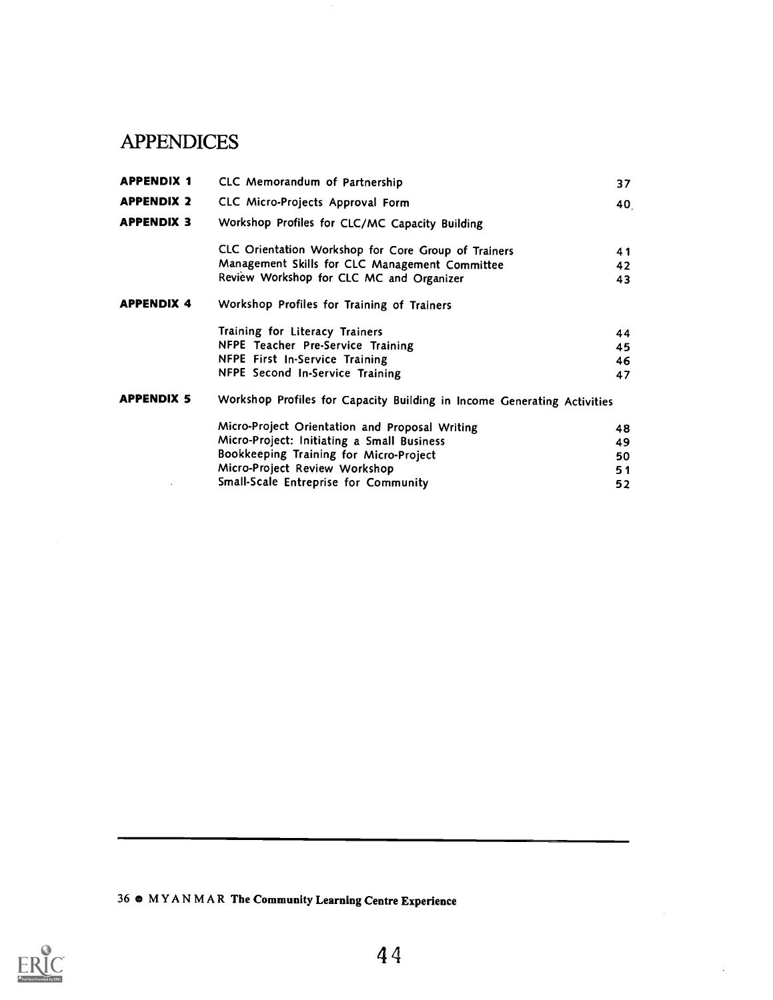# APPENDICES

| <b>APPENDIX 1</b> | CLC Memorandum of Partnership                                           | 37 |
|-------------------|-------------------------------------------------------------------------|----|
| <b>APPENDIX 2</b> | CLC Micro-Projects Approval Form                                        | 40 |
| <b>APPENDIX 3</b> | Workshop Profiles for CLC/MC Capacity Building                          |    |
|                   | CLC Orientation Workshop for Core Group of Trainers                     | 41 |
|                   | Management Skills for CLC Management Committee                          | 42 |
|                   | Review Workshop for CLC MC and Organizer                                | 43 |
| <b>APPENDIX 4</b> | Workshop Profiles for Training of Trainers                              |    |
|                   | Training for Literacy Trainers                                          | 44 |
|                   | NFPE Teacher Pre-Service Training                                       | 45 |
|                   | NFPE First In-Service Training                                          | 46 |
|                   | NFPE Second In-Service Training                                         | 47 |
| <b>APPENDIX 5</b> | Workshop Profiles for Capacity Building in Income Generating Activities |    |
|                   | Micro-Project Orientation and Proposal Writing                          | 48 |
|                   | Micro-Project: Initiating a Small Business                              | 49 |
|                   | Bookkeeping Training for Micro-Project                                  | 50 |
|                   | Micro-Project Review Workshop                                           | 51 |
|                   | Small-Scale Entreprise for Community                                    | 52 |
|                   |                                                                         |    |

36 MYANMAR The Community Learning Centre Experience

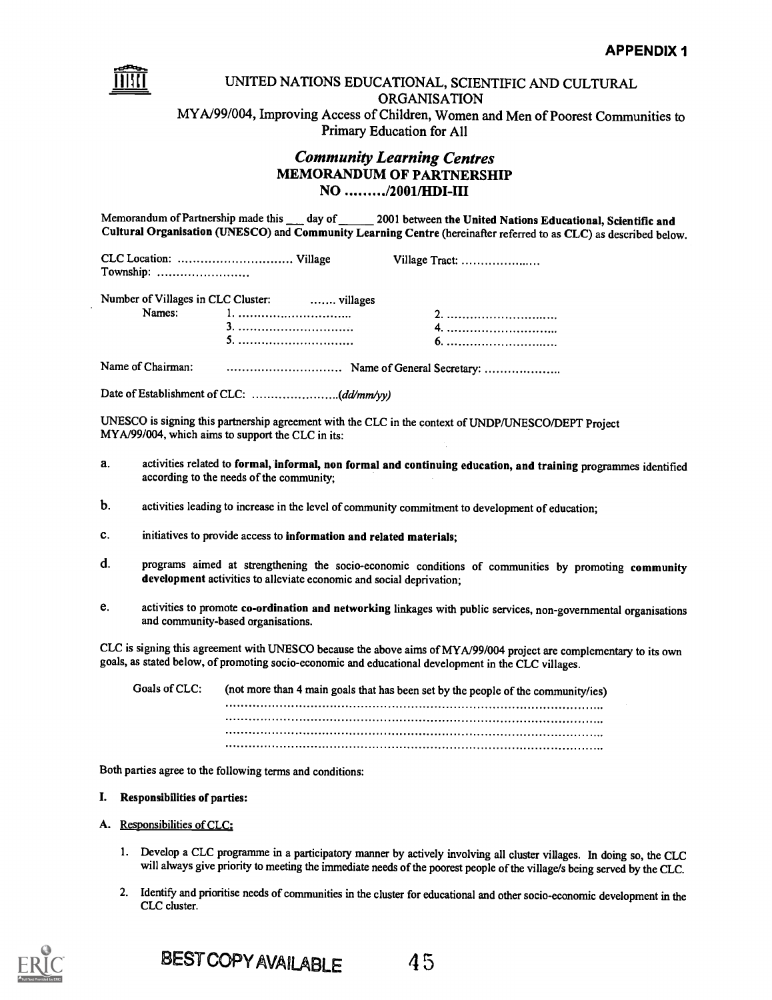

### UNITED NATIONS EDUCATIONAL, SCIENTIFIC AND CULTURAL ORGANISATION MYA/99/004, Improving Access of Children, Women and Men of Poorest Communities to Primary Education for All

## Community Learning Centres MEMORANDUM OF PARTNERSHIP NO /2001/HDI-III

Memorandum of Partnership made this \_\_\_ day of \_\_\_\_\_ 2001 between the United Nations Educational, Scientific and Cultural Organisation (UNESCO) and Community Learning Centre (hereinafter referred to as CLC) as described below.

CLC Location: Village Village Tract: Township:

|        | Number of Villages in CLC Cluster:  villages |    |
|--------|----------------------------------------------|----|
| Names: |                                              |    |
|        |                                              | 4. |
|        |                                              |    |

Name of Chairman: Name of General Secretary:

Date of Establishment of CLC: .(dd/mm/yy)

UNESCO is signing this partnership agreement with the CLC in the context of UNDP/UNESCO/DEPT Project MYA/99/004, which aims to support the CLC in its:

- a. activities related to formal, informal, non formal and continuing education, and training programmes identified according to the needs of the community;
- b. activities leading to increase in the level of community commitment to development of education;
- c. initiatives to provide access to information and related materials;
- d. programs aimed at strengthening the socio-economic conditions of communities by promoting community development activities to alleviate economic and social deprivation;
- e. activities to promote co-ordination and networking linkages with public services, non-governmental organisations and community-based organisations.

CLC is signing this agreement with UNESCO because the above aims of MYA/99/004 project are complementary to its own goals, as stated below, of promoting socio-economic and educational development in the CLC villages.

Goals of CLC: (not more than 4 main goals that has been set by the people of the community/ies) 

Both parties agree to the following terms and conditions:

#### I. Responsibilities of parties:

- A. Responsibilities of CLC:
	- 1. Develop a CLC programme in a participatory manner by actively involving all cluster villages. In doing so, the CLC will always give priority to meeting the immediate needs of the poorest people of the village/s being served by the CLC.
	- 2. Identify and prioritise needs of communities in the cluster for educational and other socio-economic development in the CLC cluster.

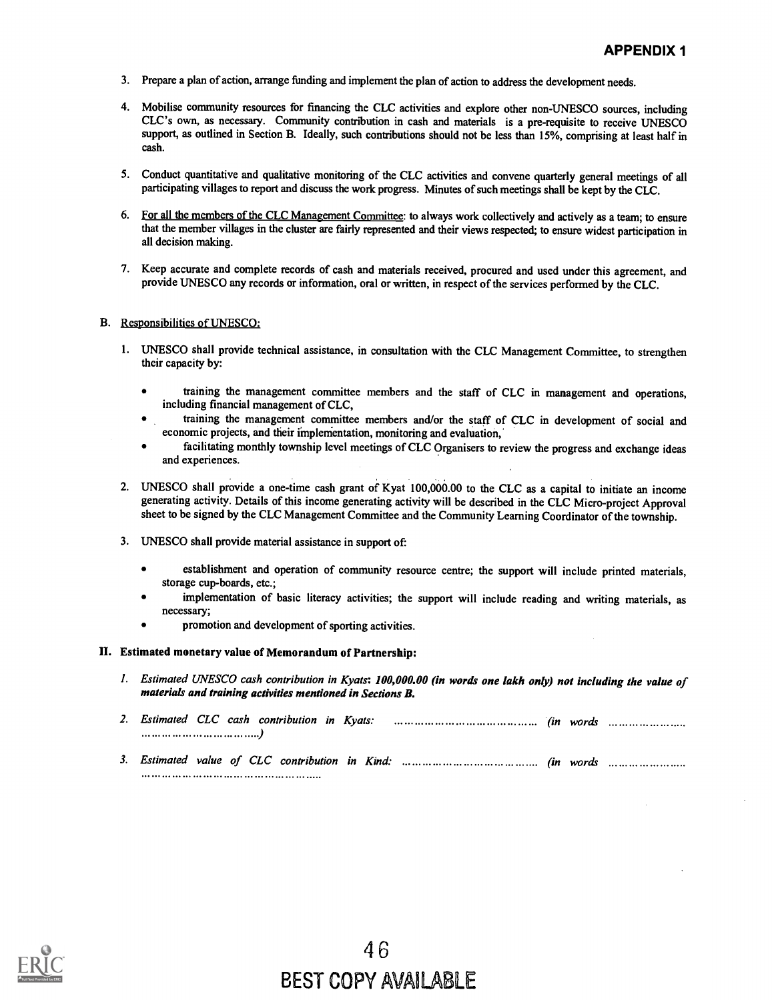- 3. Prepare a plan of action, arrange funding and implement the plan of action to address the development needs.
- 4. Mobilise community resources for financing the CLC activities and explore other non-UNESCO sources, including CLC's own, as necessary. Community contribution in cash and materials is a pre-requisite to receive UNESCO support, as outlined in Section B. Ideally, such contributions should not be less than 15%, comprising at least half in cash.
- 5. Conduct quantitative and qualitative monitoring of the CLC activities and convene quarterly general meetings of all participating villages to report and discuss the work progress. Minutes of such meetings shall be kept by the CLC.
- 6. For all the members of the CLC Management Committee: to always work collectively and actively as a team; to ensure that the member villages in the cluster are fairly represented and their views respected; to ensure widest participation in all decision making.
- 7. Keep accurate and complete records of cash and materials received, procured and used under this agreement, and provide UNESCO any records or information, oral or written, in respect of the services performed by the CLC.

#### B. Responsibilities of UNESCO:

- 1. UNESCO shall provide technical assistance, in consultation with the CLC Management Committee, to strengthen their capacity by:
	- training the management committee members and the staff of CLC in management and operations, including financial management of CLC,
	- training the management committee members and/or the staff of CLC in development of social and economic projects, and their i'mplementation, monitoring and evaluation,
	- facilitating monthly township level meetings of CLC Organisers to review the progress and exchange ideas and experiences.
- 2. UNESCO shall provide a one-time cash grant of Kyat 100,000.00 to the CLC as a capital to initiate an income generating activity. Details of this income generating activity will be described in the CLC Micro-project Approval sheet to be signed by the CLC Management Committee and the Community Learning Coordinator of the township.
- 3. UNESCO shall provide material assistance in support of
	- establishment and operation of community resource centre; the support will include printed materials,  $\bullet$ storage cup-boards, etc.;
	- implementation of basic literacy activities; the support will include reading and writing materials, as necessary;
	- promotion and development of sporting activities.

#### II. Estimated monetary value of Memorandum of Partnership:

1. Estimated UNESCO cash contribution in Kyats: 100,000.00 (in words one lakh only) not including the value of materials and training activities mentioned in Sections B.

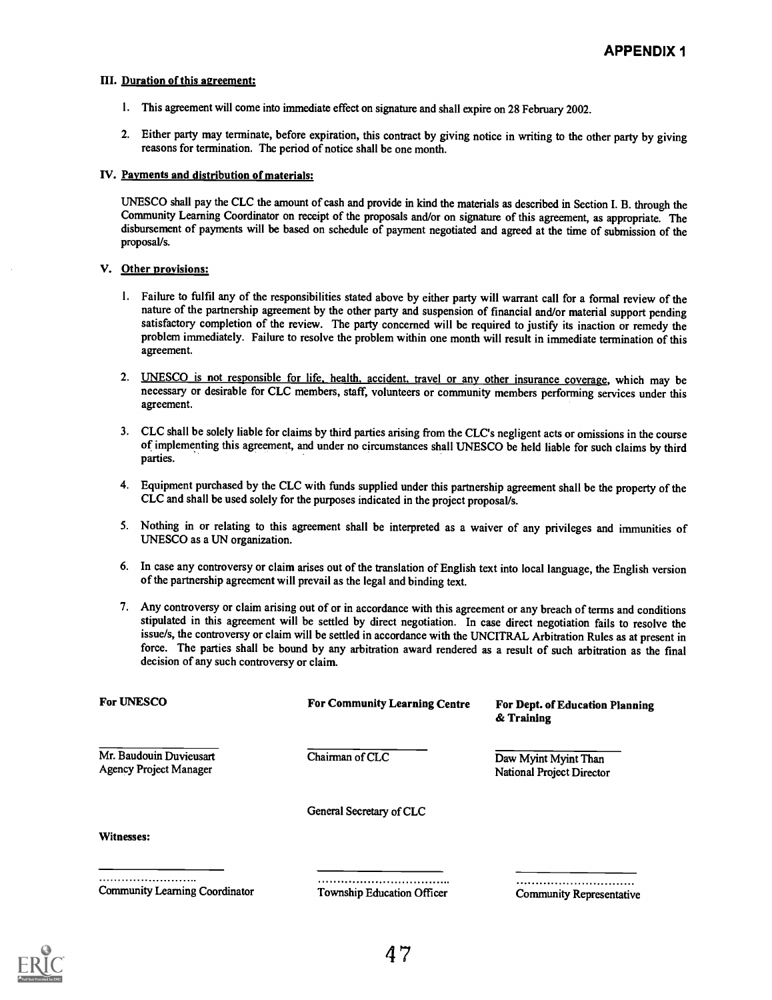#### Ill. Duration of this agreement:

- 1. This agreement will come into immediate effect on signature and shall expire on 28 February 2002.
- 2. Either party may terminate, before expiration, this contract by giving notice in writing to the other party by giving reasons for termination. The period of notice shall be one month.

#### IV. Payments and distribution of materials:

UNESCO shall pay the CLC the amount of cash and provide in kind the materials as described in Section I. B. through the Community Learning Coordinator on receipt of the proposals and/or on signature of this agreement, as appropriate. The disbursement of payments will be based on schedule of payment negotiated and agreed at the time of submission of the proposal/s.

#### V. Other provisions:

- 1. Failure to fulfil any of the responsibilities stated above by either party will warrant call for a formal review of the nature of the partnership agreement by the other party and suspension of financial and/or material support pending satisfactory completion of the review. The party concerned will be required to justify its inaction or remedy the problem immediately. Failure to resolve the problem within one month will result in immediate termination of this agreement.
- 2. UNESCO is not responsible for life, health, accident, travel or any other insurance coverage, which may be necessary or desirable for CLC members, staff, volunteers or community members performing services under this agreement.
- 3. CLC shall be solely liable for claims by third parties arising from the CLC's negligent acts or omissions in the course of implementing this agreement, and under no circumstances shall UNESCO be held liable for such claims by third parties.
- 4. Equipment purchased by the CLC with funds supplied under this partnership agreement shall be the property of the CLC and shall be used solely for the purposes indicated in the project proposal/s.
- 5. Nothing in or relating to this agreement shall be interpreted as a waiver of any privileges and immunities of UNESCO as a UN organization.
- 6. In case any controversy or claim arises out of the translation of English text into local language, the English version of the partnership agreement will prevail as the legal and binding text.
- 7. Any controversy or claim arising out of or in accordance with this agreement or any breach of terms and conditions stipulated in this agreement will be settled by direct negotiation. In case direct negotiation fails to resolve the issue/s, the controversy or claim will be settled in accordance with the UNCITRAL Arbitration Rules as at present in force. The parties shall be bound by any arbitration award rendered as a result of such arbitration as the final decision of any such controversy or claim.

| <b>For UNESCO</b>                                        | <b>For Community Learning Centre</b> | For Dept. of Education Planning<br>& Training     |
|----------------------------------------------------------|--------------------------------------|---------------------------------------------------|
| Mr. Baudouin Duvieusart<br><b>Agency Project Manager</b> | Chairman of CLC                      | Daw Myint Myint Than<br>National Project Director |
|                                                          | General Secretary of CLC             |                                                   |
| Witnesses:                                               |                                      |                                                   |
|                                                          |                                      |                                                   |

Community Learning Coordinator

Township Education Officer Community Representative

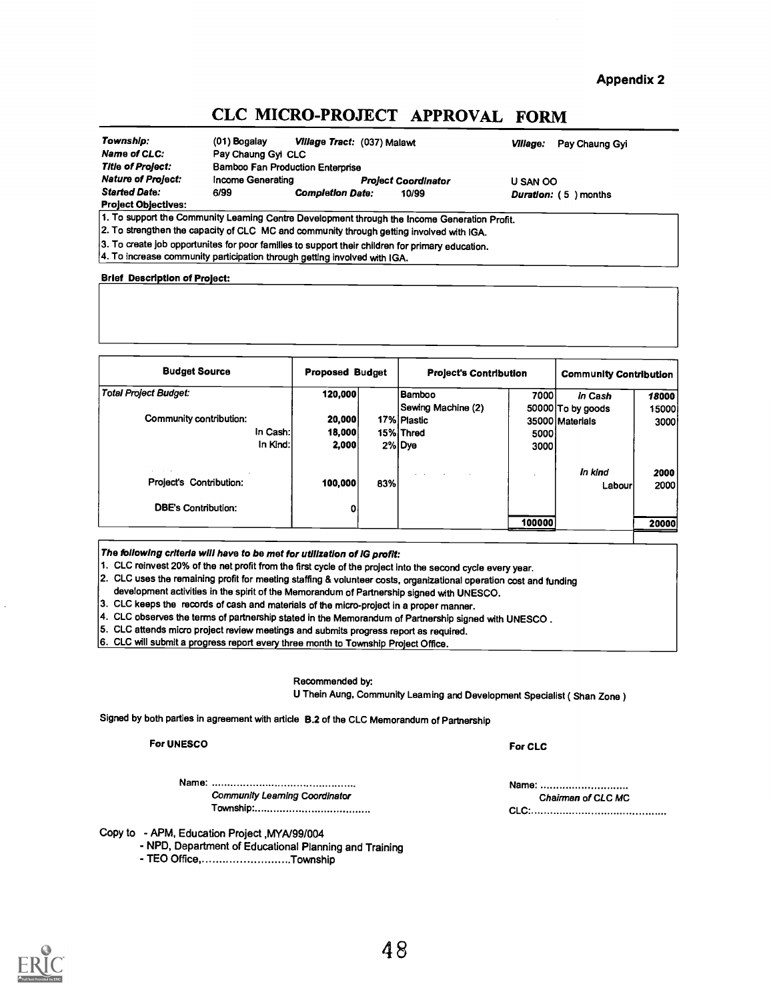Appendix 2

# CLC MICRO-PROJECT APPROVAL FORM

| Township:                  | $(01)$ Bogalay     | Village Tract: (037) Malawt      |                            | Village:<br>Pay Chaung Gyi |
|----------------------------|--------------------|----------------------------------|----------------------------|----------------------------|
| Name of CLC:               | Pay Chaung Gyi CLC |                                  |                            |                            |
| Title of Project:          |                    | Bamboo Fan Production Enterprise |                            |                            |
| <b>Nature of Project:</b>  | Income Generating  |                                  | <b>Project Coordinator</b> | U SAN OO                   |
| <b>Started Date:</b>       | 6/99               | <b>Completion Date:</b>          | 10/99                      | Duration: (5) months       |
| <b>Project Objectives:</b> |                    |                                  |                            |                            |
|                            | $\cdots$           |                                  |                            |                            |

1. To support the Community Learning Centre Development through the Income Generation Profit.

2. To strengthen the capacity of CLC MC and community through getting involved with IGA.

 $|$ 3. To create job opportunites for poor families to support their children for primary education.

4. To increase community participation through getting involved with IGA.

#### Brief Description of Project:

| <b>Budget Source</b>         | <b>Proposed Budget</b> |     | <b>Project's Contribution</b> | <b>Community Contribution</b> |                   |       |
|------------------------------|------------------------|-----|-------------------------------|-------------------------------|-------------------|-------|
| <b>Total Project Budget:</b> | 120,000                |     | Bamboo                        | 7000                          | In Cash           | 18000 |
|                              |                        |     | Sewing Machine (2)            |                               | 50000 To by goods | 15000 |
| Community contribution:      | 20,000                 |     | 17% Plastic                   |                               | 35000 Materials   | 3000  |
|                              | In Cash:<br>18,000     |     | 15% Thred                     | 5000                          |                   |       |
|                              | In Kind:<br>2,000      |     | 2% Dye                        | 3000                          |                   |       |
| .                            |                        |     | $\sim$                        |                               | In kind           | 2000  |
| Project's Contribution:      | 100,000                | 83% |                               |                               | Labour            | 2000  |
| <b>DBE's Contribution:</b>   | 0                      |     |                               |                               |                   |       |
|                              |                        |     |                               | 100000                        |                   | 20000 |

The following criteria will have to be met for utilization of IG profit:

1. CLC reinvest 20% of the net profit from the first cycle of the project Into the second cycle every year.

2. CLC uses the remaining profit for meeting staffing & volunteer costs, organizational operation cost and funding development activities in the spirit of the Memorandum of Partnership signed with UNESCO.

3. CLC keeps the records of cash and materials of the micro-project in a proper manner.

4. CLC observes the terms of partnership stated in the Memorandum of Partnership signed with UNESCO .

5. CLC attends micro project review meetings and submits progress report as required.

6. CLC will submit a progress report every three month to Township Project Office.

Recommended by

U Thein Aung, Community Leaming and Development Specialist (Shan Zone)

Signed by both parties in agreement with article B.2 of the CLC Memorandum of Partnership

#### For UNESCO For CLC

Name: Name: Community Learning Coordinator Chairman of CLC MC

Copy to - APM, Education Project ,MYA/99/004

- NPD, Department of Educational Planning and Training

- TEO Office, ...........................Township



Township\* CLC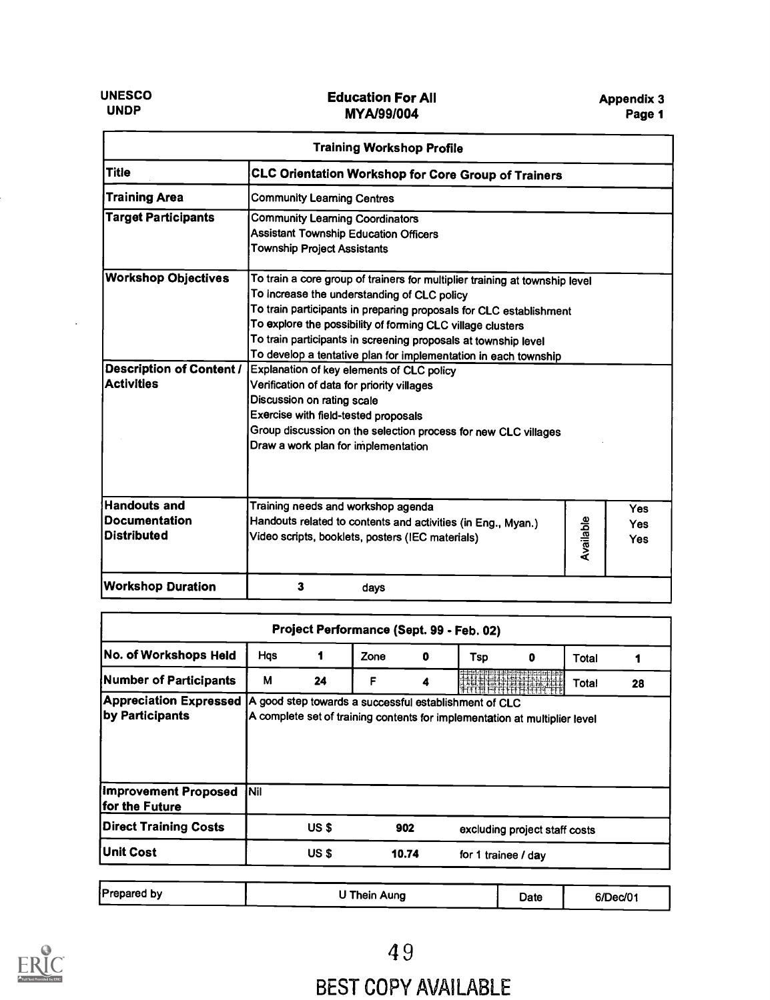| <b>Training Workshop Profile</b>                                                                                                                           |                                                                                                                                                                                                                                                                                                                                                                                                                                                                                                                                                                                                                                                                               |           |                                        |  |  |  |  |  |
|------------------------------------------------------------------------------------------------------------------------------------------------------------|-------------------------------------------------------------------------------------------------------------------------------------------------------------------------------------------------------------------------------------------------------------------------------------------------------------------------------------------------------------------------------------------------------------------------------------------------------------------------------------------------------------------------------------------------------------------------------------------------------------------------------------------------------------------------------|-----------|----------------------------------------|--|--|--|--|--|
| <b>Title</b>                                                                                                                                               | CLC Orientation Workshop for Core Group of Trainers                                                                                                                                                                                                                                                                                                                                                                                                                                                                                                                                                                                                                           |           |                                        |  |  |  |  |  |
| <b>Training Area</b>                                                                                                                                       | <b>Community Learning Centres</b>                                                                                                                                                                                                                                                                                                                                                                                                                                                                                                                                                                                                                                             |           |                                        |  |  |  |  |  |
| <b>Target Participants</b><br><b>Community Learning Coordinators</b><br><b>Assistant Township Education Officers</b><br><b>Township Project Assistants</b> |                                                                                                                                                                                                                                                                                                                                                                                                                                                                                                                                                                                                                                                                               |           |                                        |  |  |  |  |  |
| <b>Workshop Objectives</b><br><b>Description of Content /</b><br><b>Activities</b>                                                                         | To train a core group of trainers for multiplier training at township level<br>To increase the understanding of CLC policy<br>To train participants in preparing proposals for CLC establishment<br>To explore the possibility of forming CLC village clusters<br>To train participants in screening proposals at township level<br>To develop a tentative plan for implementation in each township<br>Explanation of key elements of CLC policy<br>Verification of data for priority villages<br>Discussion on rating scale<br>Exercise with field-tested proposals<br>Group discussion on the selection process for new CLC villages<br>Draw a work plan for implementation |           |                                        |  |  |  |  |  |
| <b>Handouts and</b><br><b>Documentation</b><br><b>Distributed</b>                                                                                          | Training needs and workshop agenda<br>Handouts related to contents and activities (in Eng., Myan.)<br>Video scripts, booklets, posters (IEC materials)                                                                                                                                                                                                                                                                                                                                                                                                                                                                                                                        | Available | <b>Yes</b><br><b>Yes</b><br><b>Yes</b> |  |  |  |  |  |
| <b>Workshop Duration</b>                                                                                                                                   | 3<br>days                                                                                                                                                                                                                                                                                                                                                                                                                                                                                                                                                                                                                                                                     |           |                                        |  |  |  |  |  |

| No. of Workshops Held                                                  | Hqs |       | Zone | 0   | Tsp                                                                                                                                 | 0 | Total |    |
|------------------------------------------------------------------------|-----|-------|------|-----|-------------------------------------------------------------------------------------------------------------------------------------|---|-------|----|
| Number of Participants                                                 | м   | 24    | F    | Δ   |                                                                                                                                     |   | Total | 28 |
| <b>Appreciation Expressed</b><br>by Participants                       |     |       |      |     | A good step towards a successful establishment of CLC<br>A complete set of training contents for implementation at multiplier level |   |       |    |
|                                                                        |     |       |      |     |                                                                                                                                     |   |       |    |
|                                                                        | Nil |       |      |     |                                                                                                                                     |   |       |    |
| Improvement Proposed<br>for the Future<br><b>Direct Training Costs</b> |     | US \$ |      | 902 | excluding project staff costs                                                                                                       |   |       |    |

| Prepared by | Thein Aung | Date | 6/Dec/01 |  |
|-------------|------------|------|----------|--|
|             |            |      |          |  |



# BEST COPY AVAILABLE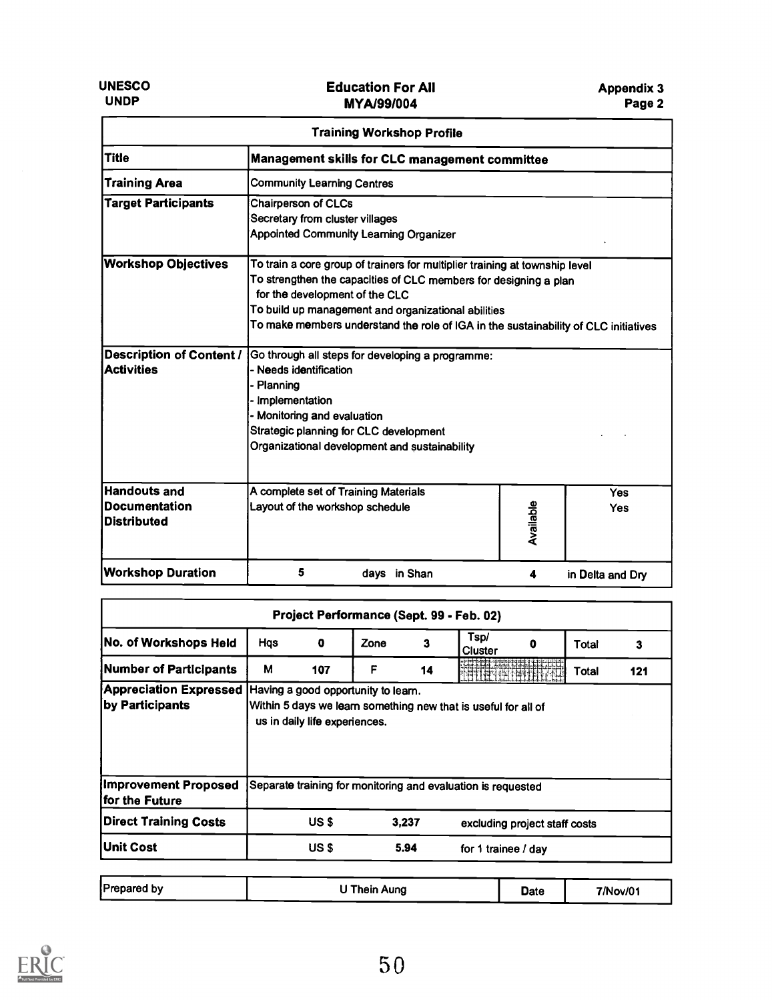| <b>Training Workshop Profile</b>                                  |                                                                                                                                                                                                                                                                                                                                 |           |                  |  |  |  |
|-------------------------------------------------------------------|---------------------------------------------------------------------------------------------------------------------------------------------------------------------------------------------------------------------------------------------------------------------------------------------------------------------------------|-----------|------------------|--|--|--|
| <b>Title</b>                                                      | Management skills for CLC management committee                                                                                                                                                                                                                                                                                  |           |                  |  |  |  |
| <b>Training Area</b>                                              | <b>Community Learning Centres</b>                                                                                                                                                                                                                                                                                               |           |                  |  |  |  |
| <b>Target Participants</b>                                        | <b>Chairperson of CLCs</b><br>Secretary from cluster villages<br><b>Appointed Community Learning Organizer</b>                                                                                                                                                                                                                  |           |                  |  |  |  |
| <b>Workshop Objectives</b>                                        | To train a core group of trainers for multiplier training at township level<br>To strengthen the capacities of CLC members for designing a plan<br>for the development of the CLC<br>To build up management and organizational abilities<br>To make members understand the role of IGA in the sustainability of CLC initiatives |           |                  |  |  |  |
| <b>Description of Content /</b><br><b>Activities</b>              | Go through all steps for developing a programme:<br>- Needs identification<br>Planning<br>- Implementation<br>- Monitoring and evaluation<br>Strategic planning for CLC development<br>Organizational development and sustainability                                                                                            |           |                  |  |  |  |
| <b>Handouts and</b><br><b>Documentation</b><br><b>Distributed</b> | A complete set of Training Materials<br>Layout of the workshop schedule                                                                                                                                                                                                                                                         | Available | Yes<br>Yes       |  |  |  |
| <b>Workshop Duration</b>                                          | 5<br>days in Shan                                                                                                                                                                                                                                                                                                               | 4         | in Delta and Dry |  |  |  |

| No. of Workshops Held                            | Hqs | $\mathbf 0$                   | Zone                                | 3     | Tsp/<br><b>Cluster</b>                                         | 0 | Total | 3   |
|--------------------------------------------------|-----|-------------------------------|-------------------------------------|-------|----------------------------------------------------------------|---|-------|-----|
| Number of Participants                           | М   | 107                           | F                                   | 14    |                                                                |   | Total | 121 |
| <b>Appreciation Expressed</b><br>by Participants |     | us in daily life experiences. | Having a good opportunity to learn. |       | Within 5 days we learn something new that is useful for all of |   |       |     |
|                                                  |     |                               |                                     |       |                                                                |   |       |     |
| Improvement Proposed<br>ifor the Future          |     |                               |                                     |       | Separate training for monitoring and evaluation is requested   |   |       |     |
| <b>Direct Training Costs</b>                     |     | US \$                         |                                     | 3,237 | excluding project staff costs                                  |   |       |     |

| Prepared by<br>' Thein Aung<br>Date | 7/Nov/01 |
|-------------------------------------|----------|
|-------------------------------------|----------|

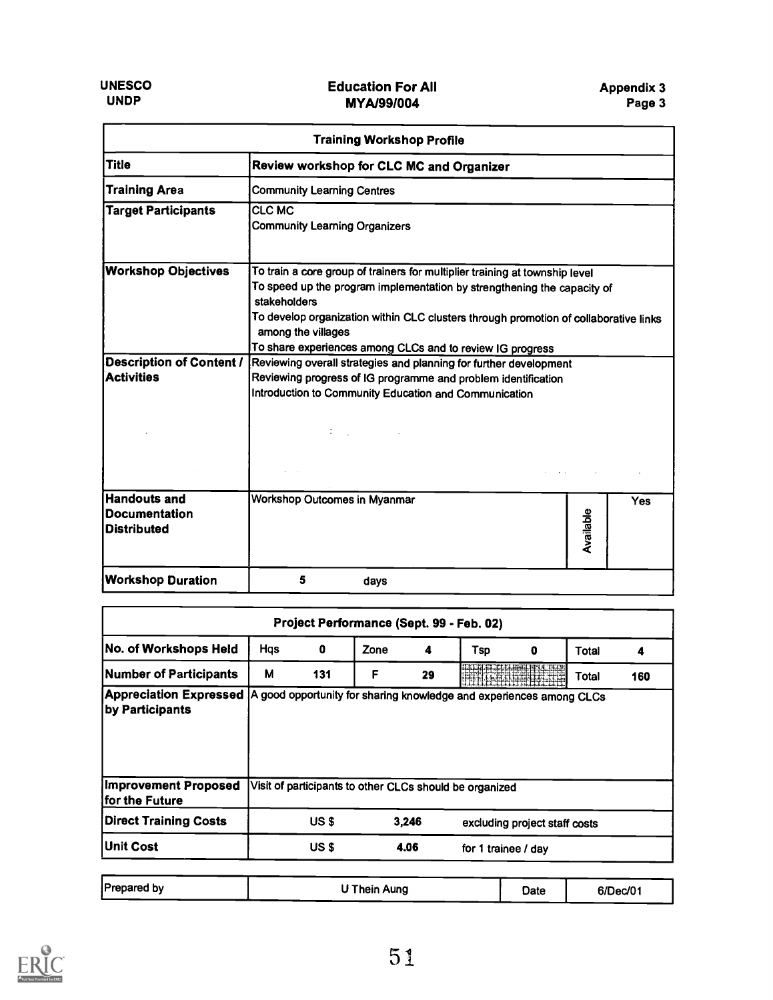| <b>Training Workshop Profile</b>                                  |                                                                                                                                                                                                                                                                                      |           |     |  |  |  |
|-------------------------------------------------------------------|--------------------------------------------------------------------------------------------------------------------------------------------------------------------------------------------------------------------------------------------------------------------------------------|-----------|-----|--|--|--|
| <b>Title</b>                                                      | Review workshop for CLC MC and Organizer                                                                                                                                                                                                                                             |           |     |  |  |  |
| <b>Training Area</b>                                              | <b>Community Learning Centres</b>                                                                                                                                                                                                                                                    |           |     |  |  |  |
| <b>Target Participants</b>                                        | <b>CLC MC</b><br><b>Community Learning Organizers</b>                                                                                                                                                                                                                                |           |     |  |  |  |
| <b>Workshop Objectives</b>                                        | To train a core group of trainers for multiplier training at township level<br>To speed up the program implementation by strengthening the capacity of<br>stakeholders<br>To develop organization within CLC clusters through promotion of collaborative links<br>among the villages |           |     |  |  |  |
| <b>Description of Content /</b><br><b>Activities</b>              | To share experiences among CLCs and to review IG progress<br>Reviewing overall strategies and planning for further development<br>Reviewing progress of IG programme and problem identification<br>Introduction to Community Education and Communication                             |           |     |  |  |  |
| <b>Handouts and</b><br><b>Documentation</b><br><b>Distributed</b> | Workshop Outcomes in Myanmar                                                                                                                                                                                                                                                         | Available | Yes |  |  |  |
| <b>Workshop Duration</b>                                          | 5<br>days                                                                                                                                                                                                                                                                            |           |     |  |  |  |

| Project Performance (Sept. 99 - Feb. 02)                                                                       |     |       |      |       |                                                         |                               |       |     |
|----------------------------------------------------------------------------------------------------------------|-----|-------|------|-------|---------------------------------------------------------|-------------------------------|-------|-----|
| No. of Workshops Held                                                                                          | Hqs | 0     | Zone | 4     | Tsp                                                     | 0                             | Total | 4   |
| Number of Participants                                                                                         | М   | 131   | F    | 29    |                                                         |                               | Total | 160 |
| Appreciation Expressed  A good opportunity for sharing knowledge and experiences among CLCs<br>by Participants |     |       |      |       |                                                         |                               |       |     |
|                                                                                                                |     |       |      |       |                                                         |                               |       |     |
| Improvement Proposed<br>lfor the Future                                                                        |     |       |      |       | Visit of participants to other CLCs should be organized |                               |       |     |
| <b>Direct Training Costs</b>                                                                                   |     | US \$ |      | 3,246 |                                                         | excluding project staff costs |       |     |

| <b>Prepared by</b> | ' Thein Aung | Date | 6/Dec/01 |  |
|--------------------|--------------|------|----------|--|
|                    |              |      |          |  |

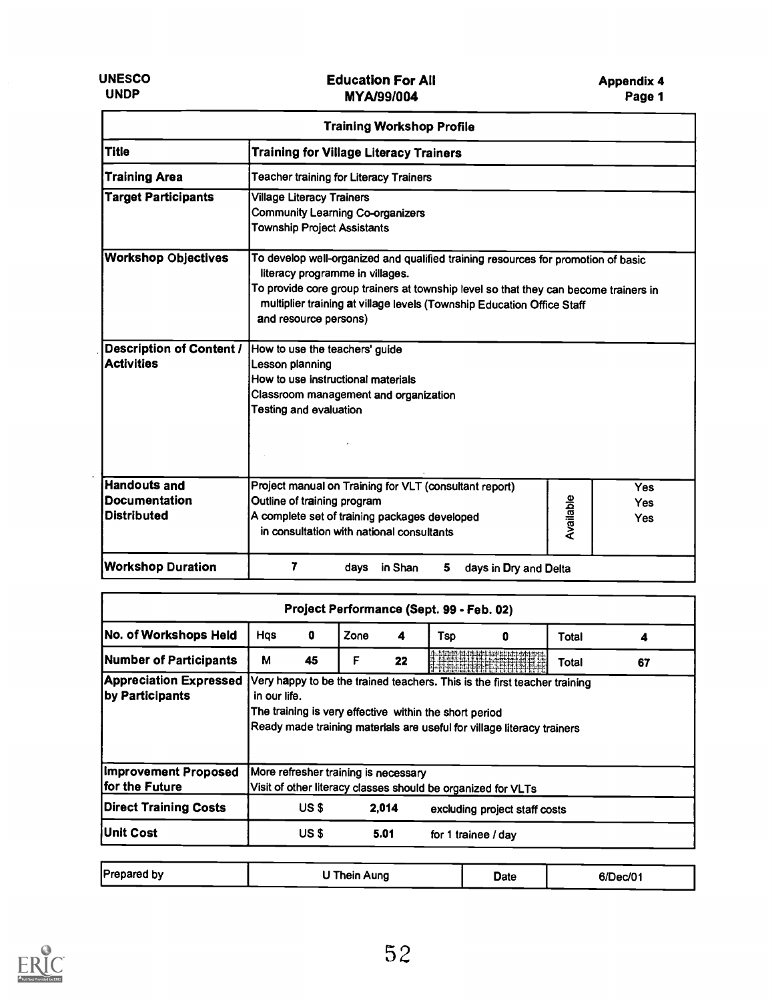$\overline{\phantom{a}}$ 

| <b>Training Workshop Profile</b>                                  |                                                                                                                                                                                                                                                                                                                 |  |  |  |  |  |
|-------------------------------------------------------------------|-----------------------------------------------------------------------------------------------------------------------------------------------------------------------------------------------------------------------------------------------------------------------------------------------------------------|--|--|--|--|--|
| <b>Title</b>                                                      | <b>Training for Village Literacy Trainers</b>                                                                                                                                                                                                                                                                   |  |  |  |  |  |
| <b>Training Area</b>                                              | Teacher training for Literacy Trainers                                                                                                                                                                                                                                                                          |  |  |  |  |  |
| <b>Target Participants</b>                                        | <b>Village Literacy Trainers</b><br><b>Community Learning Co-organizers</b><br><b>Township Project Assistants</b>                                                                                                                                                                                               |  |  |  |  |  |
| <b>Workshop Objectives</b>                                        | To develop well-organized and qualified training resources for promotion of basic<br>literacy programme in villages.<br>To provide core group trainers at township level so that they can become trainers in<br>multiplier training at village levels (Township Education Office Staff<br>and resource persons) |  |  |  |  |  |
| <b>Description of Content /</b><br><b>Activities</b>              | How to use the teachers' guide<br>Lesson planning<br>How to use instructional materials<br>Classroom management and organization<br><b>Testing and evaluation</b>                                                                                                                                               |  |  |  |  |  |
| <b>Handouts and</b><br><b>Documentation</b><br><b>Distributed</b> | Project manual on Training for VLT (consultant report)<br><b>Yes</b><br>Available<br>Outline of training program<br><b>Yes</b><br>A complete set of training packages developed<br><b>Yes</b><br>in consultation with national consultants                                                                      |  |  |  |  |  |
| <b>Workshop Duration</b>                                          | 7<br>in Shan<br>days<br>5<br>days in Dry and Delta                                                                                                                                                                                                                                                              |  |  |  |  |  |

| Project Performance (Sept. 99 - Feb. 02)         |              |       |                                      |       |                                                                                                                                                                                                               |                               |       |    |
|--------------------------------------------------|--------------|-------|--------------------------------------|-------|---------------------------------------------------------------------------------------------------------------------------------------------------------------------------------------------------------------|-------------------------------|-------|----|
| No. of Workshops Held                            | Hqs          | 0     | Zone                                 | 4     | Tsp                                                                                                                                                                                                           | o                             | Total |    |
| Number of Participants                           | M            | 45    | F                                    | 22    |                                                                                                                                                                                                               | Alia de La Caracció           | Total | 67 |
| <b>Appreciation Expressed</b><br>by Participants | in our life. |       |                                      |       | Very happy to be the trained teachers. This is the first teacher training<br>The training is very effective within the short period<br>Ready made training materials are useful for village literacy trainers |                               |       |    |
| Improvement Proposed<br>for the Future           |              |       | More refresher training is necessary |       | Visit of other literacy classes should be organized for VLTs                                                                                                                                                  |                               |       |    |
| <b>Direct Training Costs</b>                     |              | US \$ |                                      | 2.014 |                                                                                                                                                                                                               | excluding project staff costs |       |    |
|                                                  |              |       |                                      | 5.01  |                                                                                                                                                                                                               |                               |       |    |

| <b>Prepared by</b> | Thein Aung | Date | 6/Dec/01 |
|--------------------|------------|------|----------|
|--------------------|------------|------|----------|

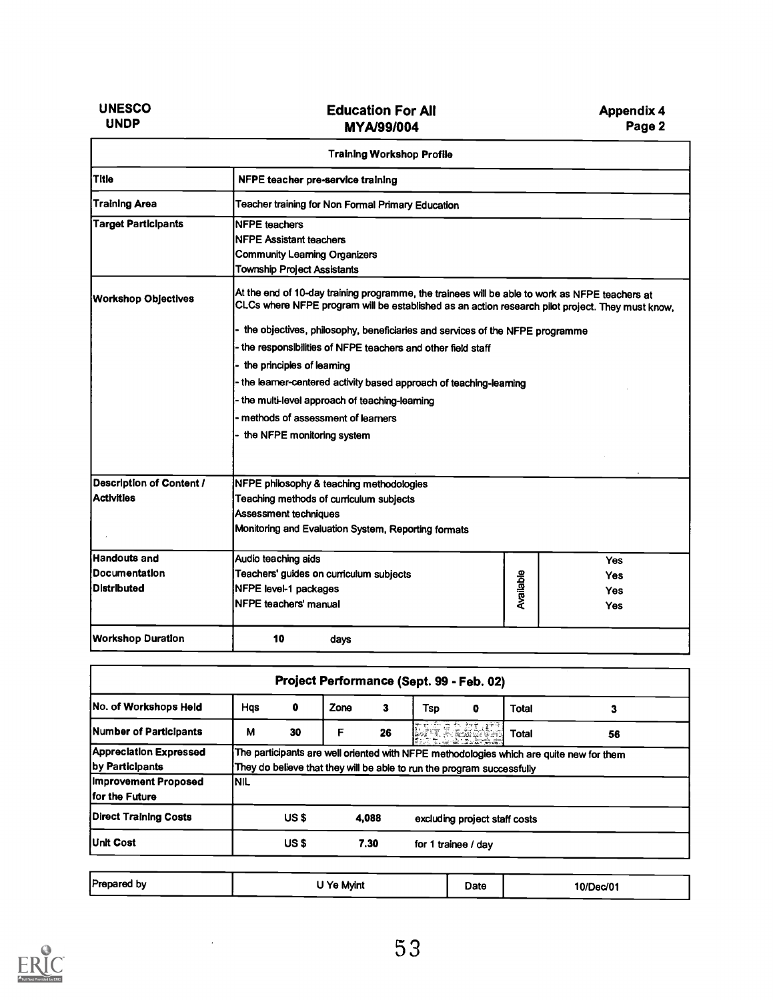| <b>UNESCO</b> |  |
|---------------|--|
| <b>UNDP</b>   |  |

|                            | <b>Training Workshop Profile</b>                                                                                                                                                                   |           |  |            |  |  |  |  |
|----------------------------|----------------------------------------------------------------------------------------------------------------------------------------------------------------------------------------------------|-----------|--|------------|--|--|--|--|
| Title                      | NFPE teacher pre-service training                                                                                                                                                                  |           |  |            |  |  |  |  |
| <b>Training Area</b>       | Teacher training for Non Formal Primary Education                                                                                                                                                  |           |  |            |  |  |  |  |
| <b>Target Participants</b> | <b>NFPE teachers</b><br>NFPE Assistant teachers                                                                                                                                                    |           |  |            |  |  |  |  |
|                            | <b>Community Learning Organizers</b>                                                                                                                                                               |           |  |            |  |  |  |  |
|                            | <b>Township Project Assistants</b>                                                                                                                                                                 |           |  |            |  |  |  |  |
| <b>Workshop Objectives</b> | At the end of 10-day training programme, the trainees will be able to work as NFPE teachers at<br>CLCs where NFPE program will be established as an action research pilot project. They must know, |           |  |            |  |  |  |  |
|                            | the objectives, philosophy, beneficiaries and services of the NFPE programme                                                                                                                       |           |  |            |  |  |  |  |
|                            | the responsibilities of NFPE teachers and other field staff                                                                                                                                        |           |  |            |  |  |  |  |
|                            | the principles of learning                                                                                                                                                                         |           |  |            |  |  |  |  |
|                            | the learner-centered activity based approach of teaching-learning                                                                                                                                  |           |  |            |  |  |  |  |
|                            | the multi-level approach of teaching-learning                                                                                                                                                      |           |  |            |  |  |  |  |
|                            | methods of assessment of learners                                                                                                                                                                  |           |  |            |  |  |  |  |
|                            | the NFPE monitoring system                                                                                                                                                                         |           |  |            |  |  |  |  |
| Description of Content /   | NFPE philosophy & teaching methodologies                                                                                                                                                           |           |  |            |  |  |  |  |
| <b>Activities</b>          | Teaching methods of curriculum subjects                                                                                                                                                            |           |  |            |  |  |  |  |
|                            | Assessment techniques                                                                                                                                                                              |           |  |            |  |  |  |  |
|                            | Monitoring and Evaluation System, Reporting formats                                                                                                                                                |           |  |            |  |  |  |  |
| Handouts and               | Audio teaching aids                                                                                                                                                                                |           |  | <b>Yes</b> |  |  |  |  |
| <b>Documentation</b>       | Teachers' guides on curriculum subjects                                                                                                                                                            |           |  | <b>Yes</b> |  |  |  |  |
| <b>Distributed</b>         | NFPE level-1 packages                                                                                                                                                                              | Available |  | Yes        |  |  |  |  |
|                            | NFPE teachers' manual                                                                                                                                                                              |           |  | <b>Yes</b> |  |  |  |  |
| <b>Workshop Duration</b>   | 10<br>days                                                                                                                                                                                         |           |  |            |  |  |  |  |

| Project Performance (Sept. 99 - Feb. 02)         |            |       |      |       |                                                                        |         |                                                                                         |    |
|--------------------------------------------------|------------|-------|------|-------|------------------------------------------------------------------------|---------|-----------------------------------------------------------------------------------------|----|
| <b>No. of Workshops Held</b>                     | <b>Has</b> | o     | Zone | 3     | Tsp                                                                    | 0       | <b>Total</b>                                                                            |    |
| Number of Participants                           | М          | 30    | F    | 26    |                                                                        | Rangeri | <b>Total</b>                                                                            | 56 |
| <b>Appreclation Expressed</b><br>by Participants |            |       |      |       | They do believe that they will be able to run the program successfully |         | The participants are well oriented with NFPE methodologies which are quite new for them |    |
| Improvement Proposed<br>for the Future           | INIL       |       |      |       |                                                                        |         |                                                                                         |    |
| <b>Direct Training Costs</b>                     |            | US \$ |      | 4,088 |                                                                        |         | excluding project staff costs                                                           |    |
|                                                  |            |       |      | 7.30  | for 1 trainee / day                                                    |         |                                                                                         |    |

| Prepared by<br>'Ye Mvint | Date | 10/Dec/01 |
|--------------------------|------|-----------|
|--------------------------|------|-----------|

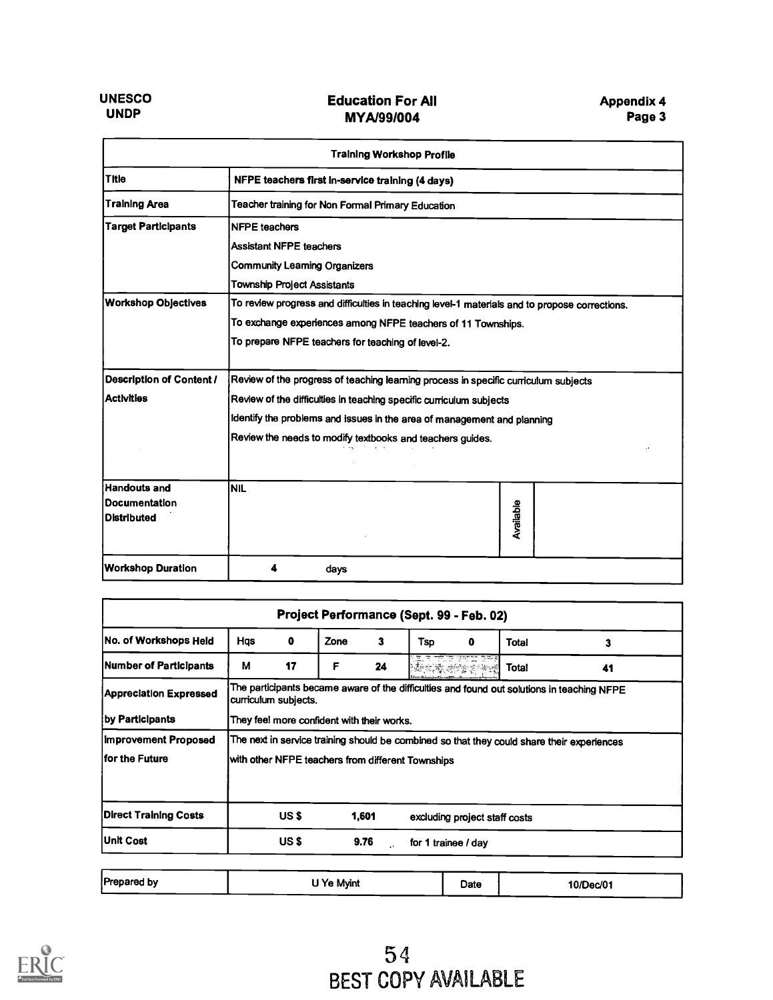| <b>Training Workshop Profile</b>                                                                                            |                                                                                     |  |  |  |  |  |  |
|-----------------------------------------------------------------------------------------------------------------------------|-------------------------------------------------------------------------------------|--|--|--|--|--|--|
| Title                                                                                                                       | NFPE teachers first in-service training (4 days)                                    |  |  |  |  |  |  |
| <b>Training Area</b>                                                                                                        | Teacher training for Non Formal Primary Education                                   |  |  |  |  |  |  |
| <b>Target Participants</b>                                                                                                  | <b>NFPE</b> teachers                                                                |  |  |  |  |  |  |
|                                                                                                                             | <b>Assistant NFPE teachers</b>                                                      |  |  |  |  |  |  |
|                                                                                                                             | <b>Community Leaming Organizers</b>                                                 |  |  |  |  |  |  |
|                                                                                                                             | <b>Township Project Assistants</b>                                                  |  |  |  |  |  |  |
| <b>Workshop Objectives</b><br>To review progress and difficulties in teaching level-1 materials and to propose corrections. |                                                                                     |  |  |  |  |  |  |
|                                                                                                                             | To exchange experiences among NFPE teachers of 11 Townships.                        |  |  |  |  |  |  |
|                                                                                                                             | To prepare NFPE teachers for teaching of level-2.                                   |  |  |  |  |  |  |
| <b>Description of Content /</b>                                                                                             | Review of the progress of teaching learning process in specific curriculum subjects |  |  |  |  |  |  |
| <b>Activities</b>                                                                                                           | Review of the difficulties in teaching specific curriculum subjects                 |  |  |  |  |  |  |
|                                                                                                                             | identify the problems and issues in the area of management and planning             |  |  |  |  |  |  |
|                                                                                                                             | Review the needs to modify textbooks and teachers guides.                           |  |  |  |  |  |  |
| <b>Handouts and</b>                                                                                                         | <b>NIL</b>                                                                          |  |  |  |  |  |  |
| <b>Documentation</b>                                                                                                        |                                                                                     |  |  |  |  |  |  |
| <b>Distributed</b>                                                                                                          | Available                                                                           |  |  |  |  |  |  |
| <b>Workshop Duration</b>                                                                                                    | days                                                                                |  |  |  |  |  |  |

| No. of Workshops Held         | Hqs                                               | $\mathbf 0$                                                                                | Zone | 3     | Tsp | 0        | Total                                                                                      | 3  |
|-------------------------------|---------------------------------------------------|--------------------------------------------------------------------------------------------|------|-------|-----|----------|--------------------------------------------------------------------------------------------|----|
| Number of Participants        | м                                                 | 17                                                                                         | F    | 24    |     | 化电动砂尘空热器 | <b>Total</b>                                                                               | 41 |
| <b>Appreciation Expressed</b> |                                                   | curriculum subjects.                                                                       |      |       |     |          | The participants became aware of the difficulties and found out solutions in teaching NFPE |    |
| by Participants               |                                                   | They fee! more confident with their works.                                                 |      |       |     |          |                                                                                            |    |
| <b>Improvement Proposed</b>   |                                                   | The next in service training should be combined so that they could share their experiences |      |       |     |          |                                                                                            |    |
|                               | with other NFPE teachers from different Townships |                                                                                            |      |       |     |          |                                                                                            |    |
|                               |                                                   |                                                                                            |      |       |     |          |                                                                                            |    |
| lfor the Future               |                                                   |                                                                                            |      |       |     |          |                                                                                            |    |
| <b>Direct Training Costs</b>  |                                                   | US \$                                                                                      |      | 1,601 |     |          | excluding project staff costs                                                              |    |

| Prepared by | I Ye Mvint | Date | 10/Dec/01 |
|-------------|------------|------|-----------|
|             |            |      |           |

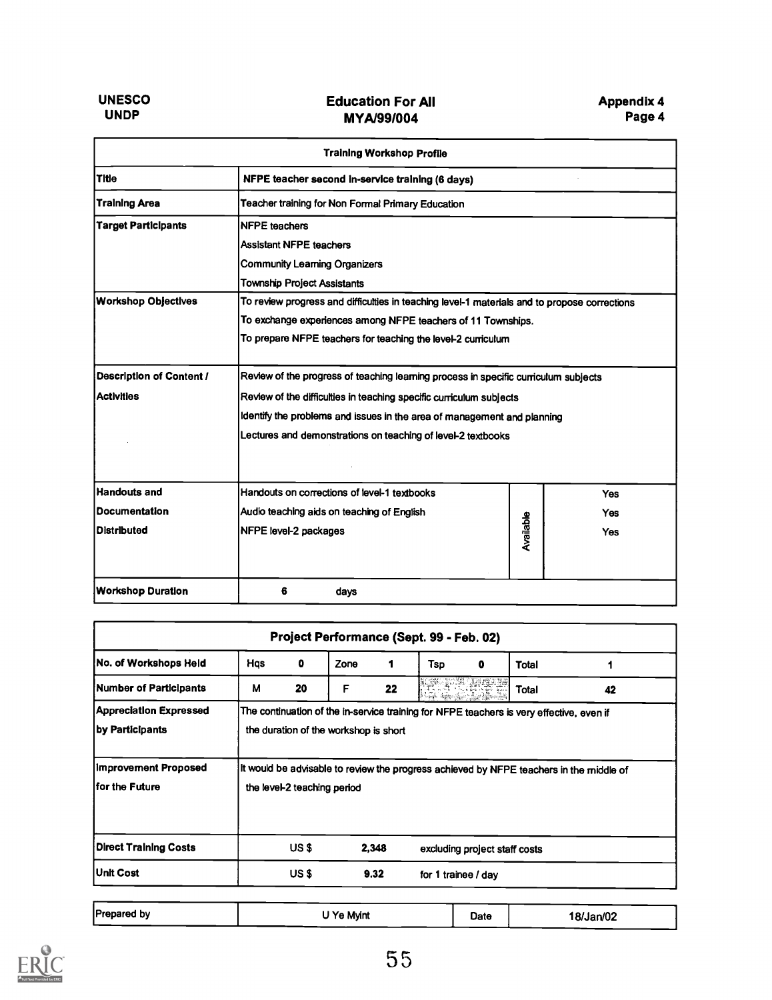|                                 | <b>Training Workshop Profile</b>                                                             |           |     |  |  |  |  |
|---------------------------------|----------------------------------------------------------------------------------------------|-----------|-----|--|--|--|--|
| <b>Title</b>                    | NFPE teacher second in-service training (6 days)                                             |           |     |  |  |  |  |
| <b>Training Area</b>            | Teacher training for Non Formal Primary Education                                            |           |     |  |  |  |  |
| <b>Target Participants</b>      | <b>NFPE</b> teachers                                                                         |           |     |  |  |  |  |
|                                 | <b>Assistant NFPE teachers</b>                                                               |           |     |  |  |  |  |
|                                 | <b>Community Learning Organizers</b>                                                         |           |     |  |  |  |  |
|                                 | <b>Township Project Assistants</b>                                                           |           |     |  |  |  |  |
| <b>Workshop Objectives</b>      | To review progress and difficulties in teaching level-1 materials and to propose corrections |           |     |  |  |  |  |
|                                 | To exchange experiences among NFPE teachers of 11 Townships.                                 |           |     |  |  |  |  |
|                                 | To prepare NFPE teachers for teaching the level-2 curriculum                                 |           |     |  |  |  |  |
| <b>Description of Content /</b> | Review of the progress of teaching learning process in specific curriculum subjects          |           |     |  |  |  |  |
| <b>Activities</b>               | Review of the difficulties in teaching specific curriculum subjects                          |           |     |  |  |  |  |
|                                 | Identify the problems and issues in the area of management and planning                      |           |     |  |  |  |  |
|                                 | Lectures and demonstrations on teaching of level-2 textbooks                                 |           |     |  |  |  |  |
| <b>Handouts and</b>             | Handouts on corrections of level-1 textbooks                                                 |           | Yes |  |  |  |  |
| <b>Documentation</b>            | Audio teaching aids on teaching of English                                                   |           | Yes |  |  |  |  |
| <b>Distributed</b>              | NFPE level-2 packages                                                                        | Available | Yes |  |  |  |  |
| <b>Workshop Duration</b>        | 6<br>days                                                                                    |           |     |  |  |  |  |

| Project Performance (Sept. 99 - Feb. 02)         |     |                                                                                                                        |                                       |       |                     |                               |                                                                                          |    |
|--------------------------------------------------|-----|------------------------------------------------------------------------------------------------------------------------|---------------------------------------|-------|---------------------|-------------------------------|------------------------------------------------------------------------------------------|----|
| No. of Workshops Held                            | Hqs | $\mathbf 0$                                                                                                            | Zone                                  | 1     | Tso                 | o                             | Total                                                                                    |    |
| Number of Participants                           | М   | 20                                                                                                                     | F                                     | 22    |                     |                               | Total                                                                                    | 42 |
| <b>Appreciation Expressed</b><br>by Participants |     |                                                                                                                        | the duration of the workshop is short |       |                     |                               | The continuation of the in-service training for NFPE teachers is very effective, even if |    |
| Improvement Proposed<br>lfor the Future          |     | It would be advisable to review the progress achieved by NFPE teachers in the middle of<br>the level-2 teaching period |                                       |       |                     |                               |                                                                                          |    |
| <b>Direct Training Costs</b>                     |     | US \$                                                                                                                  |                                       | 2,348 |                     | excluding project staff costs |                                                                                          |    |
| <b>Unit Cost</b>                                 |     | US \$                                                                                                                  |                                       | 9.32  | for 1 trainee / day |                               |                                                                                          |    |

| Prepared by | 'Ye Mvint | Date | 18/Jan/02 |
|-------------|-----------|------|-----------|
|             |           |      |           |

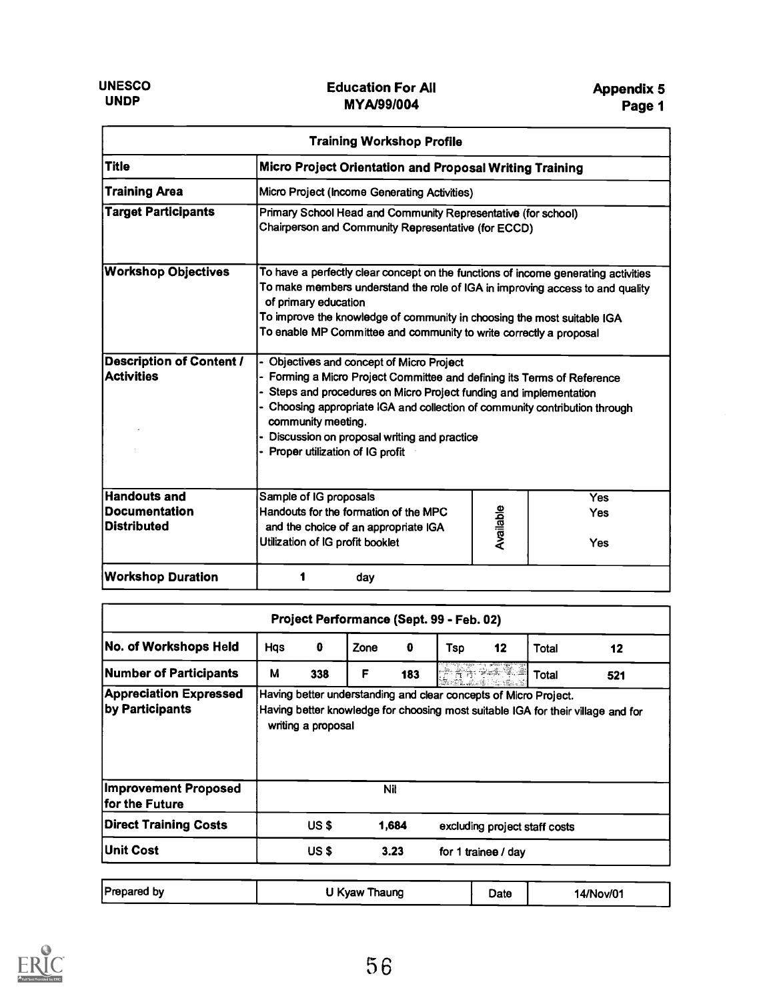| <b>Training Workshop Profile</b>                                  |                                                                                                                                                                                                                                                                                                                                                                                 |           |                          |  |  |  |  |  |
|-------------------------------------------------------------------|---------------------------------------------------------------------------------------------------------------------------------------------------------------------------------------------------------------------------------------------------------------------------------------------------------------------------------------------------------------------------------|-----------|--------------------------|--|--|--|--|--|
| <b>Title</b>                                                      | Micro Project Orientation and Proposal Writing Training                                                                                                                                                                                                                                                                                                                         |           |                          |  |  |  |  |  |
| <b>Training Area</b>                                              | Micro Project (Income Generating Activities)                                                                                                                                                                                                                                                                                                                                    |           |                          |  |  |  |  |  |
| <b>Target Participants</b>                                        | Primary School Head and Community Representative (for school)<br>Chairperson and Community Representative (for ECCD)                                                                                                                                                                                                                                                            |           |                          |  |  |  |  |  |
| <b>Workshop Objectives</b>                                        | To have a perfectly clear concept on the functions of income generating activities<br>To make members understand the role of IGA in improving access to and quality<br>of primary education<br>To improve the knowledge of community in choosing the most suitable IGA<br>To enable MP Committee and community to write correctly a proposal                                    |           |                          |  |  |  |  |  |
| <b>Description of Content /</b><br><b>Activities</b>              | Objectives and concept of Micro Project<br>- Forming a Micro Project Committee and defining its Terms of Reference<br>- Steps and procedures on Micro Project funding and implementation<br>- Choosing appropriate IGA and collection of community contribution through<br>community meeting.<br>Discussion on proposal writing and practice<br>Proper utilization of IG profit |           |                          |  |  |  |  |  |
| <b>Handouts and</b><br><b>Documentation</b><br><b>Distributed</b> | Sample of IG proposals<br>Handouts for the formation of the MPC<br>and the choice of an appropriate IGA<br>Utilization of IG profit booklet                                                                                                                                                                                                                                     | Available | <b>Yes</b><br>Yes<br>Yes |  |  |  |  |  |
| <b>Workshop Duration</b>                                          | day                                                                                                                                                                                                                                                                                                                                                                             |           |                          |  |  |  |  |  |

| Project Performance (Sept. 99 - Feb. 02)         |     |                    |      |            |                                                                  |    |                               |                                                                                  |
|--------------------------------------------------|-----|--------------------|------|------------|------------------------------------------------------------------|----|-------------------------------|----------------------------------------------------------------------------------|
| No. of Workshops Held                            | Hqs | 0                  | Zone | 0          | Tsp                                                              | 12 | Total                         | 12                                                                               |
| Number of Participants                           | М   | 338                | F    | 183        |                                                                  |    | Total                         | 521                                                                              |
| <b>Appreciation Expressed</b><br>by Participants |     | writing a proposal |      |            | Having better understanding and clear concepts of Micro Project. |    |                               | Having better knowledge for choosing most suitable IGA for their village and for |
| <b>Improvement Proposed</b><br>for the Future    |     |                    |      | <b>Nil</b> |                                                                  |    |                               |                                                                                  |
|                                                  |     | US \$              |      | 1,684      |                                                                  |    | excluding project staff costs |                                                                                  |
| <b>Direct Training Costs</b>                     |     |                    |      |            |                                                                  |    |                               |                                                                                  |

|  | Prepared by | U Kyaw Thaung | Date | 14/Nov/01 |
|--|-------------|---------------|------|-----------|
|--|-------------|---------------|------|-----------|

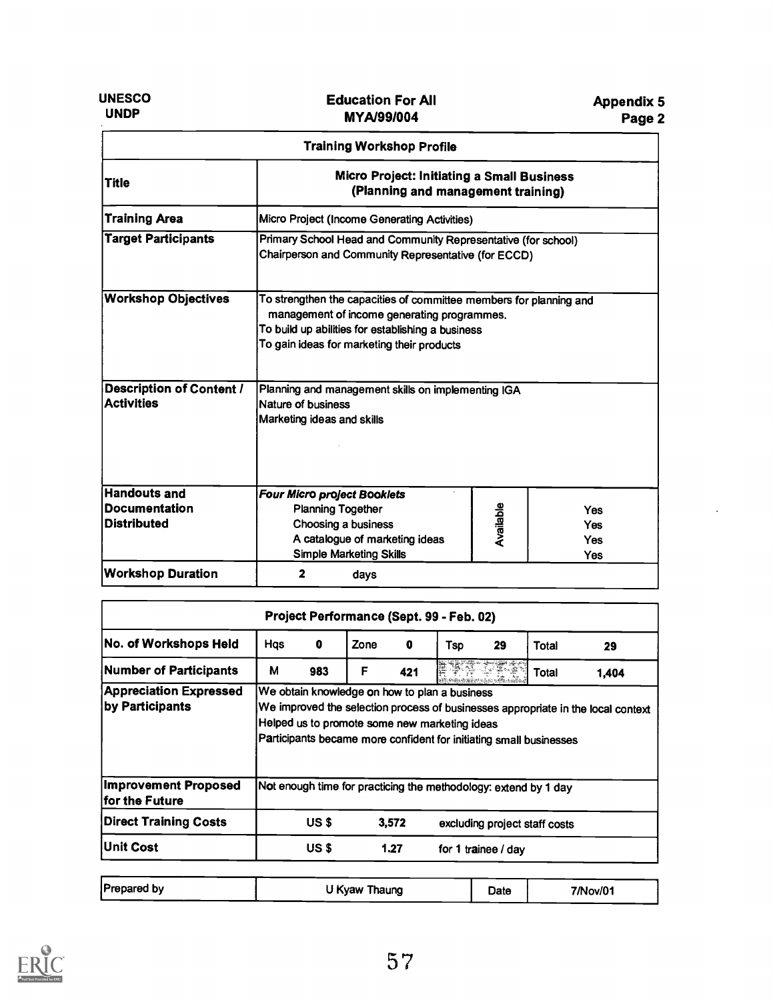UNESCO UNDP

| <b>Training Workshop Profile</b>                                  |                                                                                                                                                                                                                      |           |                                 |  |  |  |  |
|-------------------------------------------------------------------|----------------------------------------------------------------------------------------------------------------------------------------------------------------------------------------------------------------------|-----------|---------------------------------|--|--|--|--|
| <b>Title</b>                                                      | <b>Micro Project: Initiating a Small Business</b><br>(Planning and management training)                                                                                                                              |           |                                 |  |  |  |  |
| <b>Training Area</b>                                              | Micro Project (Income Generating Activities)                                                                                                                                                                         |           |                                 |  |  |  |  |
| <b>Target Participants</b>                                        | Primary School Head and Community Representative (for school)<br>Chairperson and Community Representative (for ECCD)                                                                                                 |           |                                 |  |  |  |  |
| <b>Workshop Objectives</b>                                        | To strengthen the capacities of committee members for planning and<br>management of income generating programmes.<br>To build up abilities for establishing a business<br>To gain ideas for marketing their products |           |                                 |  |  |  |  |
| <b>Description of Content /</b><br><b>Activities</b>              | Planning and management skills on implementing IGA<br>Nature of business<br>Marketing ideas and skills                                                                                                               |           |                                 |  |  |  |  |
| <b>Handouts and</b><br><b>Documentation</b><br><b>Distributed</b> | <b>Four Micro project Booklets</b><br><b>Planning Together</b><br>Choosing a business<br>A catalogue of marketing ideas<br><b>Simple Marketing Skills</b>                                                            | Available | Yes<br><b>Yes</b><br>Yes<br>Yes |  |  |  |  |
| <b>Workshop Duration</b>                                          | $\overline{2}$<br>days                                                                                                                                                                                               |           |                                 |  |  |  |  |

| Project Performance (Sept. 99 - Feb. 02)                                      |     |       |      |       |                                                                                                                                                                      |        |                               |                                                                                  |
|-------------------------------------------------------------------------------|-----|-------|------|-------|----------------------------------------------------------------------------------------------------------------------------------------------------------------------|--------|-------------------------------|----------------------------------------------------------------------------------|
| No. of Workshops Held                                                         | Hqs | 0     | Zone | 0     | Tso                                                                                                                                                                  | 29     | Total                         | 29                                                                               |
| <b>Number of Participants</b>                                                 | М   | 983   | F    | 421   |                                                                                                                                                                      | etniec | Total                         | 1,404                                                                            |
| Appreciation Expressed<br>by Participants                                     |     |       |      |       | We obtain knowledge on how to plan a business<br>Helped us to promote some new marketing ideas<br>Participants became more confident for initiating small businesses |        |                               | We improved the selection process of businesses appropriate in the local context |
|                                                                               |     |       |      |       |                                                                                                                                                                      |        |                               |                                                                                  |
|                                                                               |     |       |      |       | Not enough time for practicing the methodology: extend by 1 day                                                                                                      |        |                               |                                                                                  |
| <b>Improvement Proposed</b><br>for the Future<br><b>Direct Training Costs</b> |     | US \$ |      | 3,572 |                                                                                                                                                                      |        | excluding project staff costs |                                                                                  |

| <b>Prepared by</b> | U Kyaw Thaung | Date | 7/Nov/01 |
|--------------------|---------------|------|----------|
|--------------------|---------------|------|----------|

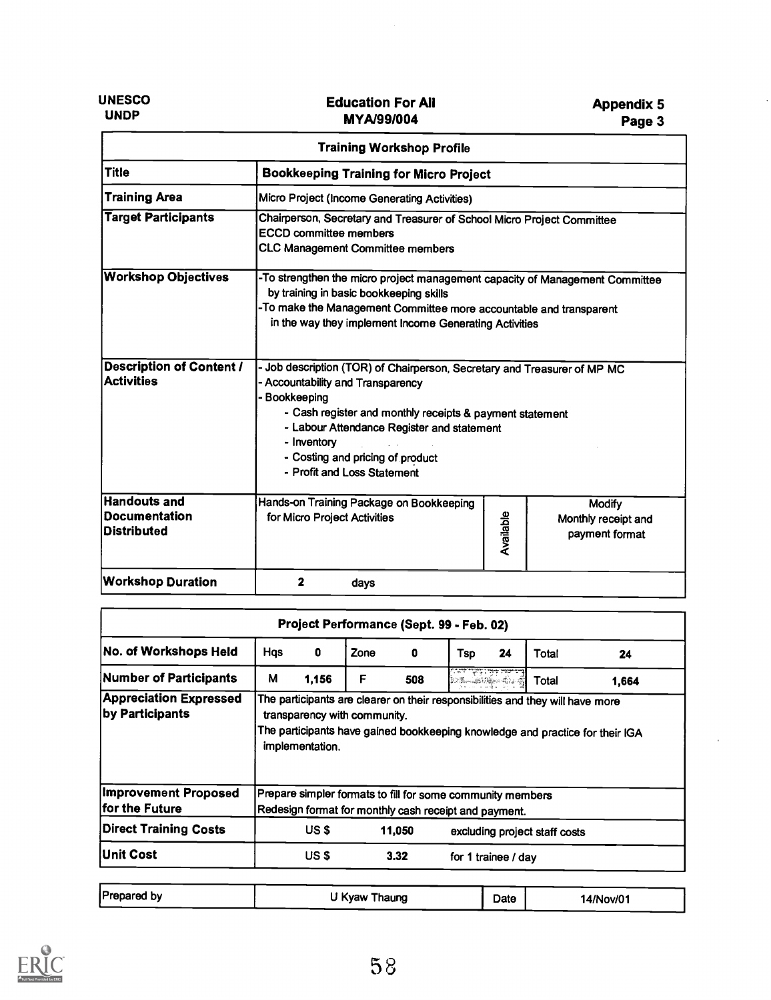UNESCO UNDP

|                                                                   | <b>Training Workshop Profile</b>                                                                                                                                                                                                                                                                                           |           |                                                        |  |  |  |
|-------------------------------------------------------------------|----------------------------------------------------------------------------------------------------------------------------------------------------------------------------------------------------------------------------------------------------------------------------------------------------------------------------|-----------|--------------------------------------------------------|--|--|--|
| <b>Title</b>                                                      | <b>Bookkeeping Training for Micro Project</b>                                                                                                                                                                                                                                                                              |           |                                                        |  |  |  |
| <b>Training Area</b>                                              | Micro Project (Income Generating Activities)                                                                                                                                                                                                                                                                               |           |                                                        |  |  |  |
| <b>Target Participants</b>                                        | Chairperson, Secretary and Treasurer of School Micro Project Committee<br><b>ECCD</b> committee members<br><b>CLC Management Committee members</b>                                                                                                                                                                         |           |                                                        |  |  |  |
| <b>Workshop Objectives</b>                                        | -To strengthen the micro project management capacity of Management Committee<br>by training in basic bookkeeping skills<br>-To make the Management Committee more accountable and transparent<br>in the way they implement Income Generating Activities                                                                    |           |                                                        |  |  |  |
| <b>Description of Content /</b><br><b>Activities</b>              | - Job description (TOR) of Chairperson, Secretary and Treasurer of MP MC<br>- Accountability and Transparency<br>- Bookkeeping<br>- Cash register and monthly receipts & payment statement<br>- Labour Attendance Register and statement<br>- Inventory<br>- Costing and pricing of product<br>- Profit and Loss Statement |           |                                                        |  |  |  |
| <b>Handouts and</b><br><b>Documentation</b><br><b>Distributed</b> | Hands-on Training Package on Bookkeeping<br>for Micro Project Activities                                                                                                                                                                                                                                                   | Available | <b>Modify</b><br>Monthly receipt and<br>payment format |  |  |  |
| <b>Workshop Duration</b>                                          | 2<br>days                                                                                                                                                                                                                                                                                                                  |           |                                                        |  |  |  |

|                                                  |     |                                                       |      |        | Project Performance (Sept. 99 - Feb. 02)                   |    |                                                                                |                                                                               |
|--------------------------------------------------|-----|-------------------------------------------------------|------|--------|------------------------------------------------------------|----|--------------------------------------------------------------------------------|-------------------------------------------------------------------------------|
| No. of Workshops Held                            | Hqs | 0                                                     | Zone | 0      | Tsp                                                        | 24 | Total                                                                          | 24                                                                            |
| Number of Participants                           | M   | 1,156                                                 | F    | 508    | $\frac{1}{(1-\frac{1}{2}-\frac{1}{2})^2}$                  |    | <b>Total</b>                                                                   | 1,664                                                                         |
| <b>Appreciation Expressed</b><br>by Participants |     | transparency with community.<br>implementation.       |      |        |                                                            |    | The participants are clearer on their responsibilities and they will have more | The participants have gained bookkeeping knowledge and practice for their IGA |
| <b>Improvement Proposed</b>                      |     |                                                       |      |        | Prepare simpler formats to fill for some community members |    |                                                                                |                                                                               |
|                                                  |     | Redesign format for monthly cash receipt and payment. |      |        |                                                            |    |                                                                                |                                                                               |
| lfor the Future<br><b>Direct Training Costs</b>  |     | US <sub>\$</sub>                                      |      | 11,050 |                                                            |    | excluding project staff costs                                                  |                                                                               |

| <b>Prepared by</b> | U Kyaw Thaung | Date | 14/Nov/01 |
|--------------------|---------------|------|-----------|
|--------------------|---------------|------|-----------|

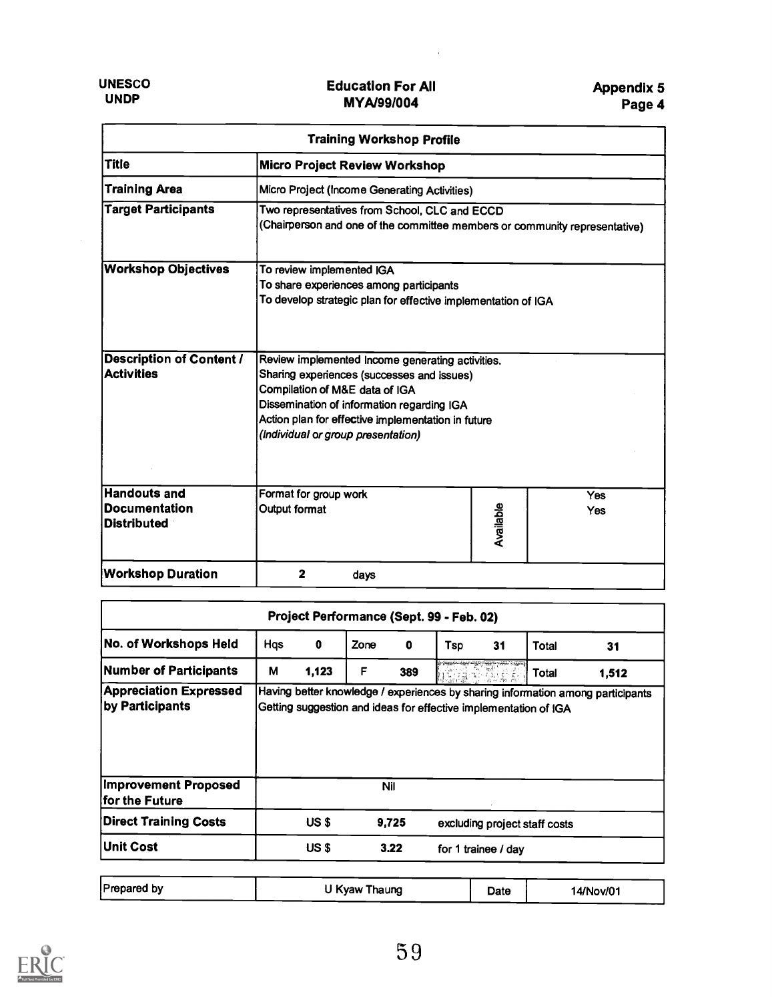$\ddot{\phantom{a}}$ 

|                                                            | <b>Training Workshop Profile</b>                                                                                                                                                                                                                                           |           |                          |  |  |  |
|------------------------------------------------------------|----------------------------------------------------------------------------------------------------------------------------------------------------------------------------------------------------------------------------------------------------------------------------|-----------|--------------------------|--|--|--|
| <b>Title</b>                                               | <b>Micro Project Review Workshop</b>                                                                                                                                                                                                                                       |           |                          |  |  |  |
| <b>Training Area</b>                                       | Micro Project (Income Generating Activities)                                                                                                                                                                                                                               |           |                          |  |  |  |
| <b>Target Participants</b>                                 | Two representatives from School, CLC and ECCD<br>(Chairperson and one of the committee members or community representative)                                                                                                                                                |           |                          |  |  |  |
| <b>Workshop Objectives</b>                                 | To review implemented IGA<br>To share experiences among participants<br>To develop strategic plan for effective implementation of IGA                                                                                                                                      |           |                          |  |  |  |
| <b>Description of Content /</b><br><b>Activities</b>       | Review implemented Income generating activities.<br>Sharing experiences (successes and issues)<br>Compilation of M&E data of IGA<br>Dissemination of information regarding IGA<br>Action plan for effective implementation in future<br>(Individual or group presentation) |           |                          |  |  |  |
| Handouts and<br><b>Documentation</b><br><b>Distributed</b> | Format for group work<br>Output format                                                                                                                                                                                                                                     | Available | <b>Yes</b><br><b>Yes</b> |  |  |  |
| <b>Workshop Duration</b>                                   | 2<br>days                                                                                                                                                                                                                                                                  |           |                          |  |  |  |

| Project Performance (Sept. 99 - Feb. 02)         |     |              |      |            |                                                                  |       |                               |                                                                                 |
|--------------------------------------------------|-----|--------------|------|------------|------------------------------------------------------------------|-------|-------------------------------|---------------------------------------------------------------------------------|
| No. of Workshops Held                            | Hqs | 0            | Zone | 0          | Tsp                                                              | 31    | Total                         | 31                                                                              |
| Number of Participants                           | M   | 1,123        | F    | 389        |                                                                  | 電子(部) | <b>Total</b>                  | 1,512                                                                           |
| <b>Appreciation Expressed</b><br>by Participants |     |              |      |            | Getting suggestion and ideas for effective implementation of IGA |       |                               | Having better knowledge / experiences by sharing information among participants |
|                                                  |     |              |      |            |                                                                  |       |                               |                                                                                 |
| <b>Improvement Proposed</b><br>for the Future    |     |              |      | <b>Nil</b> |                                                                  |       |                               |                                                                                 |
| Direct Training Costs                            |     | <b>US \$</b> |      | 9,725      |                                                                  |       | excluding project staff costs |                                                                                 |

| <b>Prepared by</b><br>U Kyaw Thaung<br>14/Nov/01<br>Date |
|----------------------------------------------------------|
|----------------------------------------------------------|

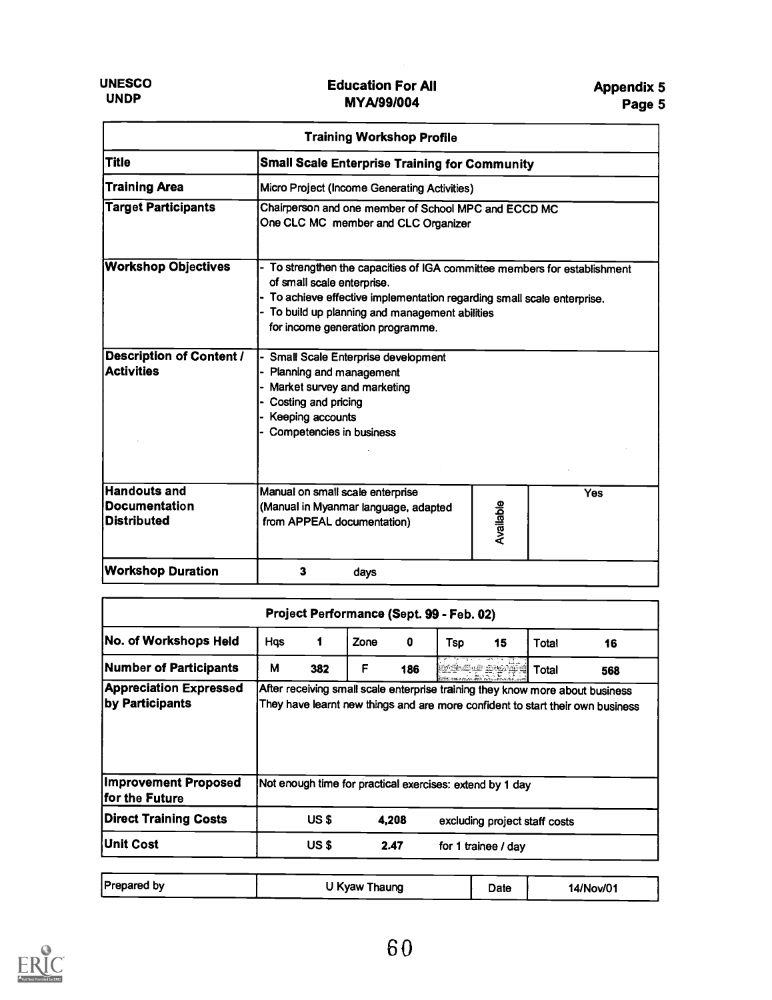| <b>Training Workshop Profile</b>                                  |                                                                                                                                                                                                                                                                     |           |     |  |  |  |
|-------------------------------------------------------------------|---------------------------------------------------------------------------------------------------------------------------------------------------------------------------------------------------------------------------------------------------------------------|-----------|-----|--|--|--|
| <b>Title</b>                                                      | <b>Small Scale Enterprise Training for Community</b>                                                                                                                                                                                                                |           |     |  |  |  |
| <b>Training Area</b>                                              | Micro Project (Income Generating Activities)                                                                                                                                                                                                                        |           |     |  |  |  |
| <b>Target Participants</b>                                        | Chairperson and one member of School MPC and ECCD MC<br>One CLC MC member and CLC Organizer                                                                                                                                                                         |           |     |  |  |  |
| <b>Workshop Objectives</b>                                        | To strengthen the capacities of IGA committee members for establishment<br>of small scale enterprise.<br>To achieve effective implementation regarding small scale enterprise.<br>To build up planning and management abilities<br>for income generation programme. |           |     |  |  |  |
| <b>Description of Content /</b><br><b>Activities</b>              | Small Scale Enterprise development<br>Planning and management<br>- Market survey and marketing<br>Costing and pricing<br>Keeping accounts<br>Competencies in business                                                                                               |           |     |  |  |  |
| <b>Handouts and</b><br><b>Documentation</b><br><b>Distributed</b> | Manual on small scale enterprise<br>(Manual in Myanmar language, adapted<br>from APPEAL documentation)                                                                                                                                                              | Available | Yes |  |  |  |
| <b>Workshop Duration</b>                                          | 3<br>days                                                                                                                                                                                                                                                           |           |     |  |  |  |

| No. of Workshops Held                            | Hqs | 1     | Zone | 0     | Tsp                                                                            | 15 | Total                         | 16                                                                            |
|--------------------------------------------------|-----|-------|------|-------|--------------------------------------------------------------------------------|----|-------------------------------|-------------------------------------------------------------------------------|
| <b>Number of Participants</b>                    | М   | 382   | F    | 186   | ECREAR REPAIR                                                                  |    | <b>Total</b>                  | 568                                                                           |
| <b>Appreciation Expressed</b><br>by Participants |     |       |      |       | They have learnt new things and are more confident to start their own business |    |                               | After receiving small scale enterprise training they know more about business |
|                                                  |     |       |      |       |                                                                                |    |                               |                                                                               |
| <b>Improvement Proposed</b><br>lfor the Future   |     |       |      |       | Not enough time for practical exercises: extend by 1 day                       |    |                               |                                                                               |
| Direct Training Costs                            |     | US \$ |      | 4.208 |                                                                                |    | excluding project staff costs |                                                                               |

| <b>Prepared by</b> | U Kyaw Thaung | Date | 14/Nov/01 |
|--------------------|---------------|------|-----------|
|                    |               |      |           |